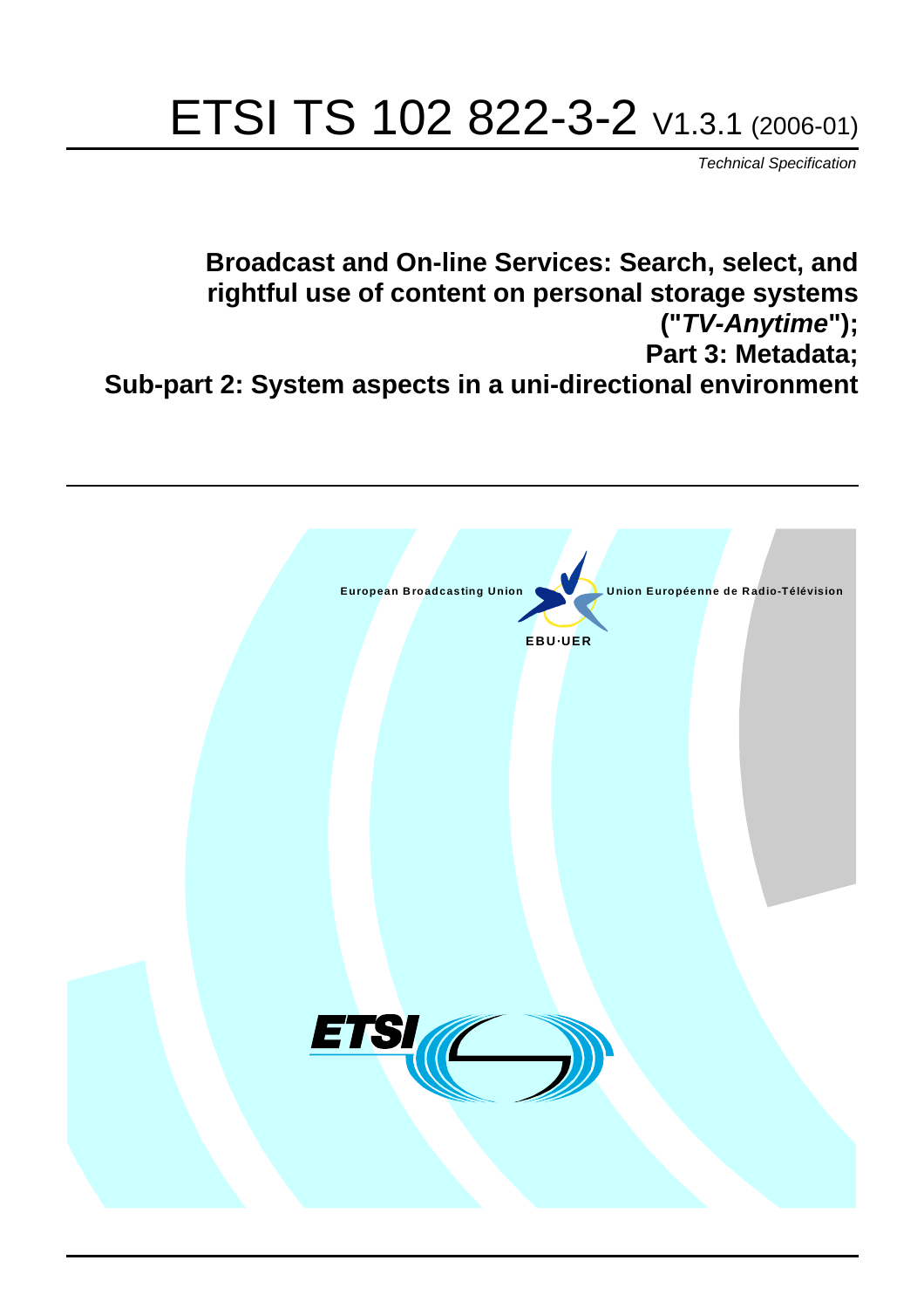# ETSI TS 102 822-3-2 V1.3.1 (2006-01)

Technical Specification

**Broadcast and On-line Services: Search, select, and rightful use of content on personal storage systems ("TV-Anytime"); Part 3: Metadata; Sub-part 2: System aspects in a uni-directional environment**

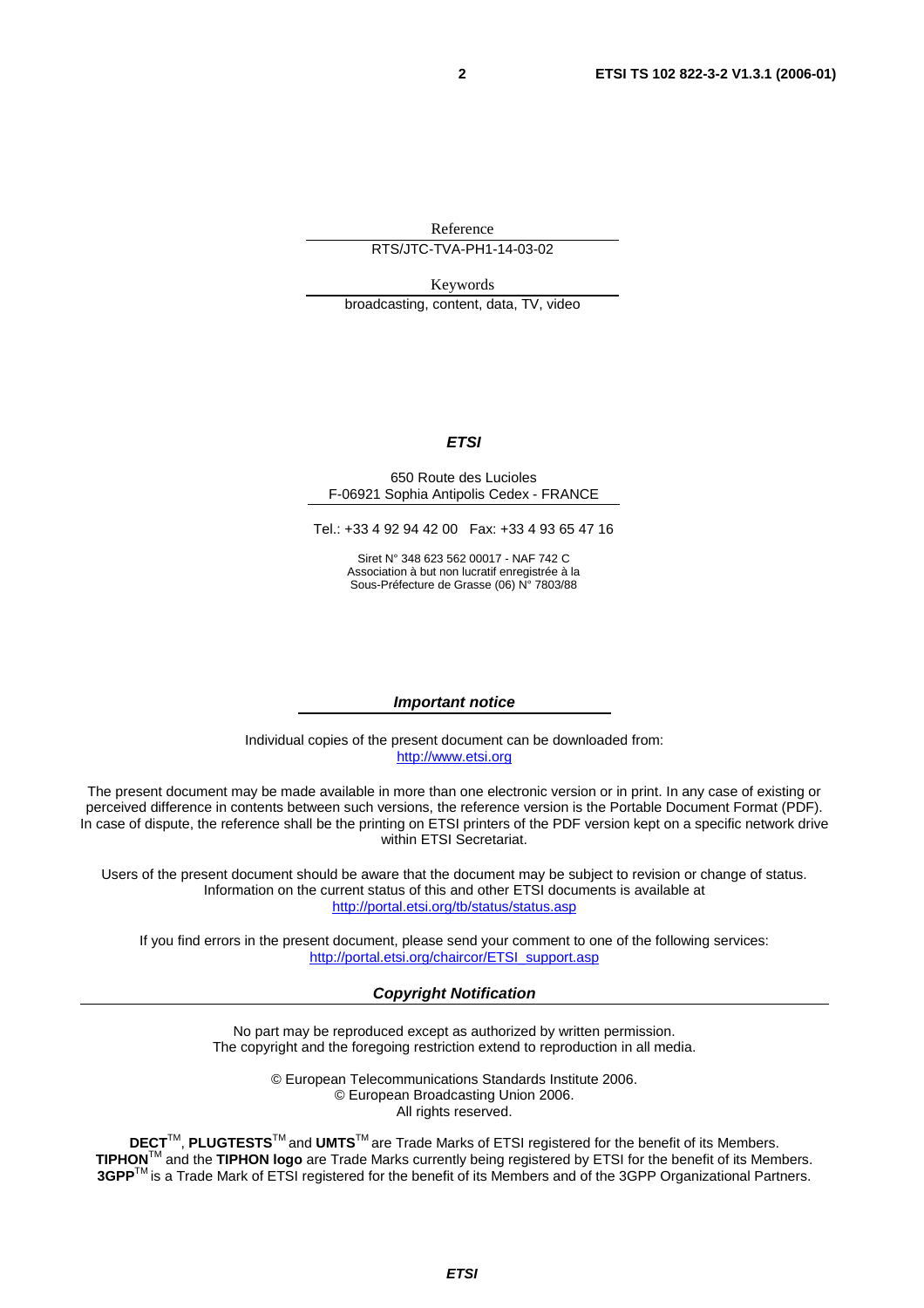Reference

RTS/JTC-TVA-PH1-14-03-02

Keywords

broadcasting, content, data, TV, video

#### **ETSI**

#### 650 Route des Lucioles F-06921 Sophia Antipolis Cedex - FRANCE

Tel.: +33 4 92 94 42 00 Fax: +33 4 93 65 47 16

Siret N° 348 623 562 00017 - NAF 742 C Association à but non lucratif enregistrée à la Sous-Préfecture de Grasse (06) N° 7803/88

#### **Important notice**

Individual copies of the present document can be downloaded from: [http://www.etsi.org](http://www.etsi.org/)

The present document may be made available in more than one electronic version or in print. In any case of existing or perceived difference in contents between such versions, the reference version is the Portable Document Format (PDF). In case of dispute, the reference shall be the printing on ETSI printers of the PDF version kept on a specific network drive within ETSI Secretariat.

Users of the present document should be aware that the document may be subject to revision or change of status. Information on the current status of this and other ETSI documents is available at <http://portal.etsi.org/tb/status/status.asp>

If you find errors in the present document, please send your comment to one of the following services: [http://portal.etsi.org/chaircor/ETSI\\_support.asp](http://portal.etsi.org/chaircor/ETSI_support.asp)

#### **Copyright Notification**

No part may be reproduced except as authorized by written permission. The copyright and the foregoing restriction extend to reproduction in all media.

> © European Telecommunications Standards Institute 2006. © European Broadcasting Union 2006. All rights reserved.

**DECT**TM, **PLUGTESTS**TM and **UMTS**TM are Trade Marks of ETSI registered for the benefit of its Members. **TIPHON**TM and the **TIPHON logo** are Trade Marks currently being registered by ETSI for the benefit of its Members. **3GPP**TM is a Trade Mark of ETSI registered for the benefit of its Members and of the 3GPP Organizational Partners.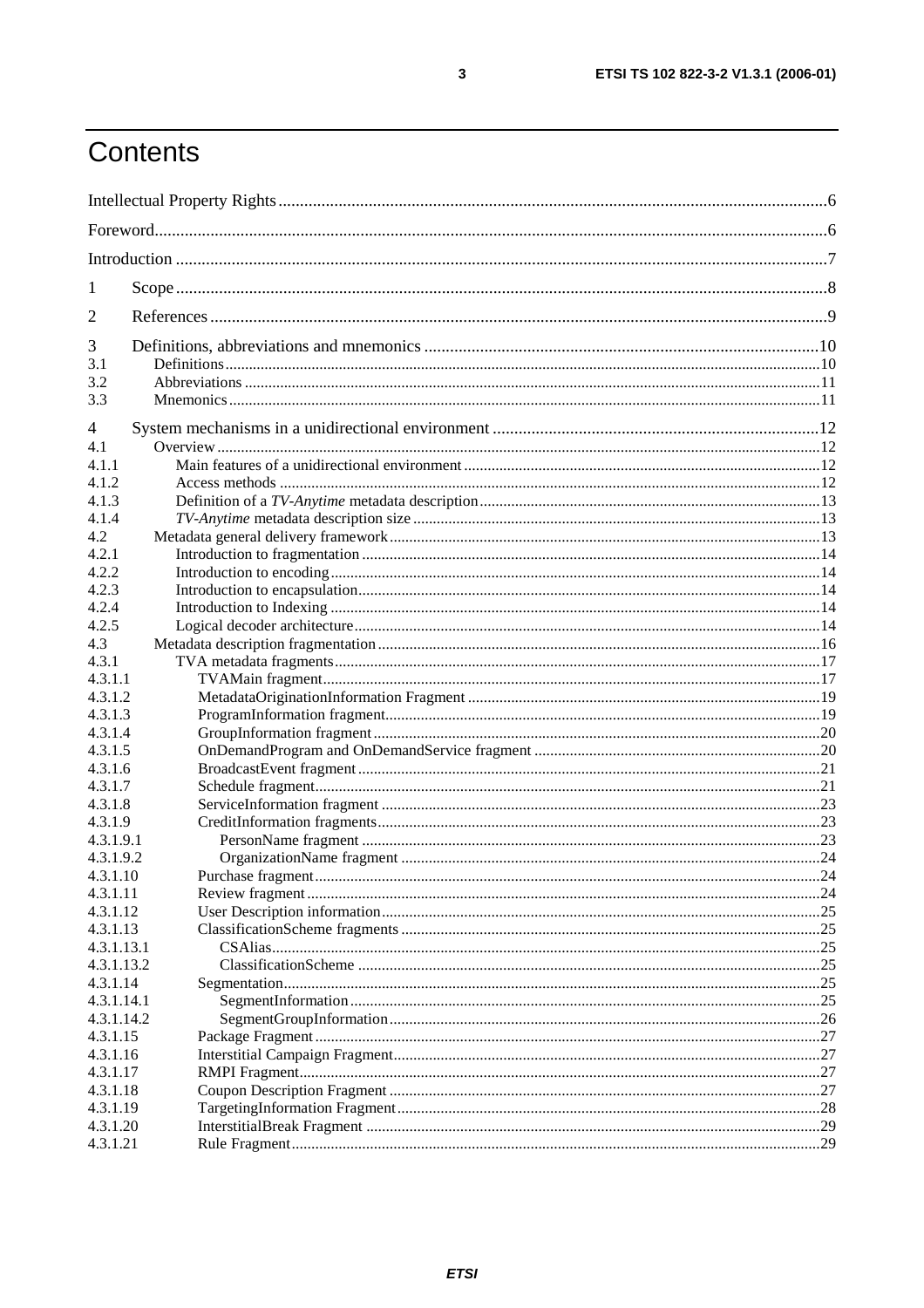# Contents

| 1                    |  |     |  |
|----------------------|--|-----|--|
| 2                    |  |     |  |
| 3                    |  |     |  |
| 3.1                  |  |     |  |
| 3.2                  |  |     |  |
| 3.3                  |  |     |  |
| 4                    |  |     |  |
| 4.1                  |  |     |  |
| 4.1.1                |  |     |  |
| 4.1.2                |  |     |  |
| 4.1.3                |  |     |  |
| 4.1.4                |  |     |  |
| 4.2                  |  |     |  |
| 4.2.1                |  |     |  |
| 4.2.2                |  |     |  |
| 4.2.3                |  |     |  |
| 4.2.4<br>4.2.5       |  |     |  |
| 4.3                  |  |     |  |
| 4.3.1                |  |     |  |
| 4.3.1.1              |  |     |  |
| 4.3.1.2              |  |     |  |
| 4.3.1.3              |  |     |  |
| 4.3.1.4              |  |     |  |
| 4.3.1.5              |  |     |  |
| 4.3.1.6              |  |     |  |
| 4.3.1.7              |  |     |  |
| 4.3.1.8              |  |     |  |
| 4.3.1.9              |  |     |  |
| 4.3.1.9.1            |  |     |  |
| 4.3.1.9.2            |  |     |  |
| 4.3.1.10             |  |     |  |
| 4.3.1.11             |  |     |  |
| 4.3.1.12             |  |     |  |
| 4.3.1.13             |  |     |  |
| 4.3.1.13.1           |  |     |  |
| 4.3.1.13.2           |  |     |  |
| 4.3.1.14             |  |     |  |
| 4.3.1.14.1           |  | 25  |  |
| 4.3.1.14.2           |  | .26 |  |
| 4.3.1.15             |  |     |  |
| 4.3.1.16<br>4.3.1.17 |  |     |  |
| 4.3.1.18             |  |     |  |
| 4.3.1.19             |  |     |  |
| 4.3.1.20             |  |     |  |
| 4.3.1.21             |  |     |  |
|                      |  |     |  |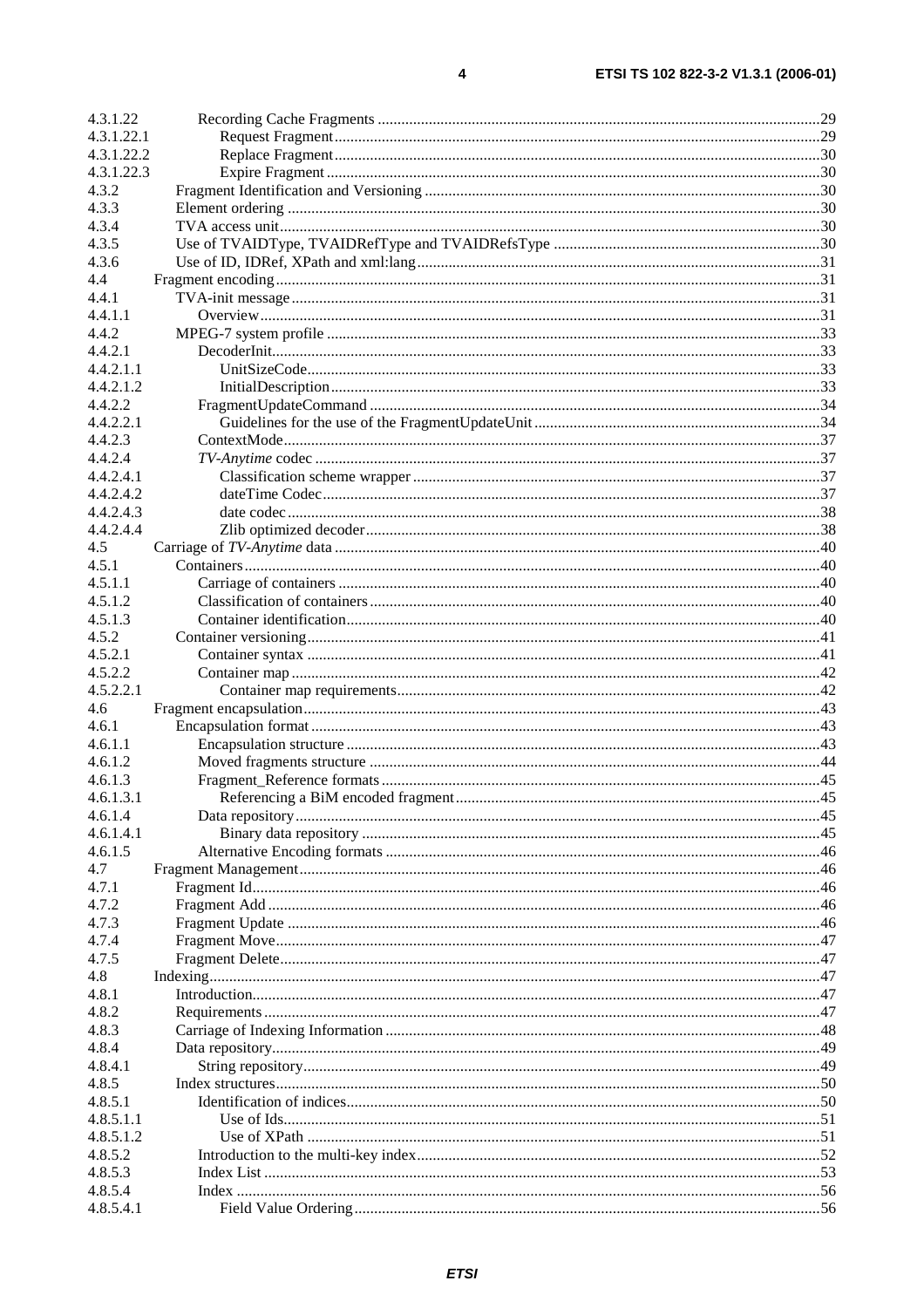| 4.3.1.22       |  |
|----------------|--|
| 4.3.1.22.1     |  |
| 4.3.1.22.2     |  |
| 4.3.1.22.3     |  |
| 4.3.2          |  |
| 4.3.3          |  |
| 4.3.4          |  |
| 4.3.5          |  |
| 4.3.6          |  |
| 4.4<br>4.4.1   |  |
| 4.4.1.1        |  |
| 4.4.2          |  |
| 4.4.2.1        |  |
| 4.4.2.1.1      |  |
| 4.4.2.1.2      |  |
| 4.4.2.2        |  |
| 4.4.2.2.1      |  |
| 4.4.2.3        |  |
| 4.4.2.4        |  |
| 4.4.2.4.1      |  |
| 4.4.2.4.2      |  |
| 4.4.2.4.3      |  |
| 4.4.2.4.4      |  |
| 4.5            |  |
| 4.5.1          |  |
| 4.5.1.1        |  |
| 4.5.1.2        |  |
| 4.5.1.3        |  |
| 4.5.2          |  |
| 4.5.2.1        |  |
| 4.5.2.2        |  |
| 4.5.2.2.1      |  |
| 4.6            |  |
| 4.6.1          |  |
| 4.6.1.1        |  |
| 4.6.1.2        |  |
| 4.6.1.3        |  |
| 4.6.1.3.1      |  |
| 4.6.1.4        |  |
| 4.6.1.4.1      |  |
| 4.6.1.5<br>4.7 |  |
| 4.7.1          |  |
| 4.7.2          |  |
| 4.7.3          |  |
| 4.7.4          |  |
| 4.7.5          |  |
| 4.8            |  |
| 4.8.1          |  |
| 4.8.2          |  |
| 4.8.3          |  |
| 4.8.4          |  |
| 4.8.4.1        |  |
| 4.8.5          |  |
| 4.8.5.1        |  |
| 4.8.5.1.1      |  |
| 4.8.5.1.2      |  |
| 4.8.5.2        |  |
| 4.8.5.3        |  |
| 4.8.5.4        |  |
| 4.8.5.4.1      |  |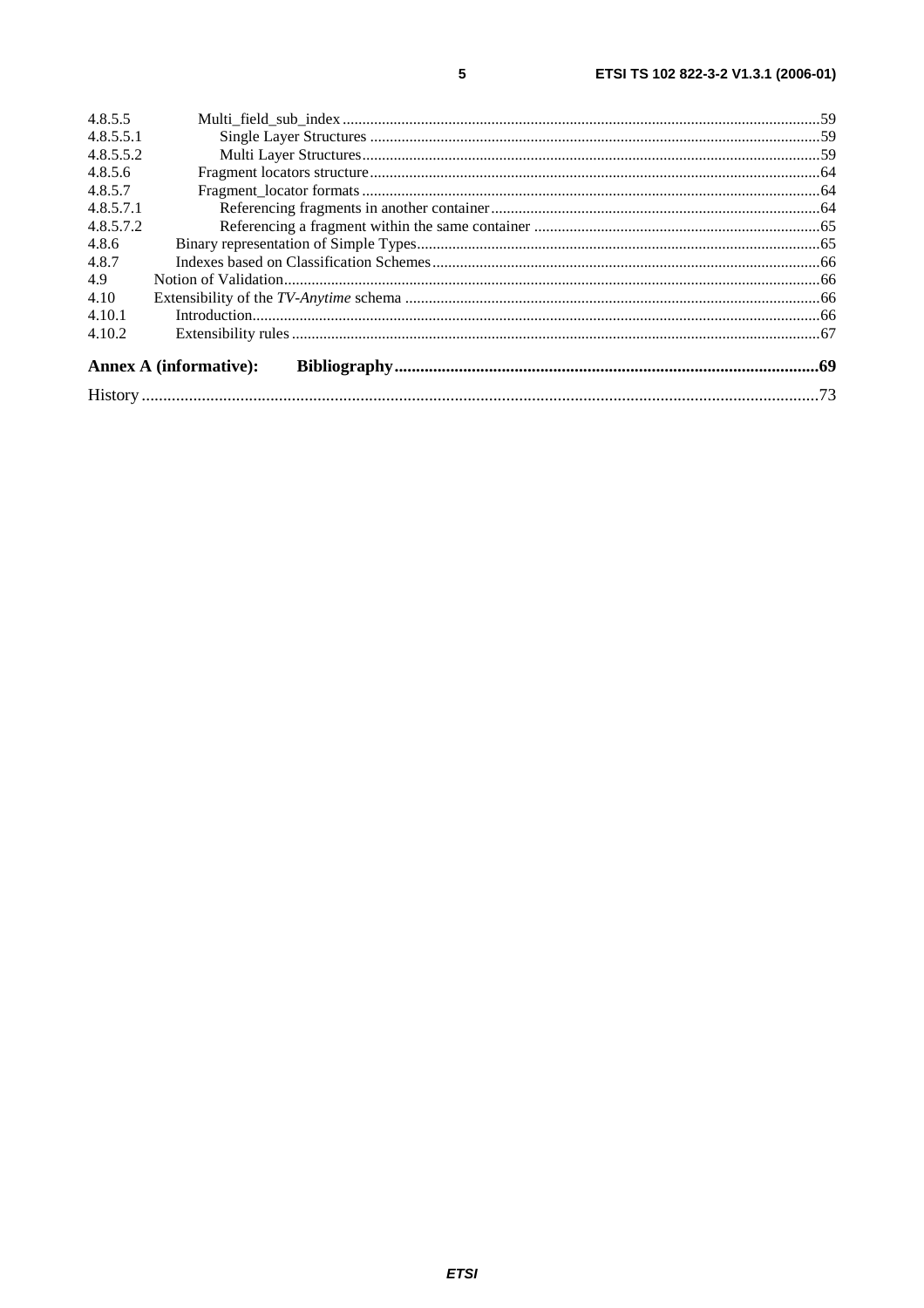| 4.8.5.5   |                               |  |  |
|-----------|-------------------------------|--|--|
| 4.8.5.5.1 |                               |  |  |
| 4.8.5.5.2 |                               |  |  |
| 4.8.5.6   |                               |  |  |
| 4.8.5.7   |                               |  |  |
| 4.8.5.7.1 |                               |  |  |
| 4.8.5.7.2 |                               |  |  |
| 4.8.6     |                               |  |  |
| 4.8.7     |                               |  |  |
| 4.9       |                               |  |  |
| 4.10      |                               |  |  |
| 4.10.1    |                               |  |  |
| 4.10.2    |                               |  |  |
|           | <b>Annex A (informative):</b> |  |  |
|           |                               |  |  |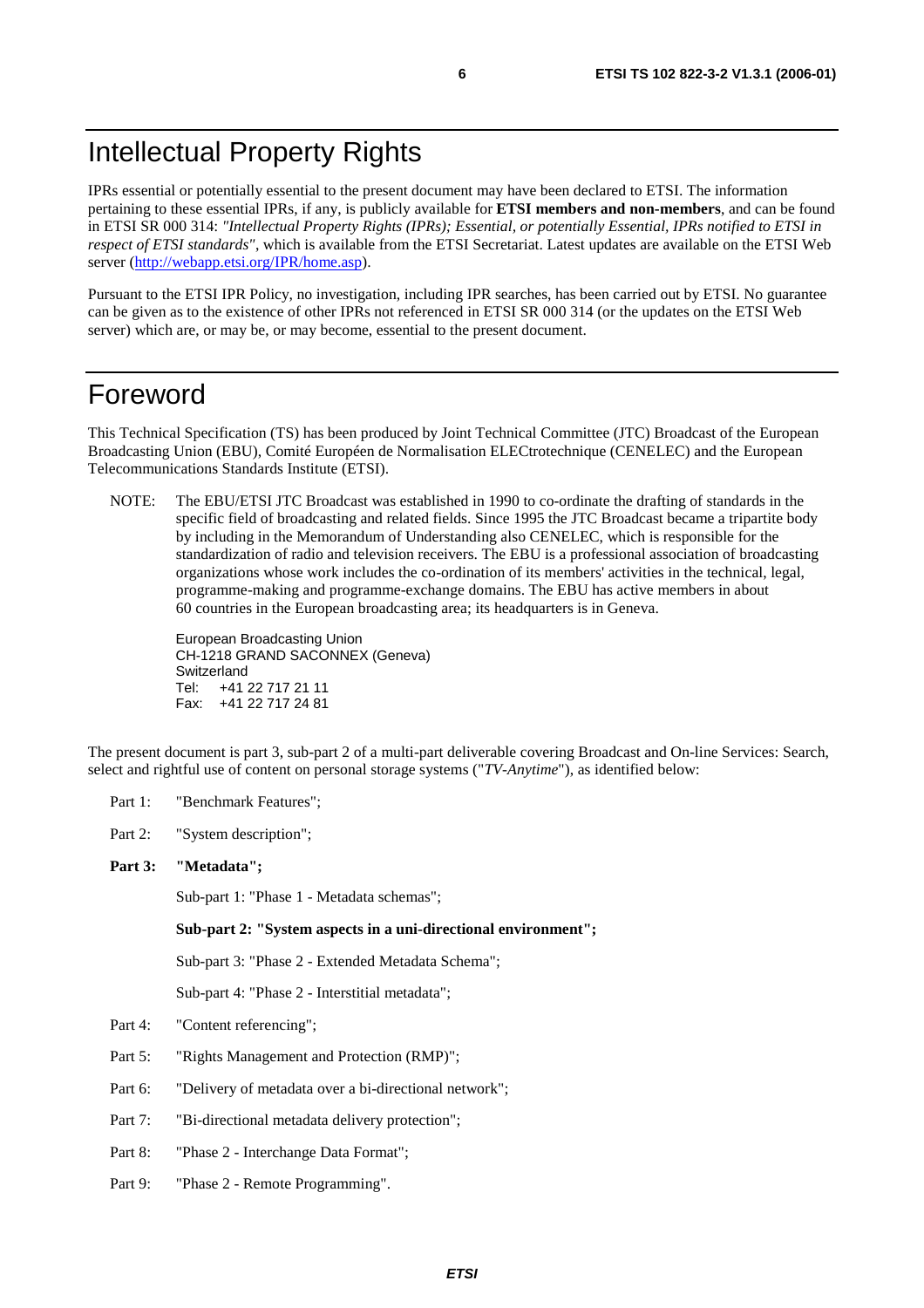# Intellectual Property Rights

IPRs essential or potentially essential to the present document may have been declared to ETSI. The information pertaining to these essential IPRs, if any, is publicly available for **ETSI members and non-members**, and can be found in ETSI SR 000 314: *"Intellectual Property Rights (IPRs); Essential, or potentially Essential, IPRs notified to ETSI in respect of ETSI standards"*, which is available from the ETSI Secretariat. Latest updates are available on the ETSI Web server (<http://webapp.etsi.org/IPR/home.asp>).

Pursuant to the ETSI IPR Policy, no investigation, including IPR searches, has been carried out by ETSI. No guarantee can be given as to the existence of other IPRs not referenced in ETSI SR 000 314 (or the updates on the ETSI Web server) which are, or may be, or may become, essential to the present document.

# Foreword

This Technical Specification (TS) has been produced by Joint Technical Committee (JTC) Broadcast of the European Broadcasting Union (EBU), Comité Européen de Normalisation ELECtrotechnique (CENELEC) and the European Telecommunications Standards Institute (ETSI).

NOTE: The EBU/ETSI JTC Broadcast was established in 1990 to co-ordinate the drafting of standards in the specific field of broadcasting and related fields. Since 1995 the JTC Broadcast became a tripartite body by including in the Memorandum of Understanding also CENELEC, which is responsible for the standardization of radio and television receivers. The EBU is a professional association of broadcasting organizations whose work includes the co-ordination of its members' activities in the technical, legal, programme-making and programme-exchange domains. The EBU has active members in about 60 countries in the European broadcasting area; its headquarters is in Geneva.

European Broadcasting Union CH-1218 GRAND SACONNEX (Geneva) Switzerland Tel: +41 22 717 21 11 Fax: +41 22 717 24 81

The present document is part 3, sub-part 2 of a multi-part deliverable covering Broadcast and On-line Services: Search, select and rightful use of content on personal storage systems ("*TV-Anytime*"), as identified below:

- Part 1: "Benchmark Features":
- Part 2: "System description";
- **Part 3: "Metadata";**

Sub-part 1: "Phase 1 - Metadata schemas";

 **Sub-part 2: "System aspects in a uni-directional environment";** 

Sub-part 3: "Phase 2 - Extended Metadata Schema";

Sub-part 4: "Phase 2 - Interstitial metadata";

- Part 4: "Content referencing";
- Part 5: "Rights Management and Protection (RMP)";
- Part 6: "Delivery of metadata over a bi-directional network";
- Part 7: "Bi-directional metadata delivery protection";
- Part 8: "Phase 2 Interchange Data Format";
- Part 9: "Phase 2 Remote Programming".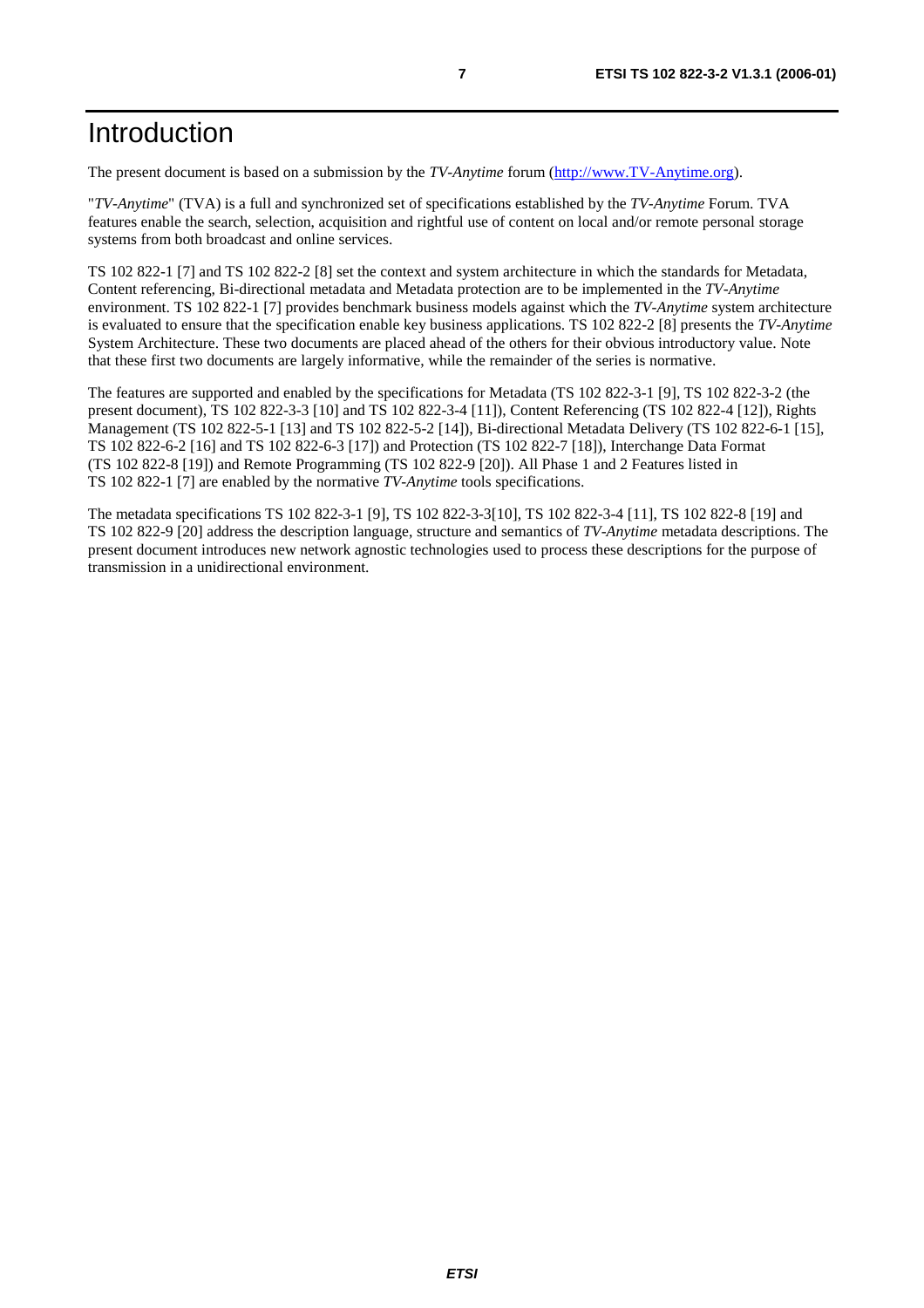The present document is based on a submission by the *TV-Anytime* forum ([http://www.TV-Anytime.org](http://www.tv-anytime.org/)).

"*TV-Anytime*" (TVA) is a full and synchronized set of specifications established by the *TV-Anytime* Forum. TVA features enable the search, selection, acquisition and rightful use of content on local and/or remote personal storage systems from both broadcast and online services.

TS 102 822-1 [7] and TS 102 822-2 [8] set the context and system architecture in which the standards for Metadata, Content referencing, Bi-directional metadata and Metadata protection are to be implemented in the *TV-Anytime* environment. TS 102 822-1 [7] provides benchmark business models against which the *TV-Anytime* system architecture is evaluated to ensure that the specification enable key business applications. TS 102 822-2 [8] presents the *TV-Anytime* System Architecture. These two documents are placed ahead of the others for their obvious introductory value. Note that these first two documents are largely informative, while the remainder of the series is normative.

The features are supported and enabled by the specifications for Metadata (TS 102 822-3-1 [9], TS 102 822-3-2 (the present document), TS 102 822-3-3 [10] and TS 102 822-3-4 [11]), Content Referencing (TS 102 822-4 [12]), Rights Management (TS 102 822-5-1 [13] and TS 102 822-5-2 [14]), Bi-directional Metadata Delivery (TS 102 822-6-1 [15], TS 102 822-6-2 [16] and TS 102 822-6-3 [17]) and Protection (TS 102 822-7 [18]), Interchange Data Format (TS 102 822-8 [19]) and Remote Programming (TS 102 822-9 [20]). All Phase 1 and 2 Features listed in TS 102 822-1 [7] are enabled by the normative *TV-Anytime* tools specifications.

The metadata specifications TS 102 822-3-1 [9], TS 102 822-3-3[10], TS 102 822-3-4 [11], TS 102 822-8 [19] and TS 102 822-9 [20] address the description language, structure and semantics of *TV-Anytime* metadata descriptions. The present document introduces new network agnostic technologies used to process these descriptions for the purpose of transmission in a unidirectional environment.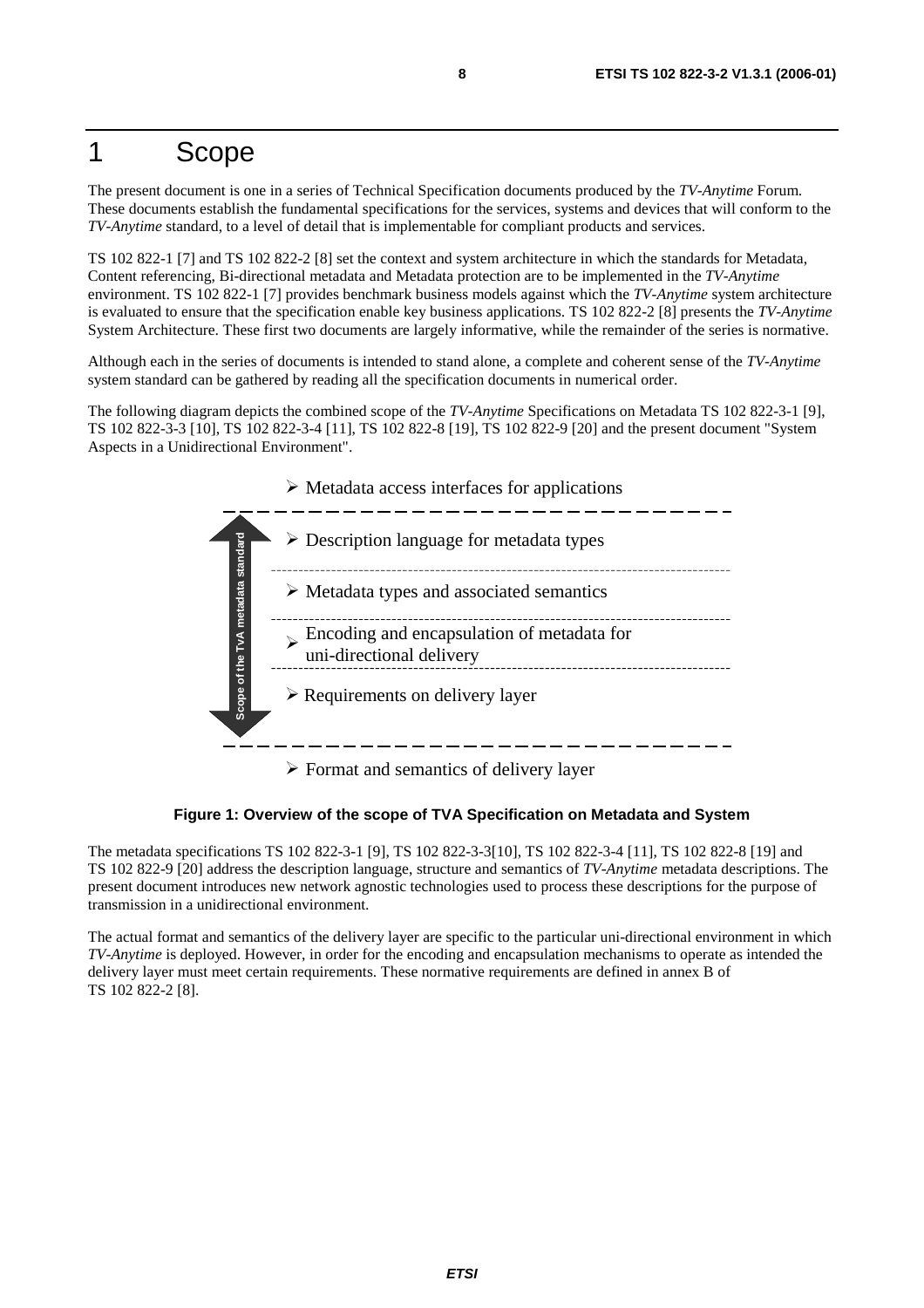# 1 Scope

The present document is one in a series of Technical Specification documents produced by the *TV-Anytime* Forum. These documents establish the fundamental specifications for the services, systems and devices that will conform to the *TV-Anytime* standard, to a level of detail that is implementable for compliant products and services.

TS 102 822-1 [7] and TS 102 822-2 [8] set the context and system architecture in which the standards for Metadata, Content referencing, Bi-directional metadata and Metadata protection are to be implemented in the *TV-Anytime* environment. TS 102 822-1 [7] provides benchmark business models against which the *TV-Anytime* system architecture is evaluated to ensure that the specification enable key business applications. TS 102 822-2 [8] presents the *TV-Anytime* System Architecture. These first two documents are largely informative, while the remainder of the series is normative.

Although each in the series of documents is intended to stand alone, a complete and coherent sense of the *TV-Anytime* system standard can be gathered by reading all the specification documents in numerical order.

The following diagram depicts the combined scope of the *TV-Anytime* Specifications on Metadata TS 102 822-3-1 [9], TS 102 822-3-3 [10], TS 102 822-3-4 [11], TS 102 822-8 [19], TS 102 822-9 [20] and the present document "System Aspects in a Unidirectional Environment".



 $\triangleright$  Format and semantics of delivery layer

**Figure 1: Overview of the scope of TVA Specification on Metadata and System** 

The metadata specifications TS 102 822-3-1 [9], TS 102 822-3-3[10], TS 102 822-3-4 [11], TS 102 822-8 [19] and TS 102 822-9 [20] address the description language, structure and semantics of *TV-Anytime* metadata descriptions. The present document introduces new network agnostic technologies used to process these descriptions for the purpose of transmission in a unidirectional environment.

The actual format and semantics of the delivery layer are specific to the particular uni-directional environment in which *TV-Anytime* is deployed. However, in order for the encoding and encapsulation mechanisms to operate as intended the delivery layer must meet certain requirements. These normative requirements are defined in annex B of TS 102 822-2 [8].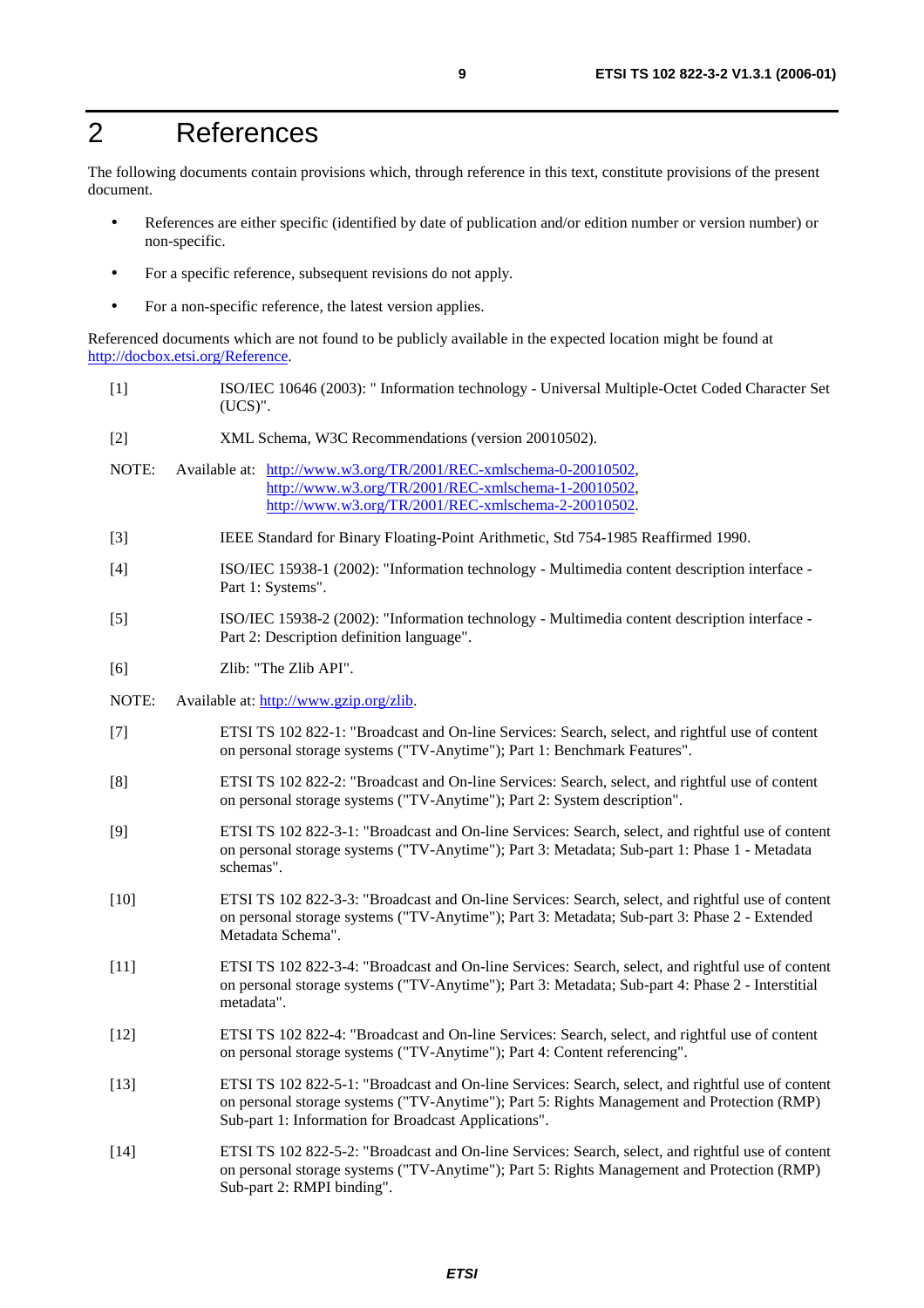# 2 References

The following documents contain provisions which, through reference in this text, constitute provisions of the present document.

- References are either specific (identified by date of publication and/or edition number or version number) or non-specific.
- For a specific reference, subsequent revisions do not apply.
- For a non-specific reference, the latest version applies.

Referenced documents which are not found to be publicly available in the expected location might be found at <http://docbox.etsi.org/Reference>.

- [1] ISO/IEC 10646 (2003): " Information technology Universal Multiple-Octet Coded Character Set (UCS)".
- [2] XML Schema, W3C Recommendations (version 20010502).
- NOTE: Available at: [http://www.w3.org/TR/2001/REC-xmlschema-0-20010502,](http://www.w3.org/TR/2001/REC-xmlschema-0-20010502) [http://www.w3.org/TR/2001/REC-xmlschema-1-20010502,](http://www.w3.org/TR/2001/REC-xmlschema-1-20010502) [http://www.w3.org/TR/2001/REC-xmlschema-2-20010502.](http://www.w3.org/XML/Schema)
- [3] IEEE Standard for Binary Floating-Point Arithmetic, Std 754-1985 Reaffirmed 1990.
- [4] ISO/IEC 15938-1 (2002): "Information technology Multimedia content description interface Part 1: Systems".
- [5] ISO/IEC 15938-2 (2002): "Information technology Multimedia content description interface Part 2: Description definition language".
- [6] Zlib: "The Zlib API".
- NOTE: Available at:<http://www.gzip.org/zlib>.
- [7] ETSI TS 102 822-1: "Broadcast and On-line Services: Search, select, and rightful use of content on personal storage systems ("TV-Anytime"); Part 1: Benchmark Features".
- [8] ETSI TS 102 822-2: "Broadcast and On-line Services: Search, select, and rightful use of content on personal storage systems ("TV-Anytime"); Part 2: System description".
- [9] ETSI TS 102 822-3-1: "Broadcast and On-line Services: Search, select, and rightful use of content on personal storage systems ("TV-Anytime"); Part 3: Metadata; Sub-part 1: Phase 1 - Metadata schemas".
- [10] ETSI TS 102 822-3-3: "Broadcast and On-line Services: Search, select, and rightful use of content on personal storage systems ("TV-Anytime"); Part 3: Metadata; Sub-part 3: Phase 2 - Extended Metadata Schema".
- [11] ETSI TS 102 822-3-4: "Broadcast and On-line Services: Search, select, and rightful use of content on personal storage systems ("TV-Anytime"); Part 3: Metadata; Sub-part 4: Phase 2 - Interstitial metadata".
- [12] ETSI TS 102 822-4: "Broadcast and On-line Services: Search, select, and rightful use of content on personal storage systems ("TV-Anytime"); Part 4: Content referencing".
- [13] ETSI TS 102 822-5-1: "Broadcast and On-line Services: Search, select, and rightful use of content on personal storage systems ("TV-Anytime"); Part 5: Rights Management and Protection (RMP) Sub-part 1: Information for Broadcast Applications".
- [14] ETSI TS 102 822-5-2: "Broadcast and On-line Services: Search, select, and rightful use of content on personal storage systems ("TV-Anytime"); Part 5: Rights Management and Protection (RMP) Sub-part 2: RMPI binding".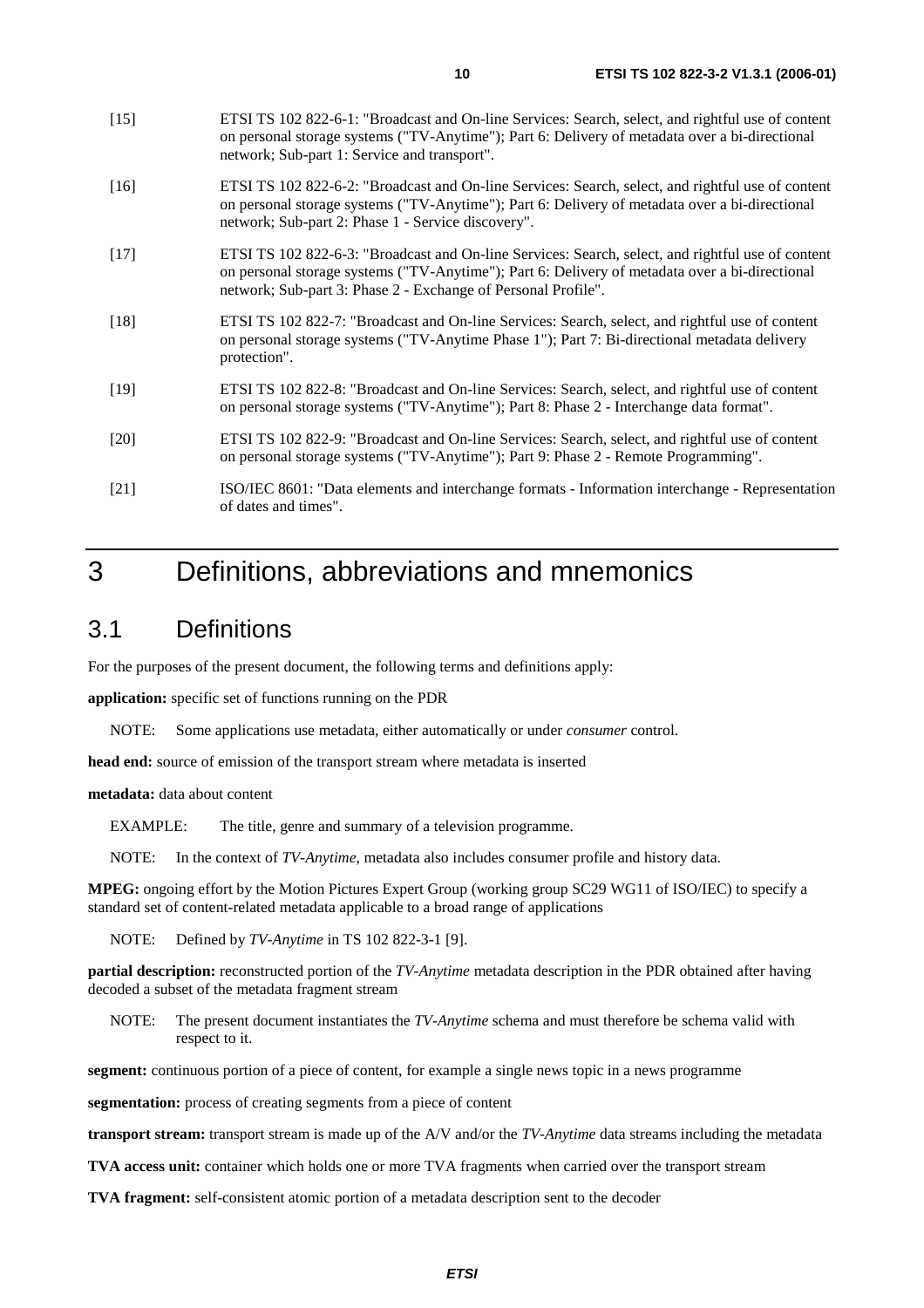- [15] ETSI TS 102 822-6-1: "Broadcast and On-line Services: Search, select, and rightful use of content on personal storage systems ("TV-Anytime"); Part 6: Delivery of metadata over a bi-directional network; Sub-part 1: Service and transport".
- [16] ETSI TS 102 822-6-2: "Broadcast and On-line Services: Search, select, and rightful use of content on personal storage systems ("TV-Anytime"); Part 6: Delivery of metadata over a bi-directional network; Sub-part 2: Phase 1 - Service discovery".
- [17] ETSI TS 102 822-6-3: "Broadcast and On-line Services: Search, select, and rightful use of content on personal storage systems ("TV-Anytime"); Part 6: Delivery of metadata over a bi-directional network; Sub-part 3: Phase 2 - Exchange of Personal Profile".
- [18] ETSI TS 102 822-7: "Broadcast and On-line Services: Search, select, and rightful use of content on personal storage systems ("TV-Anytime Phase 1"); Part 7: Bi-directional metadata delivery protection".
- [19] ETSI TS 102 822-8: "Broadcast and On-line Services: Search, select, and rightful use of content on personal storage systems ("TV-Anytime"); Part 8: Phase 2 - Interchange data format".
- [20] ETSI TS 102 822-9: "Broadcast and On-line Services: Search, select, and rightful use of content on personal storage systems ("TV-Anytime"); Part 9: Phase 2 - Remote Programming".
- [21] ISO/IEC 8601: "Data elements and interchange formats Information interchange Representation of dates and times".

# 3 Definitions, abbreviations and mnemonics

# 3.1 Definitions

For the purposes of the present document, the following terms and definitions apply:

**application:** specific set of functions running on the PDR

NOTE: Some applications use metadata, either automatically or under *consumer* control.

**head end:** source of emission of the transport stream where metadata is inserted

**metadata:** data about content

EXAMPLE: The title, genre and summary of a television programme.

NOTE: In the context of *TV-Anytime*, metadata also includes consumer profile and history data.

**MPEG:** ongoing effort by the Motion Pictures Expert Group (working group SC29 WG11 of ISO/IEC) to specify a standard set of content-related metadata applicable to a broad range of applications

NOTE: Defined by *TV-Anytime* in TS 102 822-3-1 [9].

**partial description:** reconstructed portion of the *TV-Anytime* metadata description in the PDR obtained after having decoded a subset of the metadata fragment stream

NOTE: The present document instantiates the *TV-Anytime* schema and must therefore be schema valid with respect to it.

**segment:** continuous portion of a piece of content, for example a single news topic in a news programme

**segmentation:** process of creating segments from a piece of content

**transport stream:** transport stream is made up of the A/V and/or the *TV-Anytime* data streams including the metadata

**TVA access unit:** container which holds one or more TVA fragments when carried over the transport stream

**TVA fragment:** self-consistent atomic portion of a metadata description sent to the decoder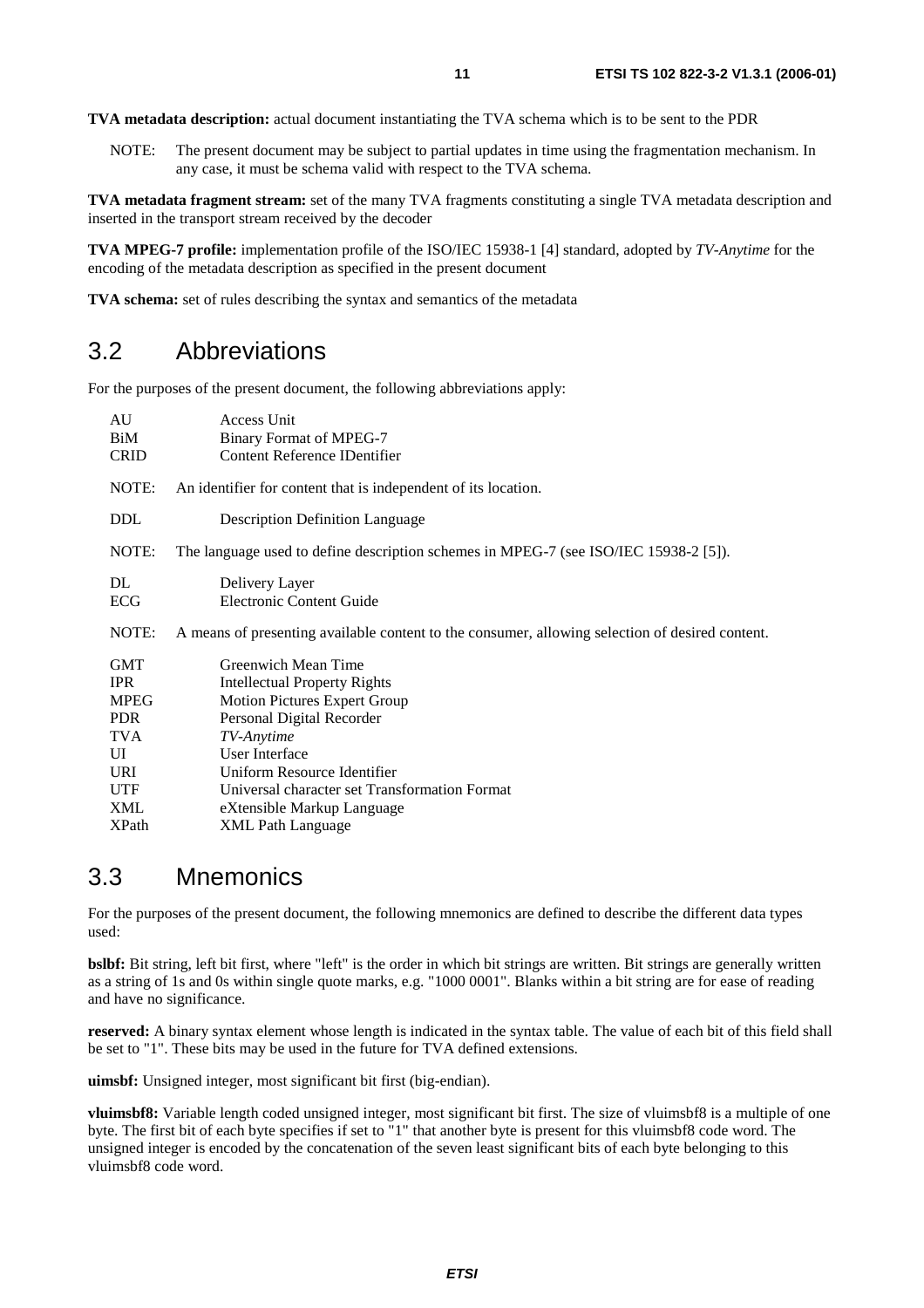**TVA metadata description:** actual document instantiating the TVA schema which is to be sent to the PDR

NOTE: The present document may be subject to partial updates in time using the fragmentation mechanism. In any case, it must be schema valid with respect to the TVA schema.

**TVA metadata fragment stream:** set of the many TVA fragments constituting a single TVA metadata description and inserted in the transport stream received by the decoder

**TVA MPEG-7 profile:** implementation profile of the ISO/IEC 15938-1 [4] standard, adopted by *TV-Anytime* for the encoding of the metadata description as specified in the present document

**TVA schema:** set of rules describing the syntax and semantics of the metadata

# 3.2 Abbreviations

For the purposes of the present document, the following abbreviations apply:

| AU<br>BiM<br><b>CRID</b>                                                                 | Access Unit<br><b>Binary Format of MPEG-7</b><br><b>Content Reference IDentifier</b>                                                                                                                                                                                         |
|------------------------------------------------------------------------------------------|------------------------------------------------------------------------------------------------------------------------------------------------------------------------------------------------------------------------------------------------------------------------------|
| NOTE:                                                                                    | An identifier for content that is independent of its location.                                                                                                                                                                                                               |
| DDL                                                                                      | <b>Description Definition Language</b>                                                                                                                                                                                                                                       |
| NOTE:                                                                                    | The language used to define description schemes in MPEG-7 (see ISO/IEC 15938-2 [5]).                                                                                                                                                                                         |
| DL<br>ECG                                                                                | Delivery Layer<br><b>Electronic Content Guide</b>                                                                                                                                                                                                                            |
| NOTE:                                                                                    | A means of presenting available content to the consumer, allowing selection of desired content.                                                                                                                                                                              |
| <b>GMT</b><br><b>IPR</b><br><b>MPEG</b><br>PDR.<br>TVA<br>UI<br>URI<br><b>UTF</b><br>XML | Greenwich Mean Time<br><b>Intellectual Property Rights</b><br><b>Motion Pictures Expert Group</b><br>Personal Digital Recorder<br>TV-Anytime<br>User Interface<br>Uniform Resource Identifier<br>Universal character set Transformation Format<br>eXtensible Markup Language |
| <b>XPath</b>                                                                             | <b>XML</b> Path Language                                                                                                                                                                                                                                                     |

# 3.3 Mnemonics

For the purposes of the present document, the following mnemonics are defined to describe the different data types used:

**bslbf:** Bit string, left bit first, where "left" is the order in which bit strings are written. Bit strings are generally written as a string of 1s and 0s within single quote marks, e.g. "1000 0001". Blanks within a bit string are for ease of reading and have no significance.

**reserved:** A binary syntax element whose length is indicated in the syntax table. The value of each bit of this field shall be set to "1". These bits may be used in the future for TVA defined extensions.

**uimsbf:** Unsigned integer, most significant bit first (big-endian).

**vluimsbf8:** Variable length coded unsigned integer, most significant bit first. The size of vluimsbf8 is a multiple of one byte. The first bit of each byte specifies if set to "1" that another byte is present for this vluimsbf8 code word. The unsigned integer is encoded by the concatenation of the seven least significant bits of each byte belonging to this vluimsbf8 code word.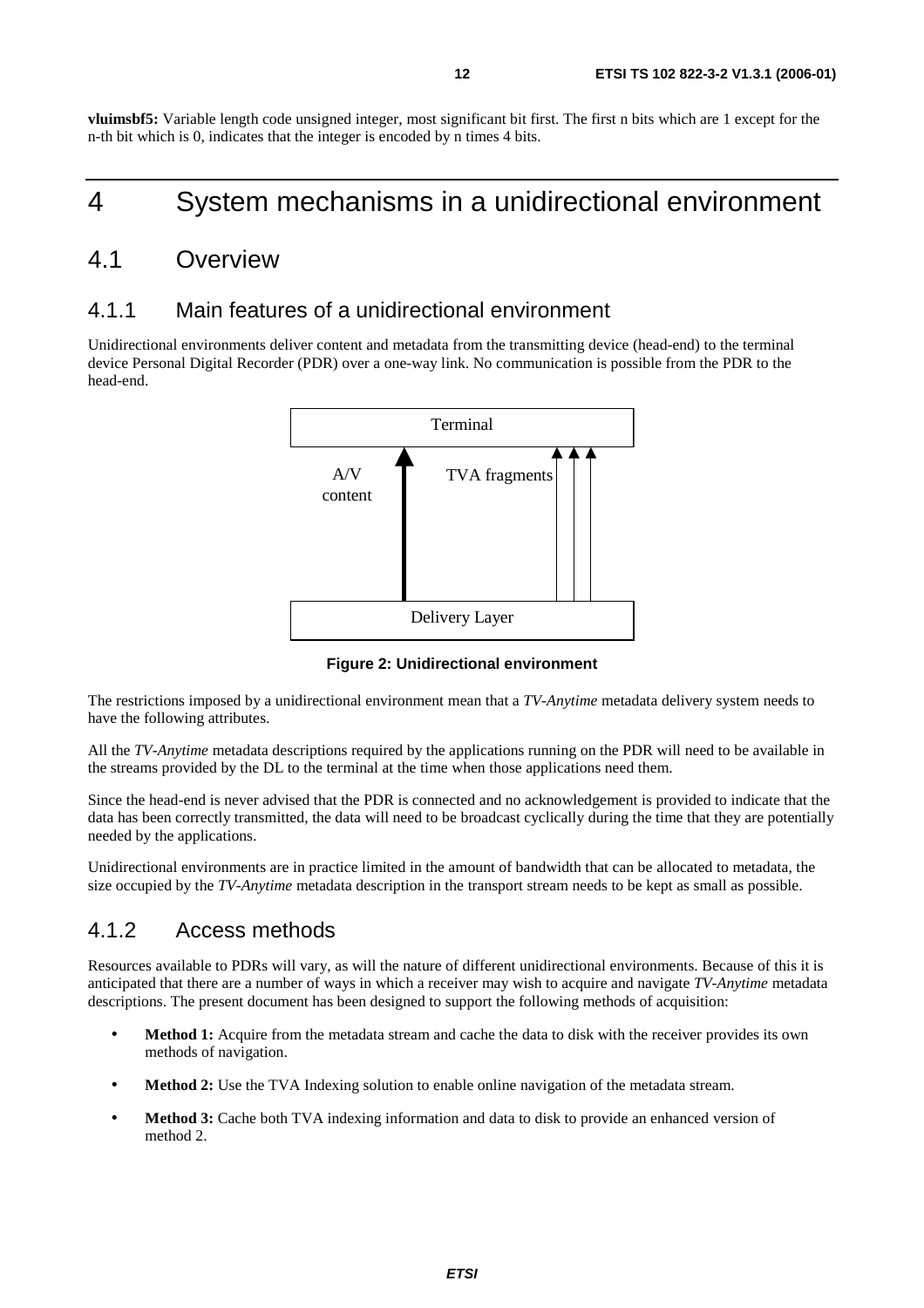**vluimsbf5:** Variable length code unsigned integer, most significant bit first. The first n bits which are 1 except for the n-th bit which is 0, indicates that the integer is encoded by n times 4 bits.

# 4 System mechanisms in a unidirectional environment

# 4.1 Overview

# 4.1.1 Main features of a unidirectional environment

Unidirectional environments deliver content and metadata from the transmitting device (head-end) to the terminal device Personal Digital Recorder (PDR) over a one-way link. No communication is possible from the PDR to the head-end.



**Figure 2: Unidirectional environment** 

The restrictions imposed by a unidirectional environment mean that a *TV-Anytime* metadata delivery system needs to have the following attributes.

All the *TV-Anytime* metadata descriptions required by the applications running on the PDR will need to be available in the streams provided by the DL to the terminal at the time when those applications need them.

Since the head-end is never advised that the PDR is connected and no acknowledgement is provided to indicate that the data has been correctly transmitted, the data will need to be broadcast cyclically during the time that they are potentially needed by the applications.

Unidirectional environments are in practice limited in the amount of bandwidth that can be allocated to metadata, the size occupied by the *TV-Anytime* metadata description in the transport stream needs to be kept as small as possible.

## 4.1.2 Access methods

Resources available to PDRs will vary, as will the nature of different unidirectional environments. Because of this it is anticipated that there are a number of ways in which a receiver may wish to acquire and navigate *TV-Anytime* metadata descriptions. The present document has been designed to support the following methods of acquisition:

- **Method 1:** Acquire from the metadata stream and cache the data to disk with the receiver provides its own methods of navigation.
- **Method 2:** Use the TVA Indexing solution to enable online navigation of the metadata stream.
- **Method 3:** Cache both TVA indexing information and data to disk to provide an enhanced version of method 2.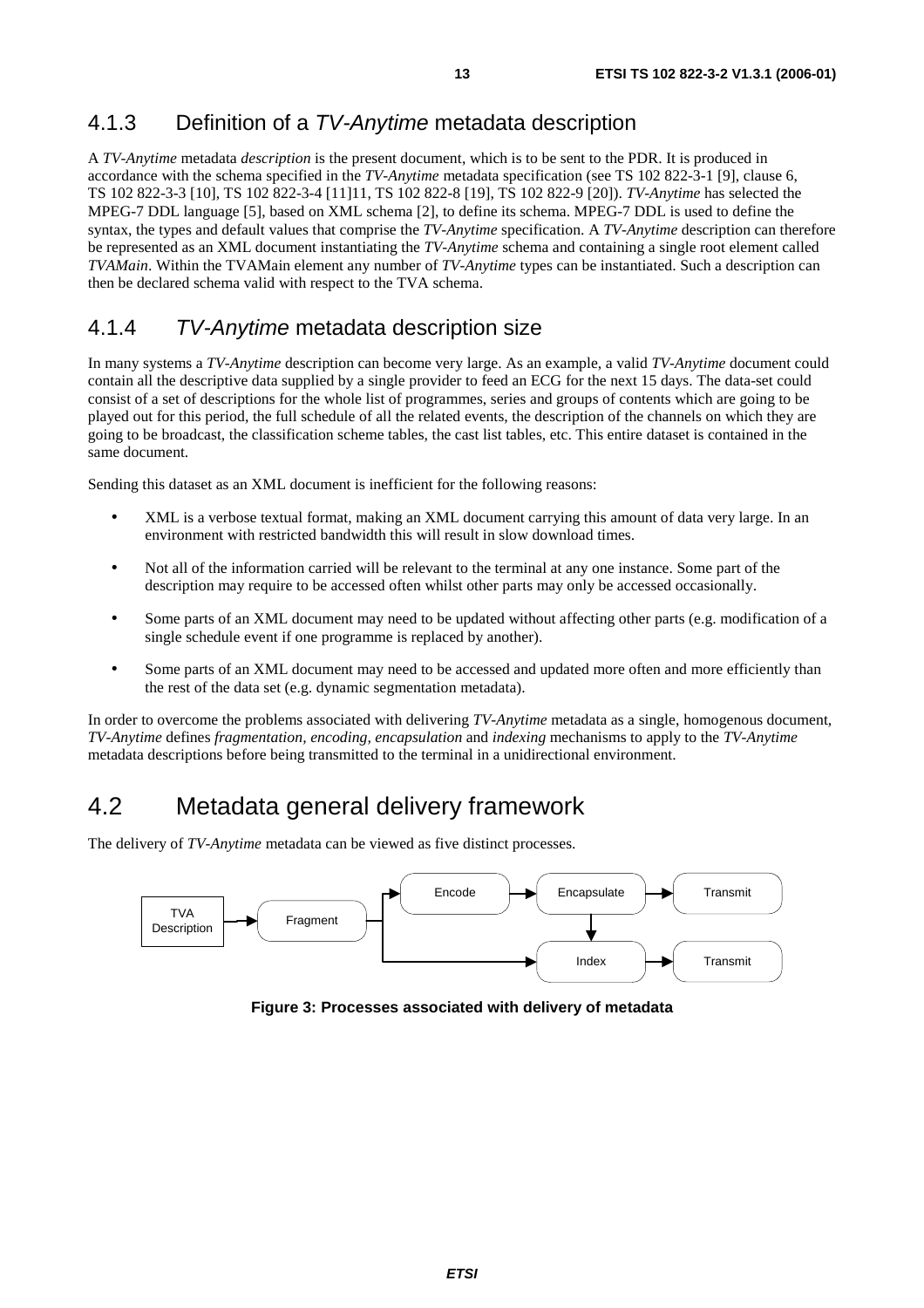# 4.1.3 Definition of a TV-Anytime metadata description

A *TV-Anytime* metadata *description* is the present document, which is to be sent to the PDR. It is produced in accordance with the schema specified in the *TV-Anytime* metadata specification (see TS 102 822-3-1 [9], clause 6, TS 102 822-3-3 [10], TS 102 822-3-4 [11]11, TS 102 822-8 [19], TS 102 822-9 [20]). *TV-Anytime* has selected the MPEG-7 DDL language [5], based on XML schema [2], to define its schema. MPEG-7 DDL is used to define the syntax, the types and default values that comprise the *TV-Anytime* specification. A *TV-Anytime* description can therefore be represented as an XML document instantiating the *TV-Anytime* schema and containing a single root element called *TVAMain*. Within the TVAMain element any number of *TV-Anytime* types can be instantiated. Such a description can then be declared schema valid with respect to the TVA schema.

# 4.1.4 TV-Anytime metadata description size

In many systems a *TV-Anytime* description can become very large. As an example, a valid *TV-Anytime* document could contain all the descriptive data supplied by a single provider to feed an ECG for the next 15 days. The data-set could consist of a set of descriptions for the whole list of programmes, series and groups of contents which are going to be played out for this period, the full schedule of all the related events, the description of the channels on which they are going to be broadcast, the classification scheme tables, the cast list tables, etc. This entire dataset is contained in the same document.

Sending this dataset as an XML document is inefficient for the following reasons:

- XML is a verbose textual format, making an XML document carrying this amount of data very large. In an environment with restricted bandwidth this will result in slow download times.
- Not all of the information carried will be relevant to the terminal at any one instance. Some part of the description may require to be accessed often whilst other parts may only be accessed occasionally.
- Some parts of an XML document may need to be updated without affecting other parts (e.g. modification of a single schedule event if one programme is replaced by another).
- Some parts of an XML document may need to be accessed and updated more often and more efficiently than the rest of the data set (e.g. dynamic segmentation metadata).

In order to overcome the problems associated with delivering *TV-Anytime* metadata as a single, homogenous document, *TV-Anytime* defines *fragmentation, encoding, encapsulation* and *indexing* mechanisms to apply to the *TV-Anytime* metadata descriptions before being transmitted to the terminal in a unidirectional environment.

# 4.2 Metadata general delivery framework

The delivery of *TV-Anytime* metadata can be viewed as five distinct processes.



**Figure 3: Processes associated with delivery of metadata**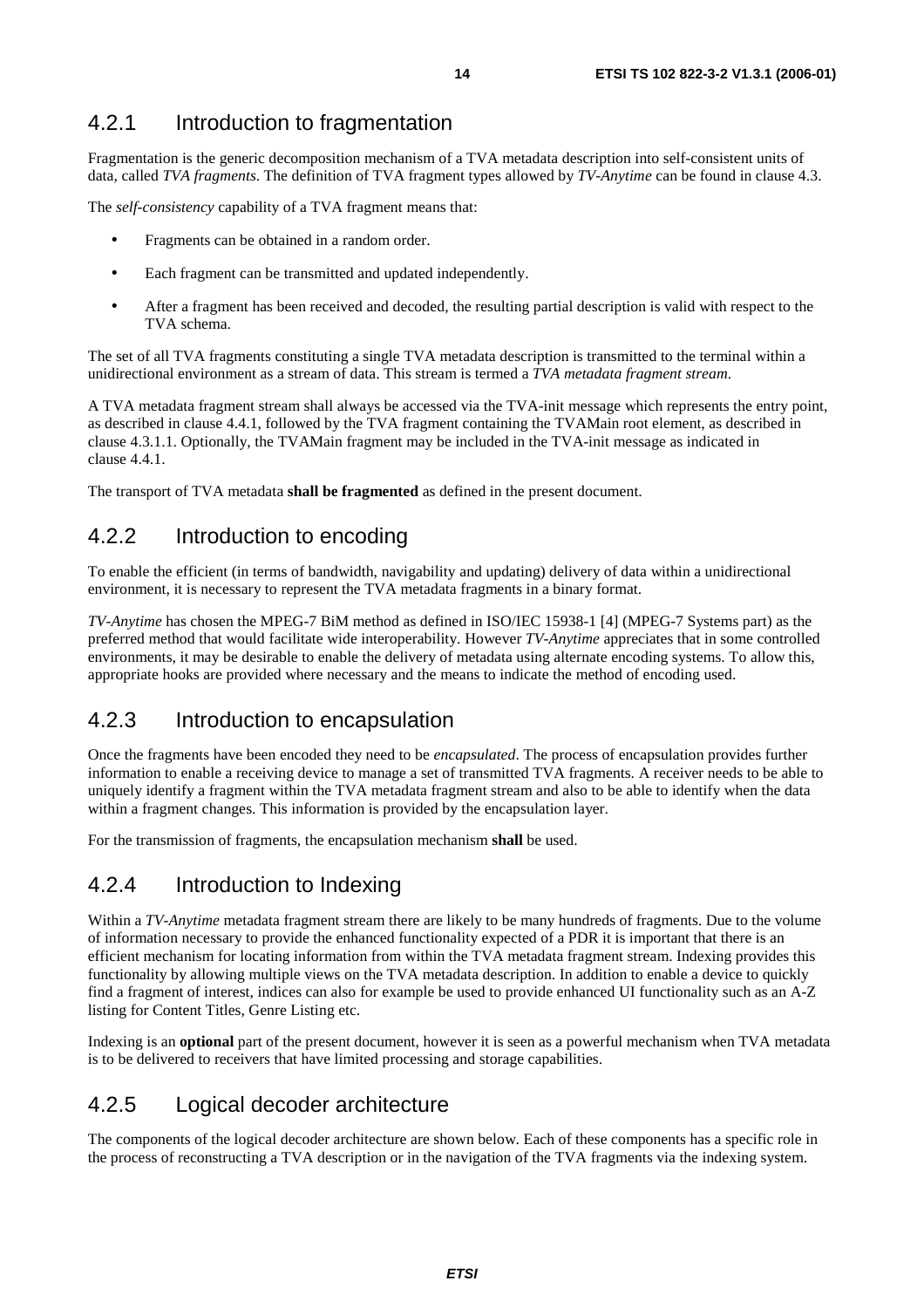## 4.2.1 Introduction to fragmentation

Fragmentation is the generic decomposition mechanism of a TVA metadata description into self-consistent units of data, called *TVA fragments*. The definition of TVA fragment types allowed by *TV-Anytime* can be found in clause 4.3.

The *self-consistency* capability of a TVA fragment means that:

- Fragments can be obtained in a random order.
- Each fragment can be transmitted and updated independently.
- After a fragment has been received and decoded, the resulting partial description is valid with respect to the TVA schema.

The set of all TVA fragments constituting a single TVA metadata description is transmitted to the terminal within a unidirectional environment as a stream of data. This stream is termed a *TVA metadata fragment stream*.

A TVA metadata fragment stream shall always be accessed via the TVA-init message which represents the entry point, as described in clause 4.4.1, followed by the TVA fragment containing the TVAMain root element, as described in clause 4.3.1.1. Optionally, the TVAMain fragment may be included in the TVA-init message as indicated in clause 4.4.1.

The transport of TVA metadata **shall be fragmented** as defined in the present document.

# 4.2.2 Introduction to encoding

To enable the efficient (in terms of bandwidth, navigability and updating) delivery of data within a unidirectional environment, it is necessary to represent the TVA metadata fragments in a binary format.

*TV-Anytime* has chosen the MPEG-7 BiM method as defined in ISO/IEC 15938-1 [4] (MPEG-7 Systems part) as the preferred method that would facilitate wide interoperability. However *TV-Anytime* appreciates that in some controlled environments, it may be desirable to enable the delivery of metadata using alternate encoding systems. To allow this, appropriate hooks are provided where necessary and the means to indicate the method of encoding used.

## 4.2.3 Introduction to encapsulation

Once the fragments have been encoded they need to be *encapsulated*. The process of encapsulation provides further information to enable a receiving device to manage a set of transmitted TVA fragments. A receiver needs to be able to uniquely identify a fragment within the TVA metadata fragment stream and also to be able to identify when the data within a fragment changes. This information is provided by the encapsulation layer.

For the transmission of fragments, the encapsulation mechanism **shall** be used.

### 4.2.4 Introduction to Indexing

Within a *TV-Anytime* metadata fragment stream there are likely to be many hundreds of fragments. Due to the volume of information necessary to provide the enhanced functionality expected of a PDR it is important that there is an efficient mechanism for locating information from within the TVA metadata fragment stream. Indexing provides this functionality by allowing multiple views on the TVA metadata description. In addition to enable a device to quickly find a fragment of interest, indices can also for example be used to provide enhanced UI functionality such as an A-Z listing for Content Titles, Genre Listing etc.

Indexing is an **optional** part of the present document, however it is seen as a powerful mechanism when TVA metadata is to be delivered to receivers that have limited processing and storage capabilities.

### 4.2.5 Logical decoder architecture

The components of the logical decoder architecture are shown below. Each of these components has a specific role in the process of reconstructing a TVA description or in the navigation of the TVA fragments via the indexing system.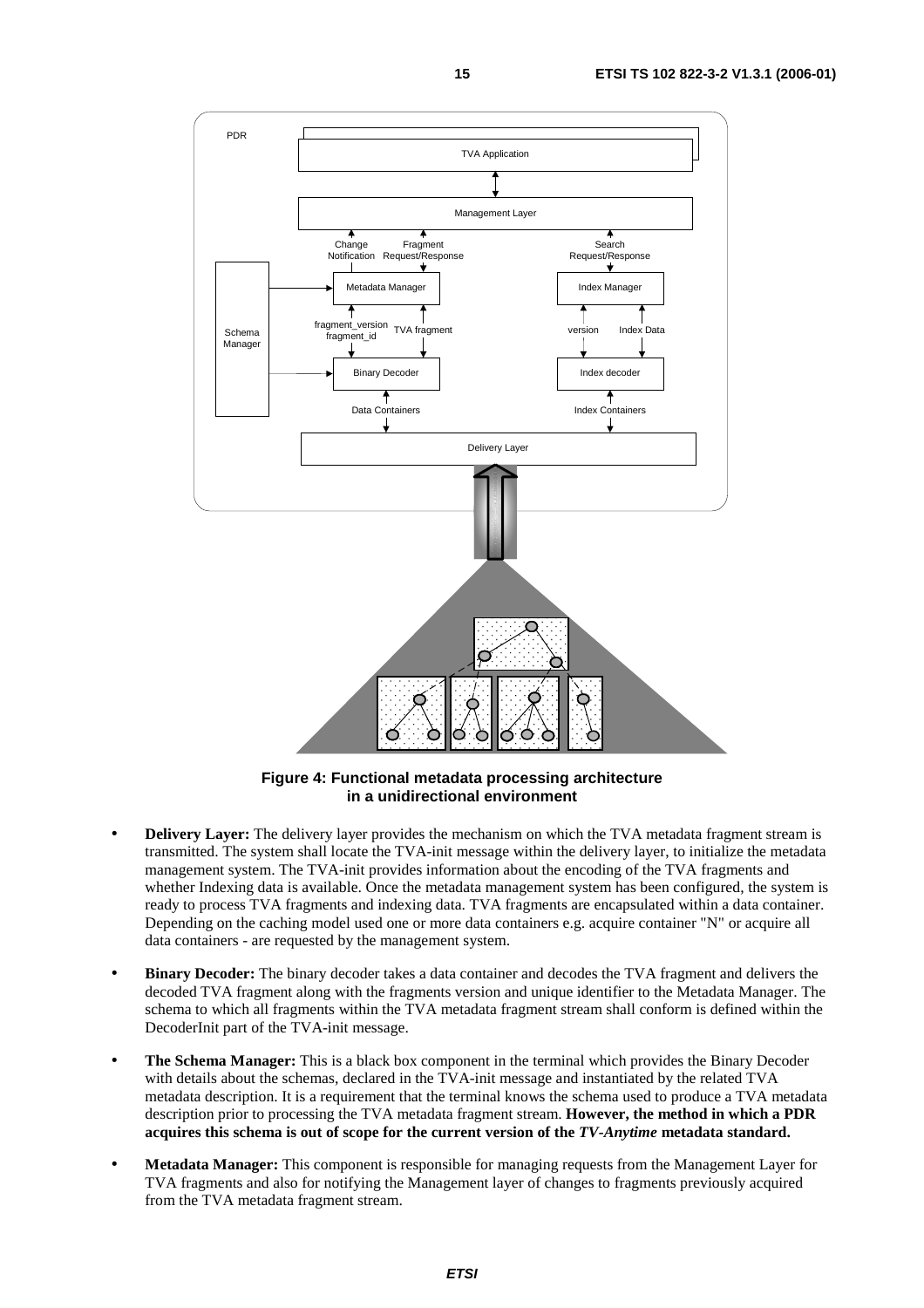

**Figure 4: Functional metadata processing architecture in a unidirectional environment** 

- **Delivery Layer:** The delivery layer provides the mechanism on which the TVA metadata fragment stream is transmitted. The system shall locate the TVA-init message within the delivery layer, to initialize the metadata management system. The TVA-init provides information about the encoding of the TVA fragments and whether Indexing data is available. Once the metadata management system has been configured, the system is ready to process TVA fragments and indexing data. TVA fragments are encapsulated within a data container. Depending on the caching model used one or more data containers e.g. acquire container "N" or acquire all data containers - are requested by the management system.
- **Binary Decoder:** The binary decoder takes a data container and decodes the TVA fragment and delivers the decoded TVA fragment along with the fragments version and unique identifier to the Metadata Manager. The schema to which all fragments within the TVA metadata fragment stream shall conform is defined within the DecoderInit part of the TVA-init message.
- **The Schema Manager:** This is a black box component in the terminal which provides the Binary Decoder with details about the schemas, declared in the TVA-init message and instantiated by the related TVA metadata description. It is a requirement that the terminal knows the schema used to produce a TVA metadata description prior to processing the TVA metadata fragment stream. **However, the method in which a PDR acquires this schema is out of scope for the current version of the** *TV-Anytime* **metadata standard.**
- **Metadata Manager:** This component is responsible for managing requests from the Management Layer for TVA fragments and also for notifying the Management layer of changes to fragments previously acquired from the TVA metadata fragment stream.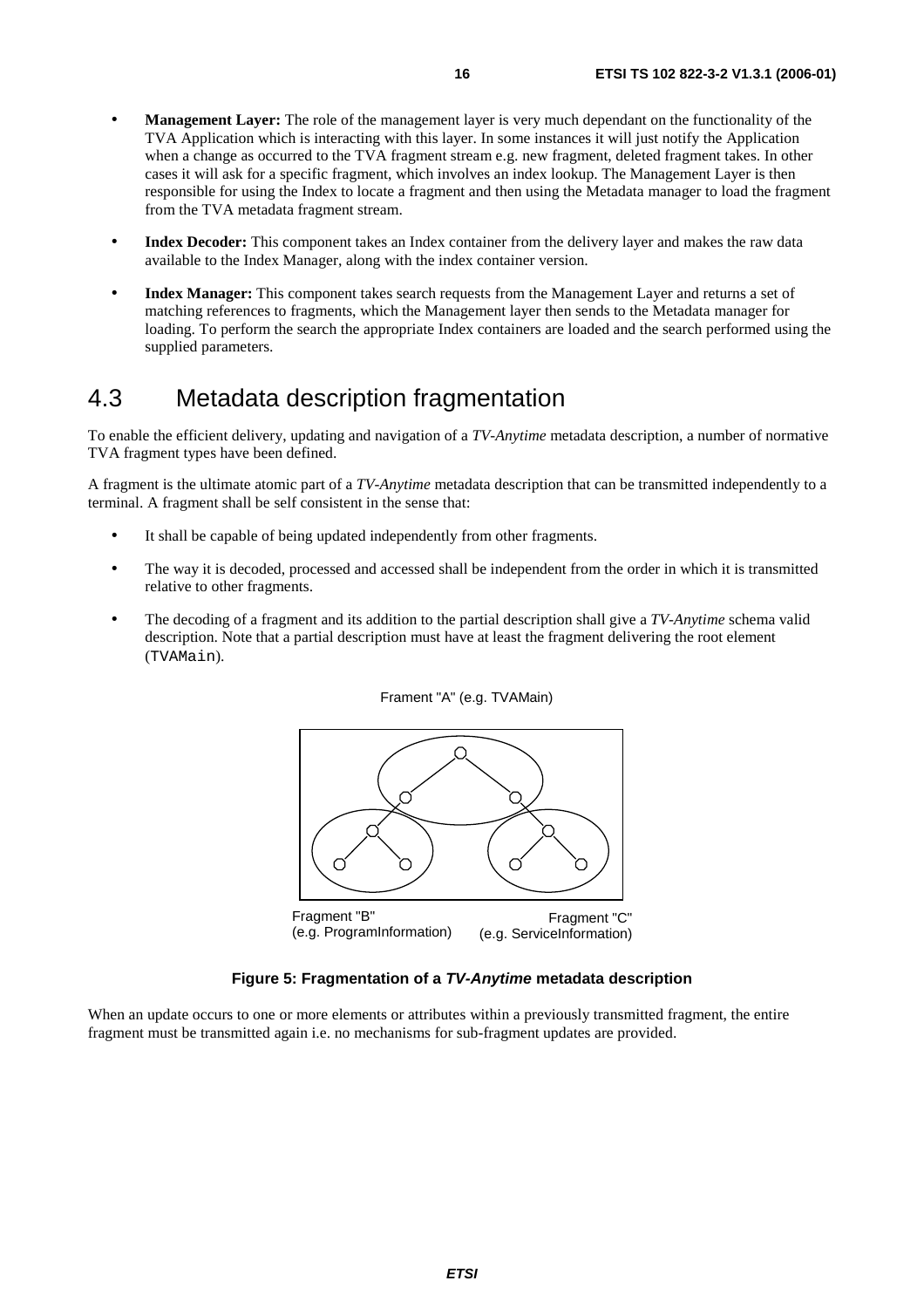- **Management Layer:** The role of the management layer is very much dependant on the functionality of the TVA Application which is interacting with this layer. In some instances it will just notify the Application when a change as occurred to the TVA fragment stream e.g. new fragment, deleted fragment takes. In other cases it will ask for a specific fragment, which involves an index lookup. The Management Layer is then responsible for using the Index to locate a fragment and then using the Metadata manager to load the fragment from the TVA metadata fragment stream.
- **Index Decoder:** This component takes an Index container from the delivery layer and makes the raw data available to the Index Manager, along with the index container version.
- **Index Manager:** This component takes search requests from the Management Layer and returns a set of matching references to fragments, which the Management layer then sends to the Metadata manager for loading. To perform the search the appropriate Index containers are loaded and the search performed using the supplied parameters.

# 4.3 Metadata description fragmentation

To enable the efficient delivery, updating and navigation of a *TV-Anytime* metadata description, a number of normative TVA fragment types have been defined.

A fragment is the ultimate atomic part of a *TV-Anytime* metadata description that can be transmitted independently to a terminal. A fragment shall be self consistent in the sense that:

- It shall be capable of being updated independently from other fragments.
- The way it is decoded, processed and accessed shall be independent from the order in which it is transmitted relative to other fragments.
- The decoding of a fragment and its addition to the partial description shall give a *TV-Anytime* schema valid description. Note that a partial description must have at least the fragment delivering the root element (TVAMain).





#### **Figure 5: Fragmentation of a TV-Anytime metadata description**

When an update occurs to one or more elements or attributes within a previously transmitted fragment, the entire fragment must be transmitted again i.e. no mechanisms for sub-fragment updates are provided.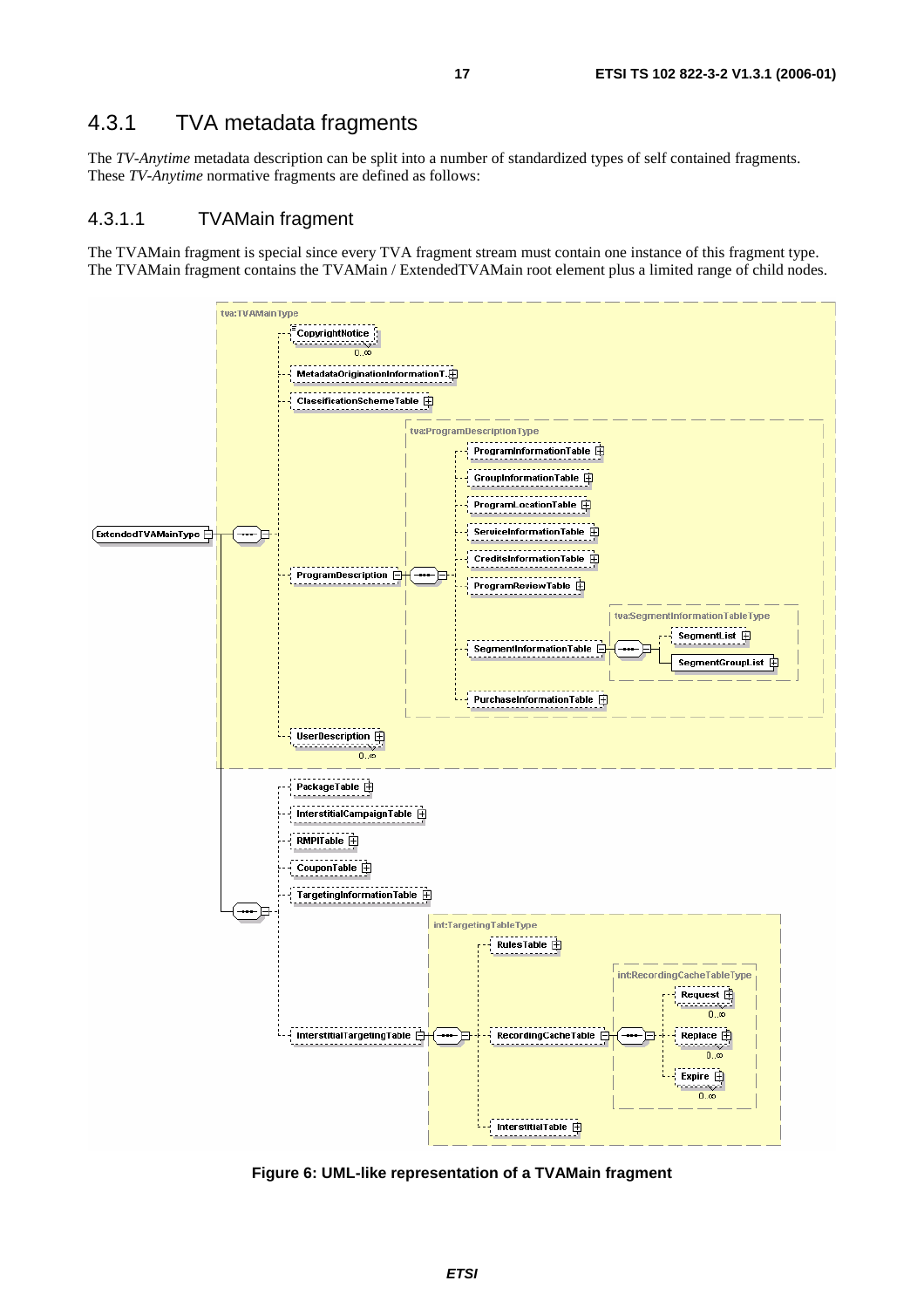# 4.3.1 TVA metadata fragments

The *TV-Anytime* metadata description can be split into a number of standardized types of self contained fragments. These *TV-Anytime* normative fragments are defined as follows:

#### 4.3.1.1 TVAMain fragment

The TVAMain fragment is special since every TVA fragment stream must contain one instance of this fragment type. The TVAMain fragment contains the TVAMain / ExtendedTVAMain root element plus a limited range of child nodes.



**Figure 6: UML-like representation of a TVAMain fragment**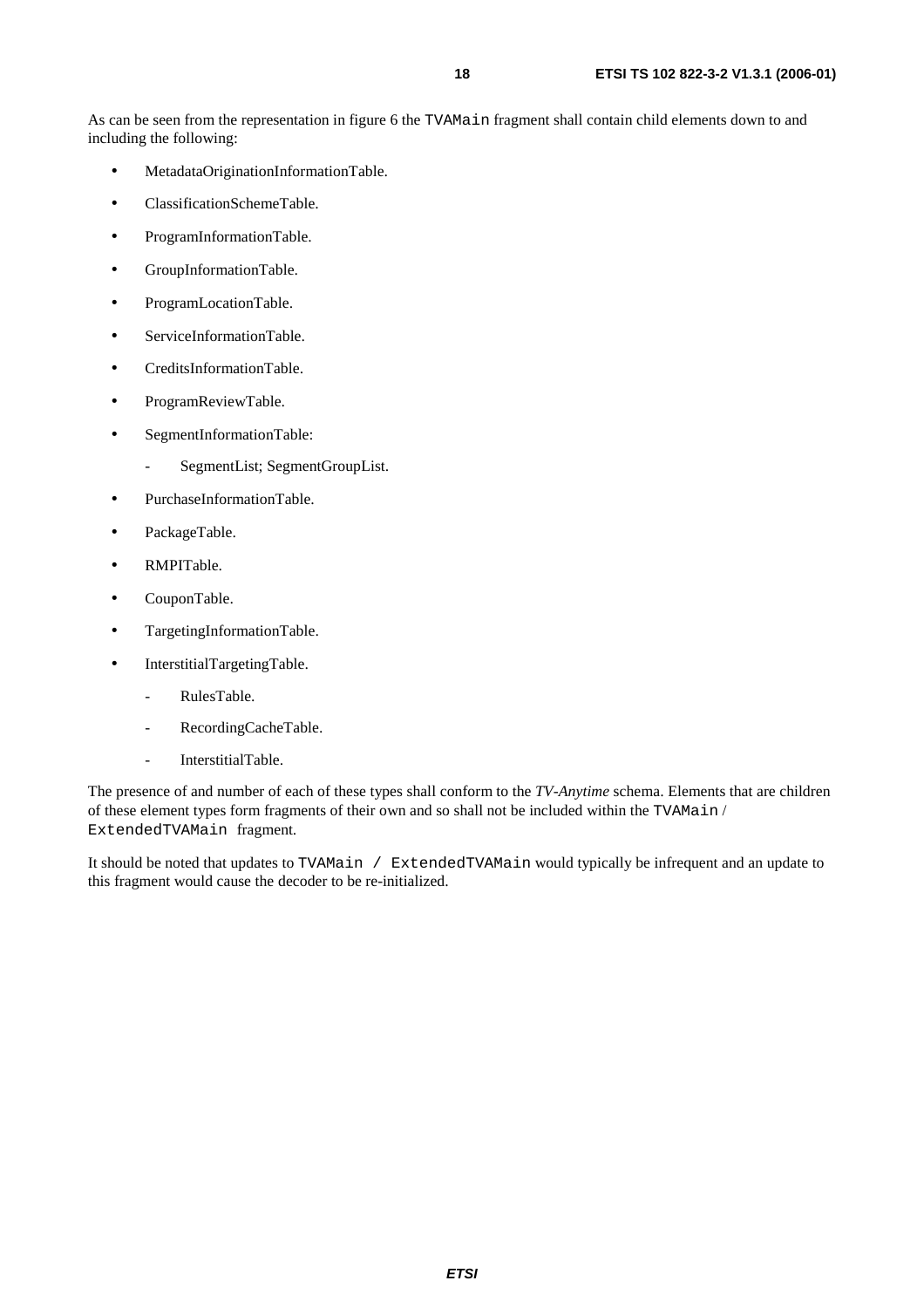As can be seen from the representation in figure 6 the TVAMain fragment shall contain child elements down to and including the following:

- MetadataOriginationInformationTable.
- ClassificationSchemeTable.
- ProgramInformationTable.
- GroupInformationTable.
- ProgramLocationTable.
- ServiceInformationTable.
- CreditsInformationTable.
- ProgramReviewTable.
- SegmentInformationTable:
	- SegmentList; SegmentGroupList.
- PurchaseInformationTable.
- PackageTable.
- RMPITable.
- CouponTable.
- TargetingInformationTable.
- InterstitialTargetingTable.
	- RulesTable.
	- RecordingCacheTable.
	- InterstitialTable.

The presence of and number of each of these types shall conform to the *TV-Anytime* schema. Elements that are children of these element types form fragments of their own and so shall not be included within the TVAMain / ExtendedTVAMain fragment.

It should be noted that updates to TVAMain / ExtendedTVAMain would typically be infrequent and an update to this fragment would cause the decoder to be re-initialized.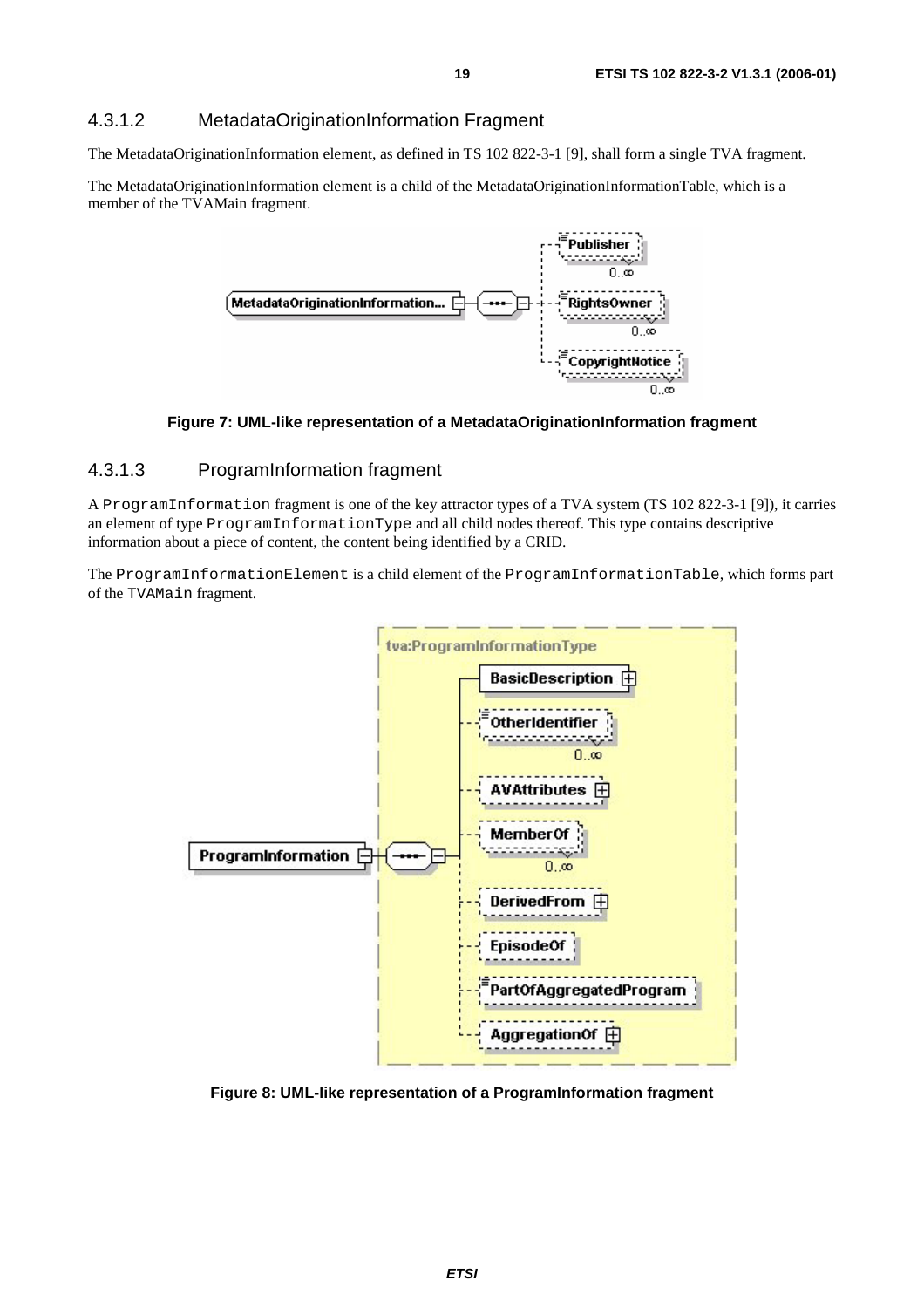#### 4.3.1.2 MetadataOriginationInformation Fragment

The MetadataOriginationInformation element, as defined in TS 102 822-3-1 [9], shall form a single TVA fragment.

The MetadataOriginationInformation element is a child of the MetadataOriginationInformationTable, which is a member of the TVAMain fragment.



**Figure 7: UML-like representation of a MetadataOriginationInformation fragment** 

#### 4.3.1.3 ProgramInformation fragment

A ProgramInformation fragment is one of the key attractor types of a TVA system (TS 102 822-3-1 [9]), it carries an element of type ProgramInformationType and all child nodes thereof. This type contains descriptive information about a piece of content, the content being identified by a CRID.

The ProgramInformationElement is a child element of the ProgramInformationTable, which forms part of the TVAMain fragment.



**Figure 8: UML-like representation of a ProgramInformation fragment**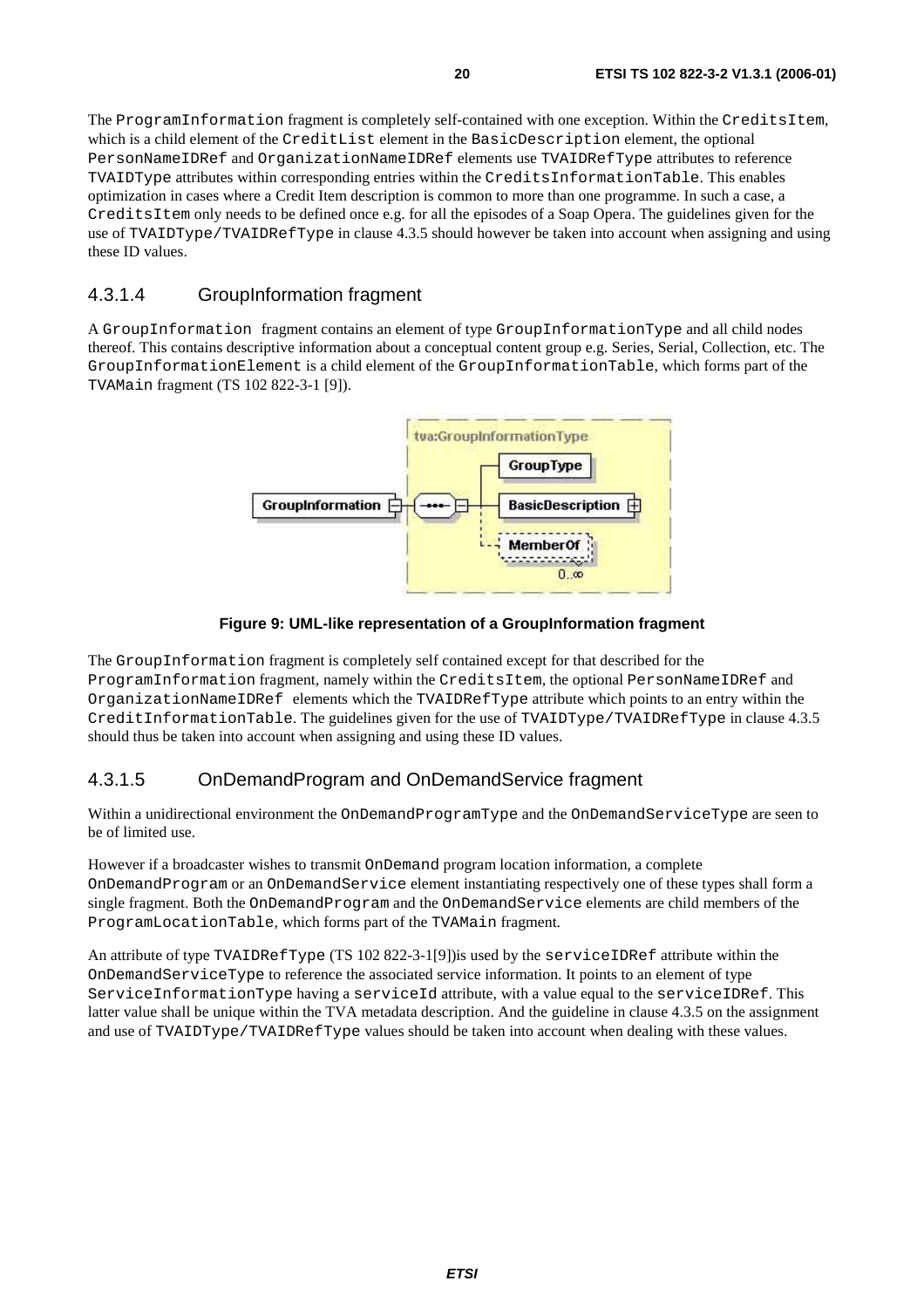The ProgramInformation fragment is completely self-contained with one exception. Within the CreditsItem, which is a child element of the CreditList element in the BasicDescription element, the optional PersonNameIDRef and OrganizationNameIDRef elements use TVAIDRefType attributes to reference TVAIDType attributes within corresponding entries within the CreditsInformationTable. This enables optimization in cases where a Credit Item description is common to more than one programme. In such a case, a CreditsItem only needs to be defined once e.g. for all the episodes of a Soap Opera. The guidelines given for the use of TVAIDType/TVAIDRefType in clause 4.3.5 should however be taken into account when assigning and using these ID values.

#### 4.3.1.4 GroupInformation fragment

A GroupInformation fragment contains an element of type GroupInformationType and all child nodes thereof. This contains descriptive information about a conceptual content group e.g. Series, Serial, Collection, etc. The GroupInformationElement is a child element of the GroupInformationTable, which forms part of the TVAMain fragment (TS 102 822-3-1 [9]).



**Figure 9: UML-like representation of a GroupInformation fragment** 

The GroupInformation fragment is completely self contained except for that described for the ProgramInformation fragment, namely within the CreditsItem, the optional PersonNameIDRef and OrganizationNameIDRef elements which the TVAIDRefType attribute which points to an entry within the CreditInformationTable. The guidelines given for the use of TVAIDType/TVAIDRefType in clause 4.3.5 should thus be taken into account when assigning and using these ID values.

### 4.3.1.5 OnDemandProgram and OnDemandService fragment

Within a unidirectional environment the OnDemandProgramType and the OnDemandServiceType are seen to be of limited use.

However if a broadcaster wishes to transmit OnDemand program location information, a complete OnDemandProgram or an OnDemandService element instantiating respectively one of these types shall form a single fragment. Both the OnDemandProgram and the OnDemandService elements are child members of the ProgramLocationTable, which forms part of the TVAMain fragment.

An attribute of type TVAIDRefType (TS 102 822-3-1[9])is used by the serviceIDRef attribute within the OnDemandServiceType to reference the associated service information. It points to an element of type ServiceInformationType having a serviceId attribute, with a value equal to the serviceIDRef. This latter value shall be unique within the TVA metadata description. And the guideline in clause 4.3.5 on the assignment and use of TVAIDType/TVAIDRefType values should be taken into account when dealing with these values.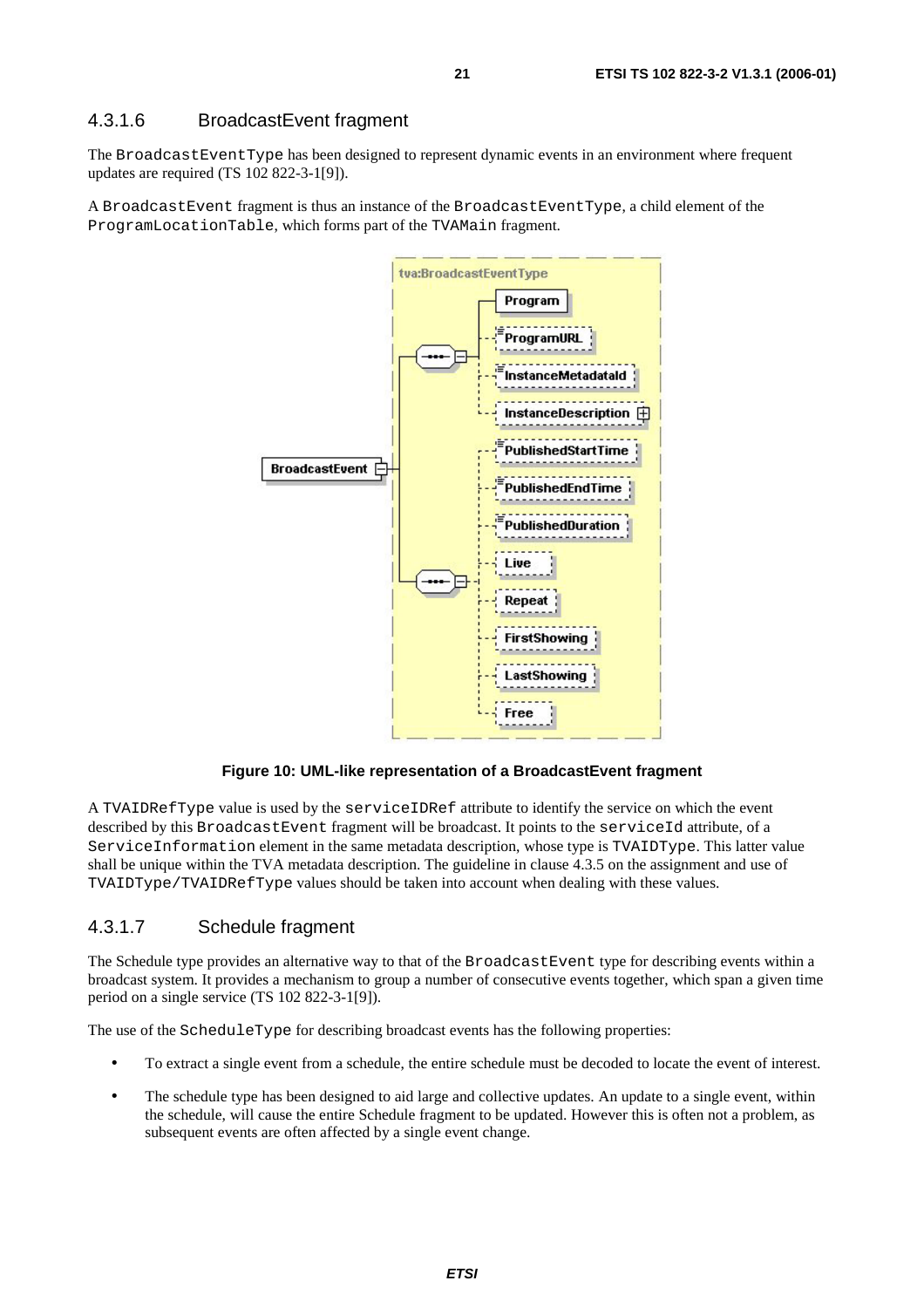#### 4.3.1.6 BroadcastEvent fragment

The BroadcastEventType has been designed to represent dynamic events in an environment where frequent updates are required (TS 102 822-3-1[9]).

A BroadcastEvent fragment is thus an instance of the BroadcastEventType, a child element of the ProgramLocationTable, which forms part of the TVAMain fragment.



**Figure 10: UML-like representation of a BroadcastEvent fragment** 

A TVAIDRefType value is used by the serviceIDRef attribute to identify the service on which the event described by this BroadcastEvent fragment will be broadcast. It points to the serviceId attribute, of a ServiceInformation element in the same metadata description, whose type is TVAIDType. This latter value shall be unique within the TVA metadata description. The guideline in clause 4.3.5 on the assignment and use of TVAIDType/TVAIDRefType values should be taken into account when dealing with these values.

#### 4.3.1.7 Schedule fragment

The Schedule type provides an alternative way to that of the BroadcastEvent type for describing events within a broadcast system. It provides a mechanism to group a number of consecutive events together, which span a given time period on a single service (TS 102 822-3-1[9]).

The use of the ScheduleType for describing broadcast events has the following properties:

- To extract a single event from a schedule, the entire schedule must be decoded to locate the event of interest.
- The schedule type has been designed to aid large and collective updates. An update to a single event, within the schedule, will cause the entire Schedule fragment to be updated. However this is often not a problem, as subsequent events are often affected by a single event change.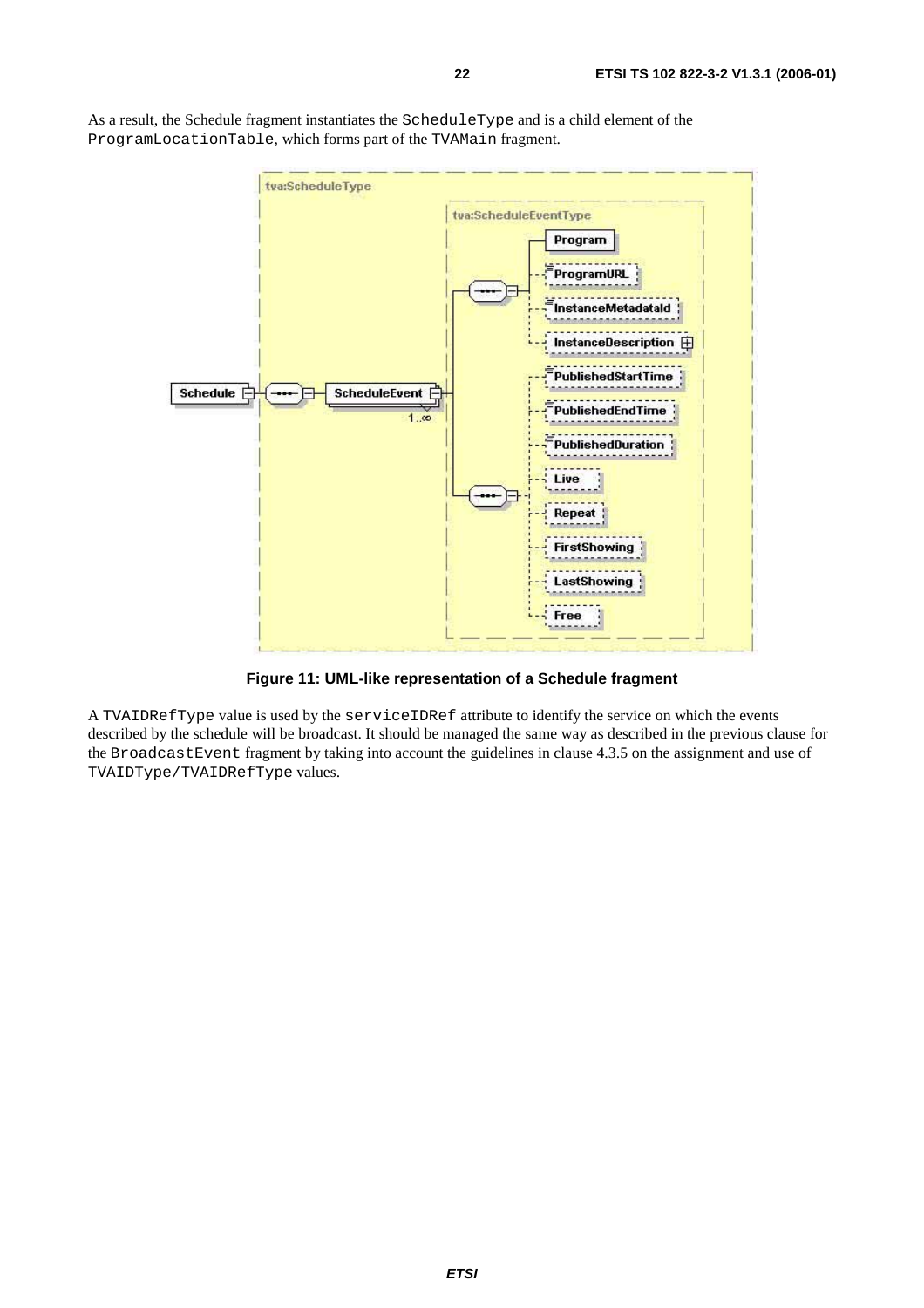

As a result, the Schedule fragment instantiates the ScheduleType and is a child element of the ProgramLocationTable, which forms part of the TVAMain fragment.

**Figure 11: UML-like representation of a Schedule fragment** 

A TVAIDRefType value is used by the serviceIDRef attribute to identify the service on which the events described by the schedule will be broadcast. It should be managed the same way as described in the previous clause for the BroadcastEvent fragment by taking into account the guidelines in clause 4.3.5 on the assignment and use of TVAIDType/TVAIDRefType values.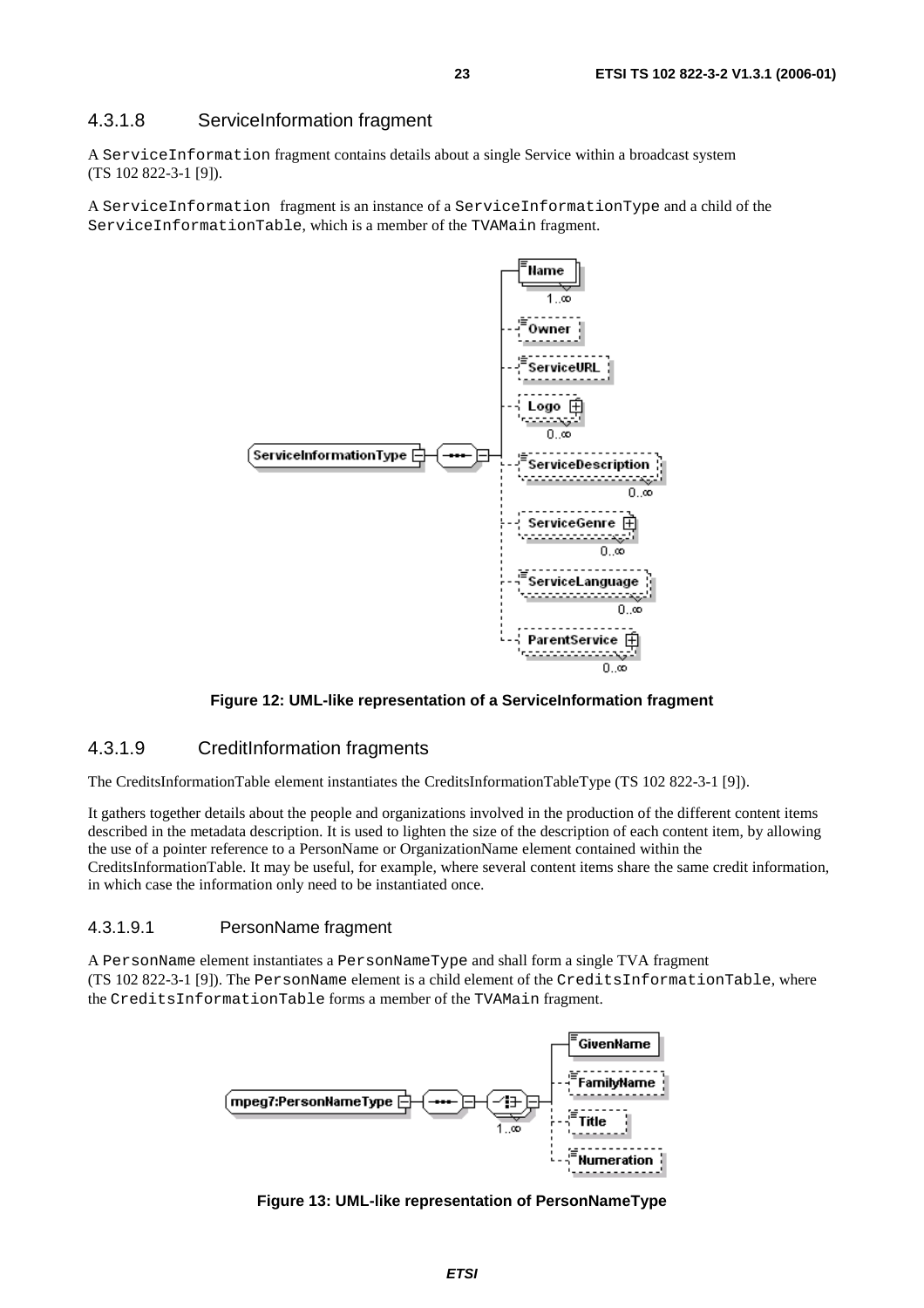#### 4.3.1.8 ServiceInformation fragment

A ServiceInformation fragment contains details about a single Service within a broadcast system (TS 102 822-3-1 [9]).

A ServiceInformation fragment is an instance of a ServiceInformationType and a child of the ServiceInformationTable, which is a member of the TVAMain fragment.



#### **Figure 12: UML-like representation of a ServiceInformation fragment**

#### 4.3.1.9 CreditInformation fragments

The CreditsInformationTable element instantiates the CreditsInformationTableType (TS 102 822-3-1 [9]).

It gathers together details about the people and organizations involved in the production of the different content items described in the metadata description. It is used to lighten the size of the description of each content item, by allowing the use of a pointer reference to a PersonName or OrganizationName element contained within the CreditsInformationTable. It may be useful, for example, where several content items share the same credit information, in which case the information only need to be instantiated once.

#### 4.3.1.9.1 PersonName fragment

A PersonName element instantiates a PersonNameType and shall form a single TVA fragment (TS 102 822-3-1 [9]). The PersonName element is a child element of the CreditsInformationTable, where the CreditsInformationTable forms a member of the TVAMain fragment.



**Figure 13: UML-like representation of PersonNameType**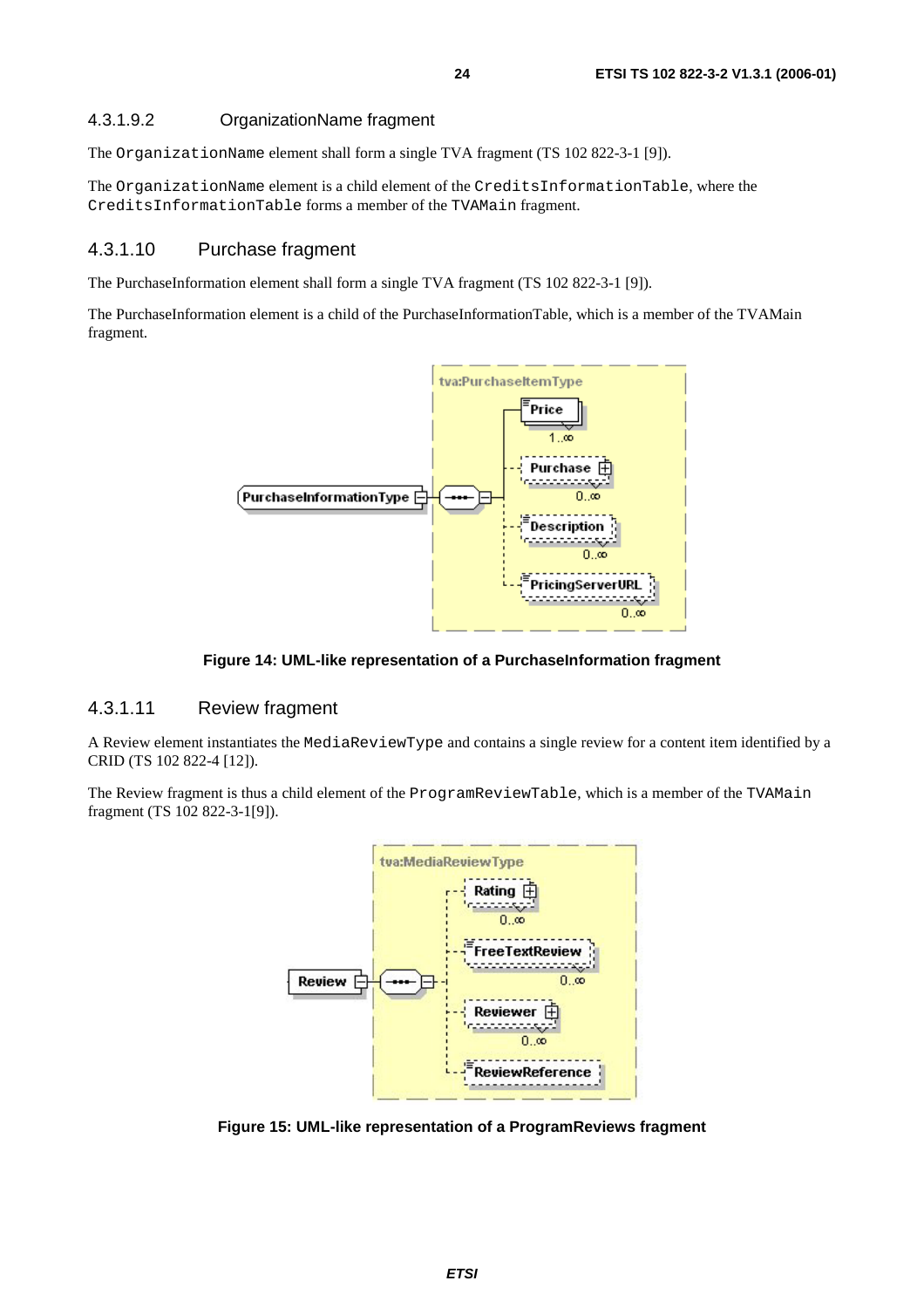#### 4.3.1.9.2 OrganizationName fragment

The OrganizationName element shall form a single TVA fragment (TS 102 822-3-1 [9]).

The OrganizationName element is a child element of the CreditsInformationTable, where the CreditsInformationTable forms a member of the TVAMain fragment.

#### 4.3.1.10 Purchase fragment

The PurchaseInformation element shall form a single TVA fragment (TS 102 822-3-1 [9]).

The PurchaseInformation element is a child of the PurchaseInformationTable, which is a member of the TVAMain fragment.



**Figure 14: UML-like representation of a PurchaseInformation fragment** 

#### 4.3.1.11 Review fragment

A Review element instantiates the MediaReviewType and contains a single review for a content item identified by a CRID (TS 102 822-4 [12]).

The Review fragment is thus a child element of the ProgramReviewTable, which is a member of the TVAMain fragment (TS 102 822-3-1[9]).



**Figure 15: UML-like representation of a ProgramReviews fragment**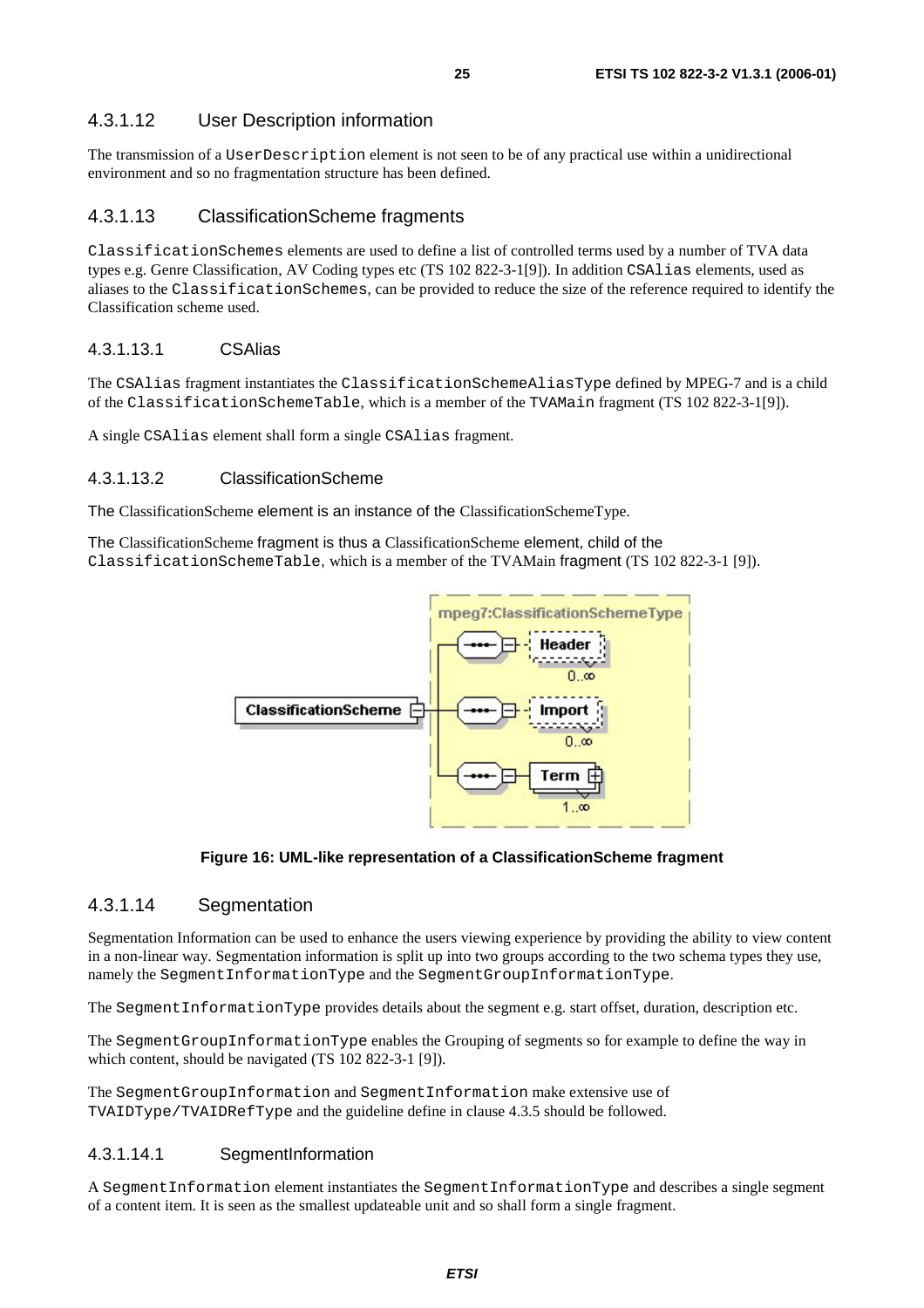### 4.3.1.12 User Description information

The transmission of a UserDescription element is not seen to be of any practical use within a unidirectional environment and so no fragmentation structure has been defined.

#### 4.3.1.13 ClassificationScheme fragments

ClassificationSchemes elements are used to define a list of controlled terms used by a number of TVA data types e.g. Genre Classification, AV Coding types etc (TS 102 822-3-1[9]). In addition CSAlias elements, used as aliases to the ClassificationSchemes, can be provided to reduce the size of the reference required to identify the Classification scheme used.

#### 4.3.1.13.1 CSAlias

The CSAlias fragment instantiates the ClassificationSchemeAliasType defined by MPEG-7 and is a child of the ClassificationSchemeTable, which is a member of the TVAMain fragment (TS 102 822-3-1[9]).

A single CSAlias element shall form a single CSAlias fragment.

#### 4.3.1.13.2 ClassificationScheme

The ClassificationScheme element is an instance of the ClassificationSchemeType.

The ClassificationScheme fragment is thus a ClassificationScheme element, child of the ClassificationSchemeTable, which is a member of the TVAMain fragment (TS 102 822-3-1 [9]).



#### **Figure 16: UML-like representation of a ClassificationScheme fragment**

### 4.3.1.14 Segmentation

Segmentation Information can be used to enhance the users viewing experience by providing the ability to view content in a non-linear way. Segmentation information is split up into two groups according to the two schema types they use, namely the SegmentInformationType and the SegmentGroupInformationType.

The SegmentInformationType provides details about the segment e.g. start offset, duration, description etc.

The SegmentGroupInformationType enables the Grouping of segments so for example to define the way in which content, should be navigated (TS 102 822-3-1 [9]).

The SegmentGroupInformation and SegmentInformation make extensive use of TVAIDType/TVAIDRefType and the guideline define in clause 4.3.5 should be followed.

#### 4.3.1.14.1 SegmentInformation

A SegmentInformation element instantiates the SegmentInformationType and describes a single segment of a content item. It is seen as the smallest updateable unit and so shall form a single fragment.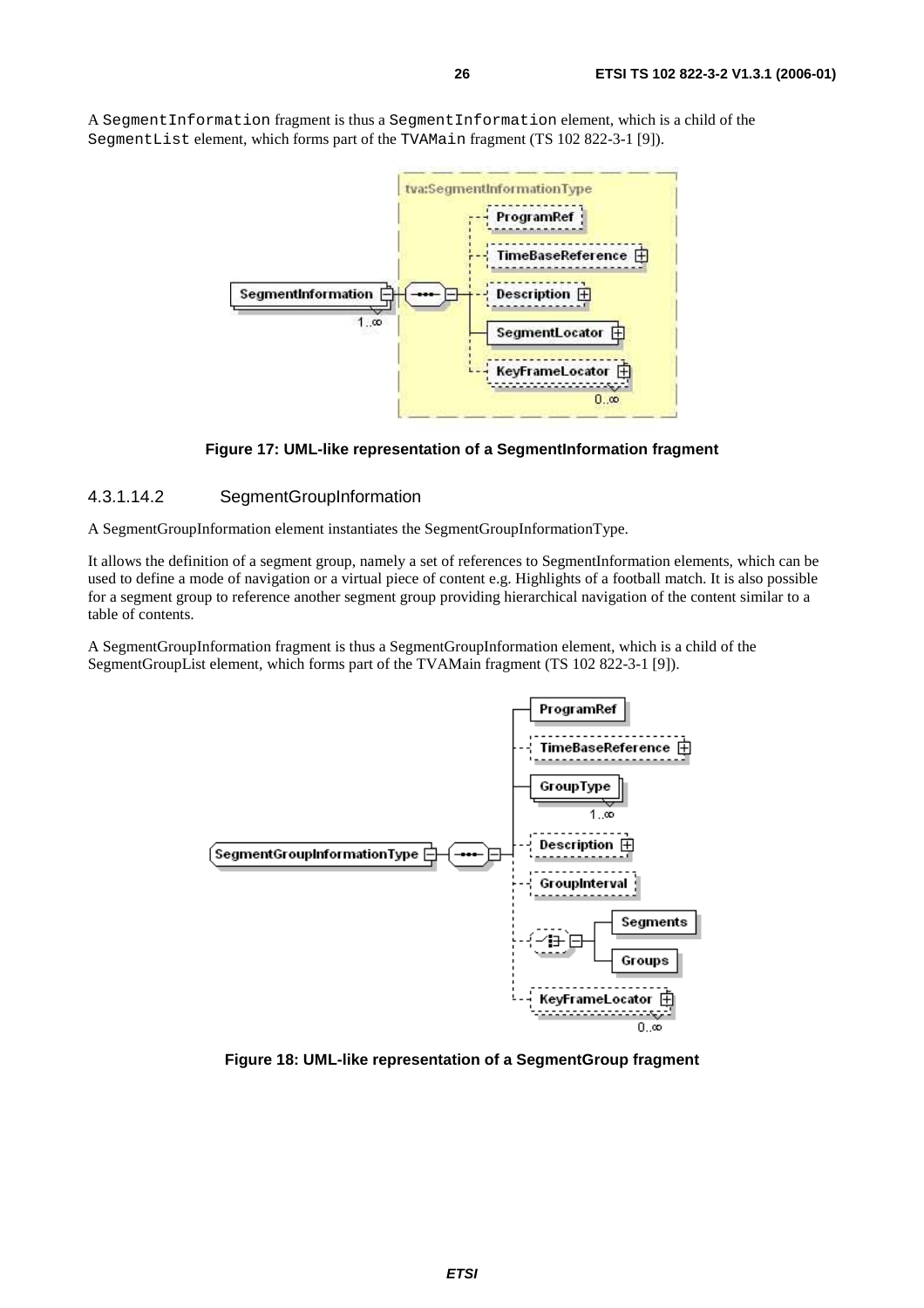A SegmentInformation fragment is thus a SegmentInformation element, which is a child of the SegmentList element, which forms part of the TVAMain fragment (TS 102 822-3-1 [9]).



**Figure 17: UML-like representation of a SegmentInformation fragment** 

#### 4.3.1.14.2 SegmentGroupInformation

A SegmentGroupInformation element instantiates the SegmentGroupInformationType.

It allows the definition of a segment group, namely a set of references to SegmentInformation elements, which can be used to define a mode of navigation or a virtual piece of content e.g. Highlights of a football match. It is also possible for a segment group to reference another segment group providing hierarchical navigation of the content similar to a table of contents.

A SegmentGroupInformation fragment is thus a SegmentGroupInformation element, which is a child of the SegmentGroupList element, which forms part of the TVAMain fragment (TS 102 822-3-1 [9]).



**Figure 18: UML-like representation of a SegmentGroup fragment**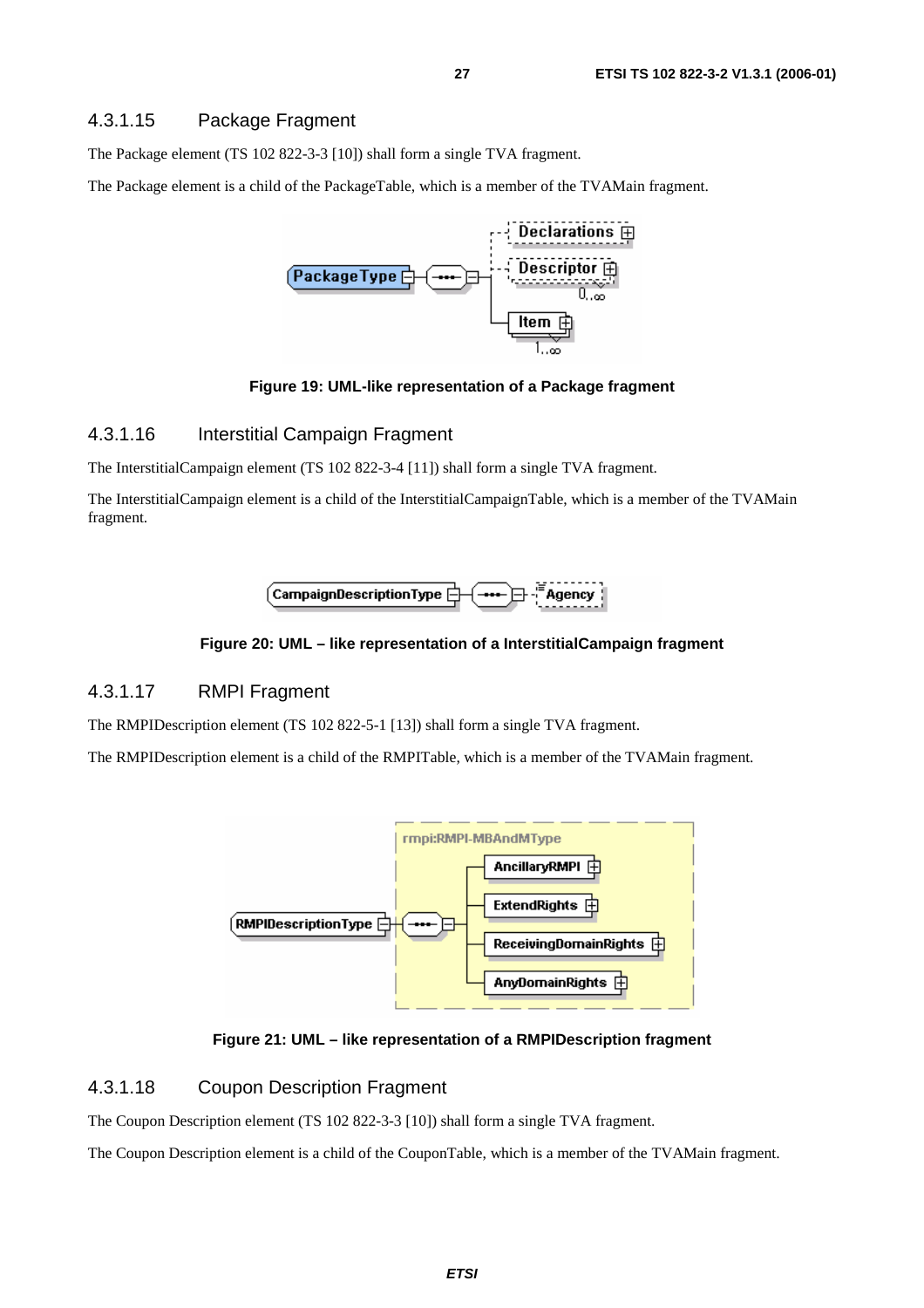#### 4.3.1.15 Package Fragment

The Package element (TS 102 822-3-3 [10]) shall form a single TVA fragment.

The Package element is a child of the PackageTable, which is a member of the TVAMain fragment.



#### **Figure 19: UML-like representation of a Package fragment**

#### 4.3.1.16 Interstitial Campaign Fragment

The InterstitialCampaign element (TS 102 822-3-4 [11]) shall form a single TVA fragment.

The InterstitialCampaign element is a child of the InterstitialCampaignTable, which is a member of the TVAMain fragment.



#### **Figure 20: UML – like representation of a InterstitialCampaign fragment**

#### 4.3.1.17 RMPI Fragment

The RMPIDescription element (TS 102 822-5-1 [13]) shall form a single TVA fragment.

The RMPIDescription element is a child of the RMPITable, which is a member of the TVAMain fragment.



**Figure 21: UML – like representation of a RMPIDescription fragment** 

#### 4.3.1.18 Coupon Description Fragment

The Coupon Description element (TS 102 822-3-3 [10]) shall form a single TVA fragment.

The Coupon Description element is a child of the CouponTable, which is a member of the TVAMain fragment.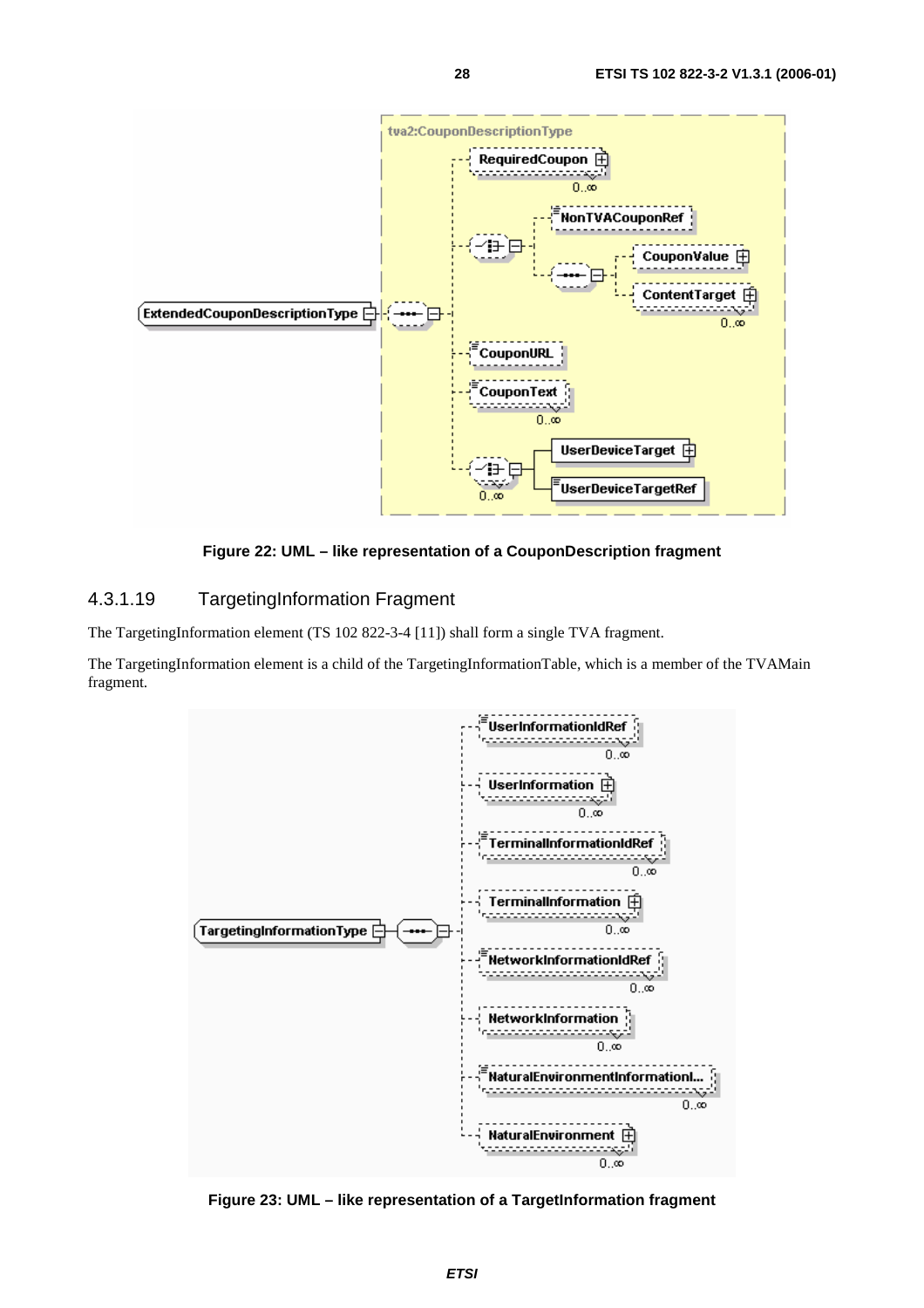

**Figure 22: UML – like representation of a CouponDescription fragment** 

#### 4.3.1.19 TargetingInformation Fragment

The TargetingInformation element (TS 102 822-3-4 [11]) shall form a single TVA fragment.

The TargetingInformation element is a child of the TargetingInformationTable, which is a member of the TVAMain fragment.



**Figure 23: UML – like representation of a TargetInformation fragment**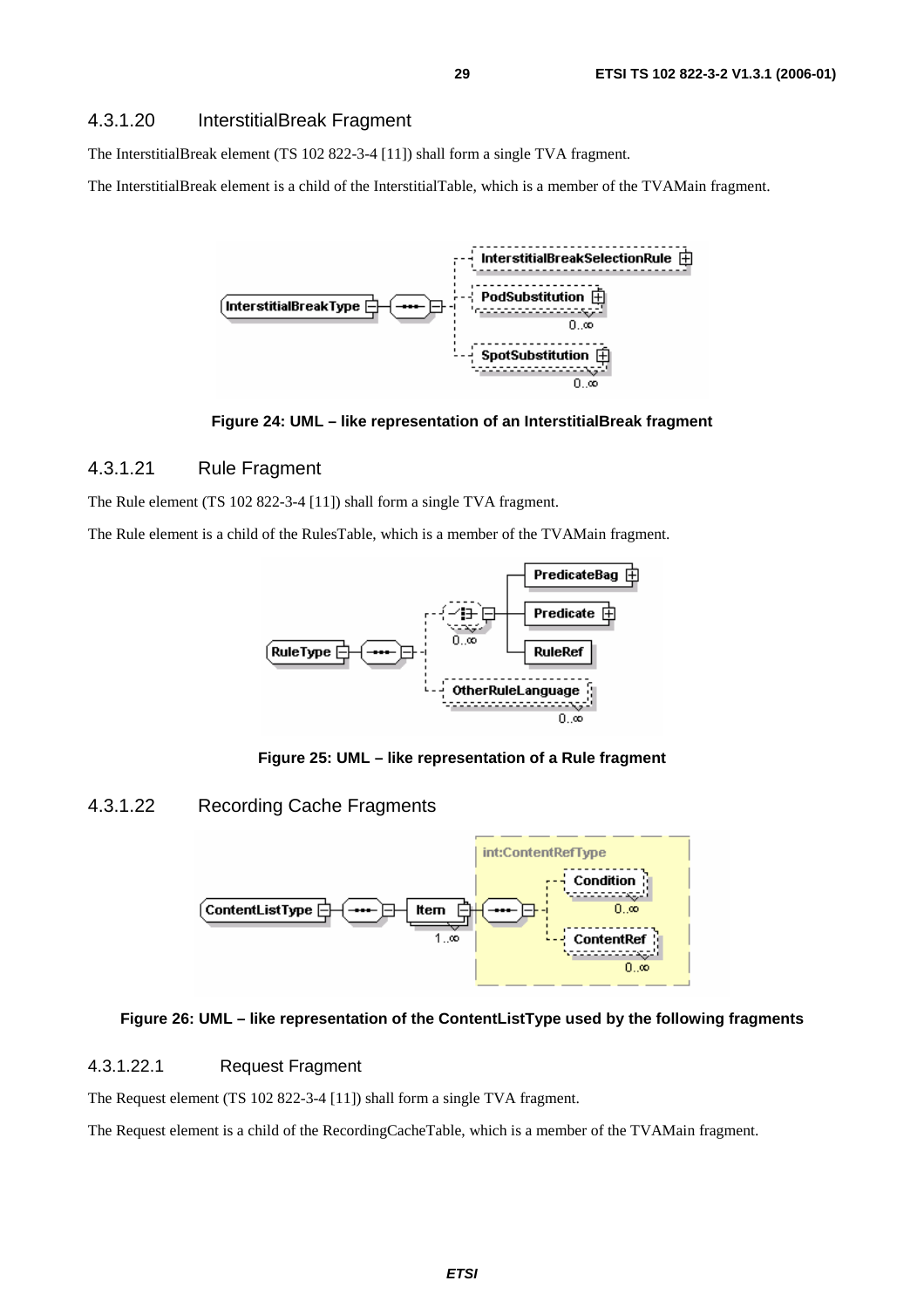The InterstitialBreak element (TS 102 822-3-4 [11]) shall form a single TVA fragment.

The InterstitialBreak element is a child of the InterstitialTable, which is a member of the TVAMain fragment.



**Figure 24: UML – like representation of an InterstitialBreak fragment** 

#### 4.3.1.21 Rule Fragment

The Rule element (TS 102 822-3-4 [11]) shall form a single TVA fragment.

The Rule element is a child of the RulesTable, which is a member of the TVAMain fragment.



**Figure 25: UML – like representation of a Rule fragment** 

#### 4.3.1.22 Recording Cache Fragments



#### **Figure 26: UML – like representation of the ContentListType used by the following fragments**

#### 4.3.1.22.1 Request Fragment

The Request element (TS 102 822-3-4 [11]) shall form a single TVA fragment.

The Request element is a child of the RecordingCacheTable, which is a member of the TVAMain fragment.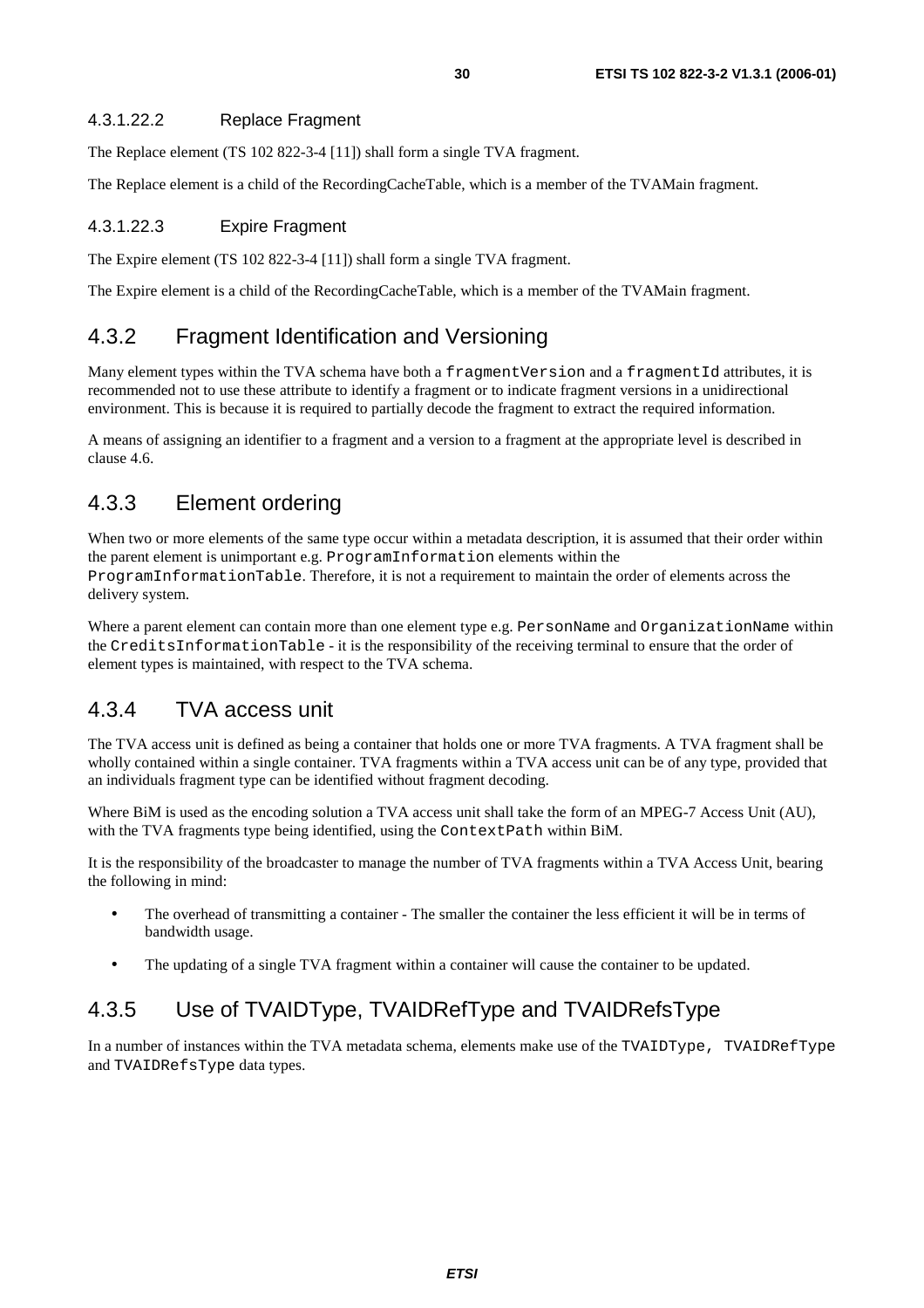#### 4.3.1.22.2 Replace Fragment

The Replace element (TS 102 822-3-4 [11]) shall form a single TVA fragment.

The Replace element is a child of the RecordingCacheTable, which is a member of the TVAMain fragment.

#### 4.3.1.22.3 Expire Fragment

The Expire element (TS 102 822-3-4 [11]) shall form a single TVA fragment.

The Expire element is a child of the RecordingCacheTable, which is a member of the TVAMain fragment.

# 4.3.2 Fragment Identification and Versioning

Many element types within the TVA schema have both a fragmentVersion and a fragmentId attributes, it is recommended not to use these attribute to identify a fragment or to indicate fragment versions in a unidirectional environment. This is because it is required to partially decode the fragment to extract the required information.

A means of assigning an identifier to a fragment and a version to a fragment at the appropriate level is described in clause 4.6.

# 4.3.3 Element ordering

When two or more elements of the same type occur within a metadata description, it is assumed that their order within the parent element is unimportant e.g. ProgramInformation elements within the ProgramInformationTable. Therefore, it is not a requirement to maintain the order of elements across the delivery system.

Where a parent element can contain more than one element type e.g. PersonName and OrganizationName within the CreditsInformationTable - it is the responsibility of the receiving terminal to ensure that the order of element types is maintained, with respect to the TVA schema.

## 4.3.4 TVA access unit

The TVA access unit is defined as being a container that holds one or more TVA fragments. A TVA fragment shall be wholly contained within a single container. TVA fragments within a TVA access unit can be of any type, provided that an individuals fragment type can be identified without fragment decoding.

Where BiM is used as the encoding solution a TVA access unit shall take the form of an MPEG-7 Access Unit (AU), with the TVA fragments type being identified, using the ContextPath within BiM.

It is the responsibility of the broadcaster to manage the number of TVA fragments within a TVA Access Unit, bearing the following in mind:

- The overhead of transmitting a container The smaller the container the less efficient it will be in terms of bandwidth usage.
- The updating of a single TVA fragment within a container will cause the container to be updated.

# 4.3.5 Use of TVAIDType, TVAIDRefType and TVAIDRefsType

In a number of instances within the TVA metadata schema, elements make use of the TVAIDType, TVAIDRefType and TVAIDRefsType data types.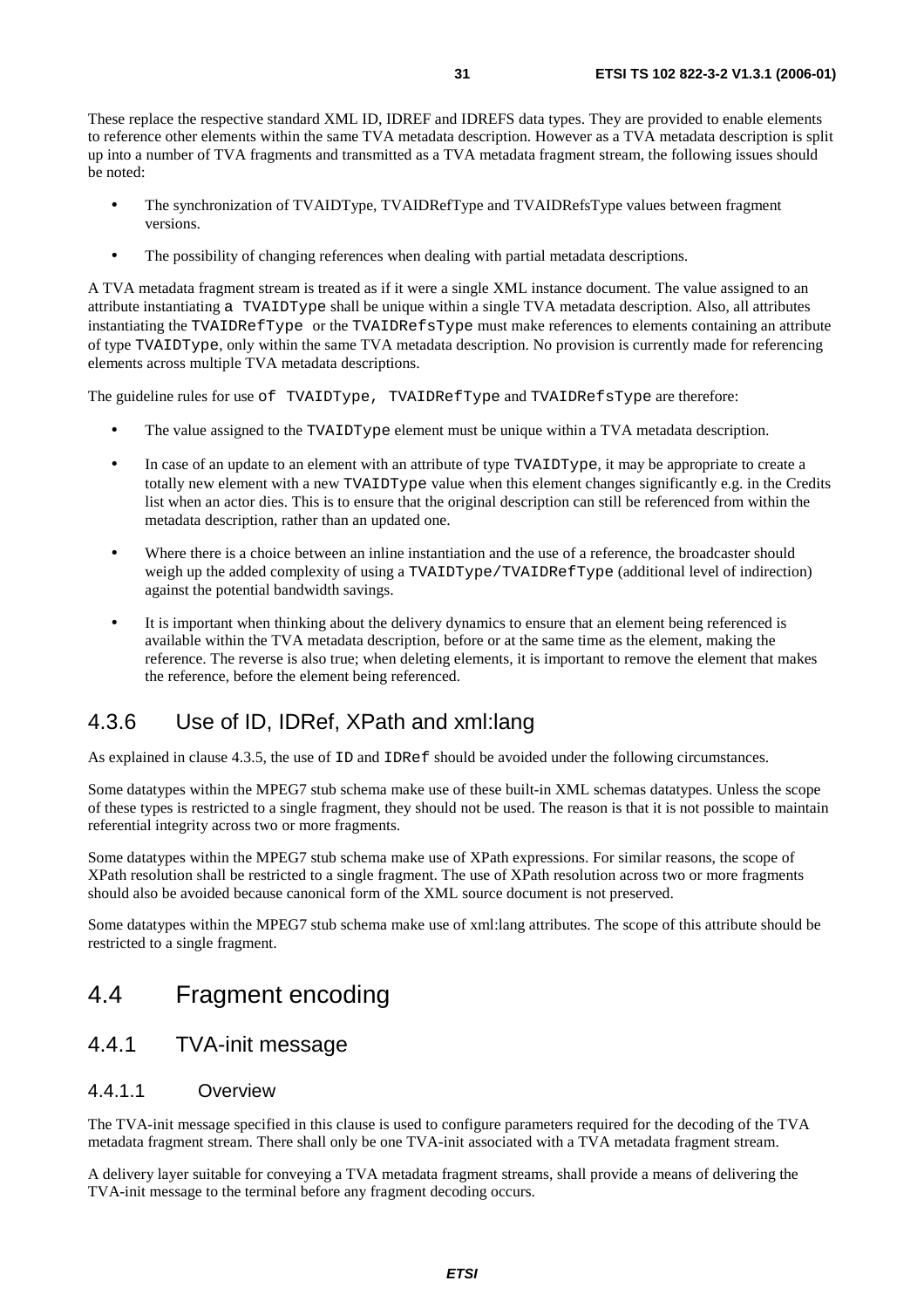- The synchronization of TVAIDType, TVAIDRefType and TVAIDRefsType values between fragment versions.
- The possibility of changing references when dealing with partial metadata descriptions.

A TVA metadata fragment stream is treated as if it were a single XML instance document. The value assigned to an attribute instantiating a TVAIDType shall be unique within a single TVA metadata description. Also, all attributes instantiating the TVAIDRefType or the TVAIDRefsType must make references to elements containing an attribute of type TVAIDType, only within the same TVA metadata description. No provision is currently made for referencing elements across multiple TVA metadata descriptions.

The guideline rules for use of TVAIDType, TVAIDRefType and TVAIDRefsType are therefore:

- The value assigned to the TVAIDType element must be unique within a TVA metadata description.
- In case of an update to an element with an attribute of type TVAIDType, it may be appropriate to create a totally new element with a new TVAIDType value when this element changes significantly e.g. in the Credits list when an actor dies. This is to ensure that the original description can still be referenced from within the metadata description, rather than an updated one.
- Where there is a choice between an inline instantiation and the use of a reference, the broadcaster should weigh up the added complexity of using a TVAIDType/TVAIDRefType (additional level of indirection) against the potential bandwidth savings.
- It is important when thinking about the delivery dynamics to ensure that an element being referenced is available within the TVA metadata description, before or at the same time as the element, making the reference. The reverse is also true; when deleting elements, it is important to remove the element that makes the reference, before the element being referenced.

# 4.3.6 Use of ID, IDRef, XPath and xml:lang

As explained in clause 4.3.5, the use of ID and IDRef should be avoided under the following circumstances.

Some datatypes within the MPEG7 stub schema make use of these built-in XML schemas datatypes. Unless the scope of these types is restricted to a single fragment, they should not be used. The reason is that it is not possible to maintain referential integrity across two or more fragments.

Some datatypes within the MPEG7 stub schema make use of XPath expressions. For similar reasons, the scope of XPath resolution shall be restricted to a single fragment. The use of XPath resolution across two or more fragments should also be avoided because canonical form of the XML source document is not preserved.

Some datatypes within the MPEG7 stub schema make use of xml:lang attributes. The scope of this attribute should be restricted to a single fragment.

# 4.4 Fragment encoding

## 4.4.1 TVA-init message

#### 4.4.1.1 Overview

The TVA-init message specified in this clause is used to configure parameters required for the decoding of the TVA metadata fragment stream. There shall only be one TVA-init associated with a TVA metadata fragment stream.

A delivery layer suitable for conveying a TVA metadata fragment streams, shall provide a means of delivering the TVA-init message to the terminal before any fragment decoding occurs.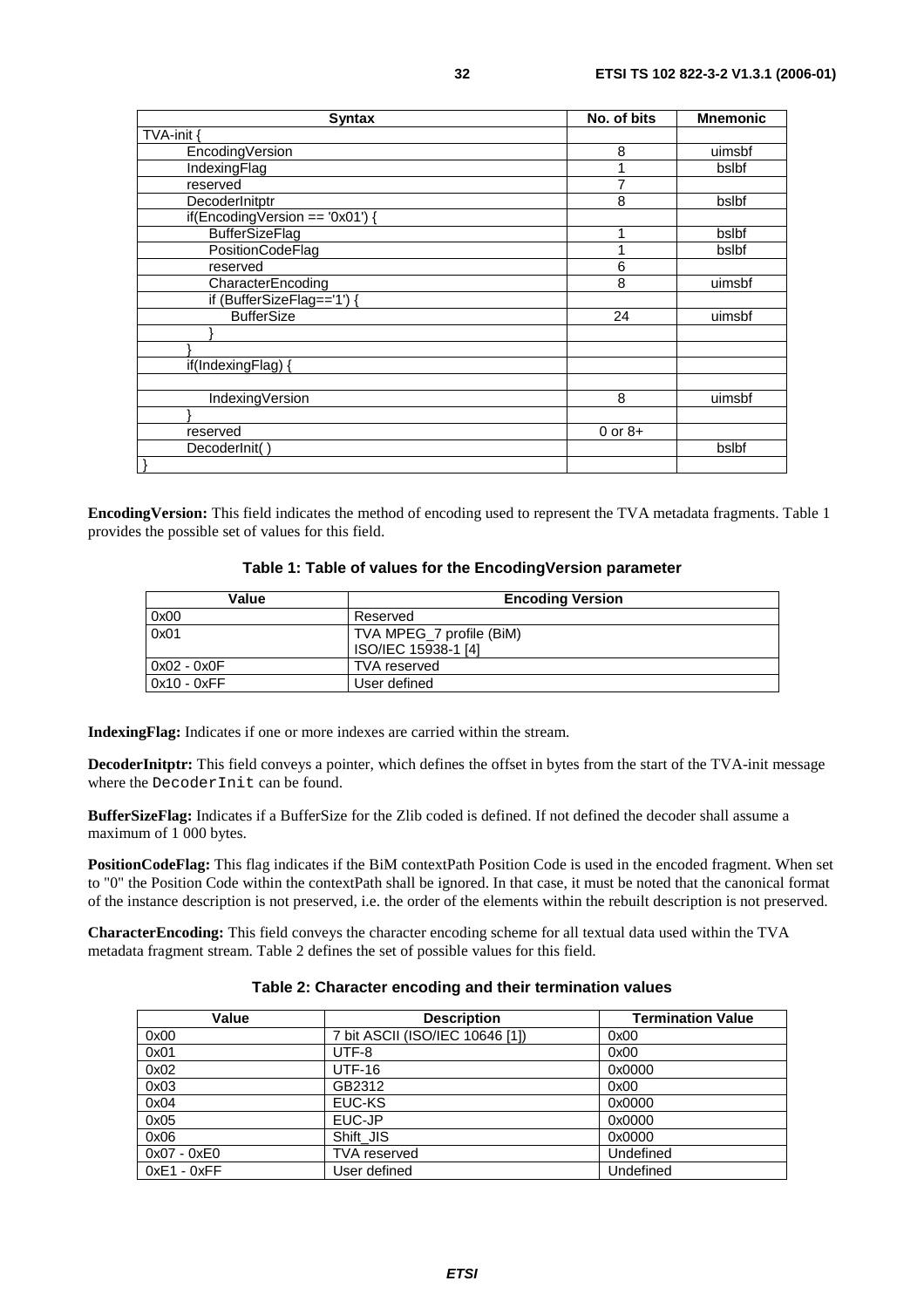| <b>Syntax</b>                     | No. of bits | <b>Mnemonic</b> |
|-----------------------------------|-------------|-----------------|
| TVA-init                          |             |                 |
| EncodingVersion                   | 8           | uimsbf          |
| IndexingFlag                      |             | bslbf           |
| reserved                          | 7           |                 |
| DecoderInitptr                    | 8           | bslbf           |
| $if(EncodingVersion == '0x01')$ { |             |                 |
| <b>BufferSizeFlag</b>             |             | bslbf           |
| PositionCodeFlag                  |             | bslbf           |
| reserved                          | 6           |                 |
| CharacterEncoding                 | 8           | uimsbf          |
| if (BufferSizeFlag=='1') {        |             |                 |
| <b>BufferSize</b>                 | 24          | uimsbf          |
|                                   |             |                 |
|                                   |             |                 |
| if(IndexingFlag) {                |             |                 |
|                                   |             |                 |
| IndexingVersion                   | 8           | uimsbf          |
|                                   |             |                 |
| reserved                          | $0$ or $8+$ |                 |
| DecoderInit()                     |             | bslbf           |
|                                   |             |                 |

**EncodingVersion:** This field indicates the method of encoding used to represent the TVA metadata fragments. Table 1 provides the possible set of values for this field.

| Table 1: Table of values for the EncodingVersion parameter |  |
|------------------------------------------------------------|--|
|------------------------------------------------------------|--|

| Value       | <b>Encoding Version</b>  |
|-------------|--------------------------|
| 0x00        | Reserved                 |
| 0x01        | TVA MPEG_7 profile (BiM) |
|             | ISO/IEC 15938-1 [4]      |
| 0x02 - 0x0F | <b>TVA</b> reserved      |
| 0x10 - 0xFF | User defined             |

**IndexingFlag:** Indicates if one or more indexes are carried within the stream.

**DecoderInitptr:** This field conveys a pointer, which defines the offset in bytes from the start of the TVA-init message where the DecoderInit can be found.

**BufferSizeFlag:** Indicates if a BufferSize for the Zlib coded is defined. If not defined the decoder shall assume a maximum of 1 000 bytes.

**PositionCodeFlag:** This flag indicates if the BiM contextPath Position Code is used in the encoded fragment. When set to "0" the Position Code within the contextPath shall be ignored. In that case, it must be noted that the canonical format of the instance description is not preserved, i.e. the order of the elements within the rebuilt description is not preserved.

**CharacterEncoding:** This field conveys the character encoding scheme for all textual data used within the TVA metadata fragment stream. Table 2 defines the set of possible values for this field.

#### **Table 2: Character encoding and their termination values**

| Value         | <b>Description</b>              | <b>Termination Value</b> |
|---------------|---------------------------------|--------------------------|
| 0x00          | 7 bit ASCII (ISO/IEC 10646 [1]) | 0x00                     |
| 0x01          | UTF-8                           | 0x00                     |
| 0x02          | <b>UTF-16</b>                   | 0x0000                   |
| 0x03          | GB2312                          | 0x00                     |
| 0x04          | EUC-KS                          | 0x0000                   |
| 0x05          | EUC-JP                          | 0x0000                   |
| 0x06          | Shift_JIS                       | 0x0000                   |
| $0x07 - 0xE0$ | <b>TVA</b> reserved             | Undefined                |
| $0xE1 - 0xFF$ | User defined                    | Undefined                |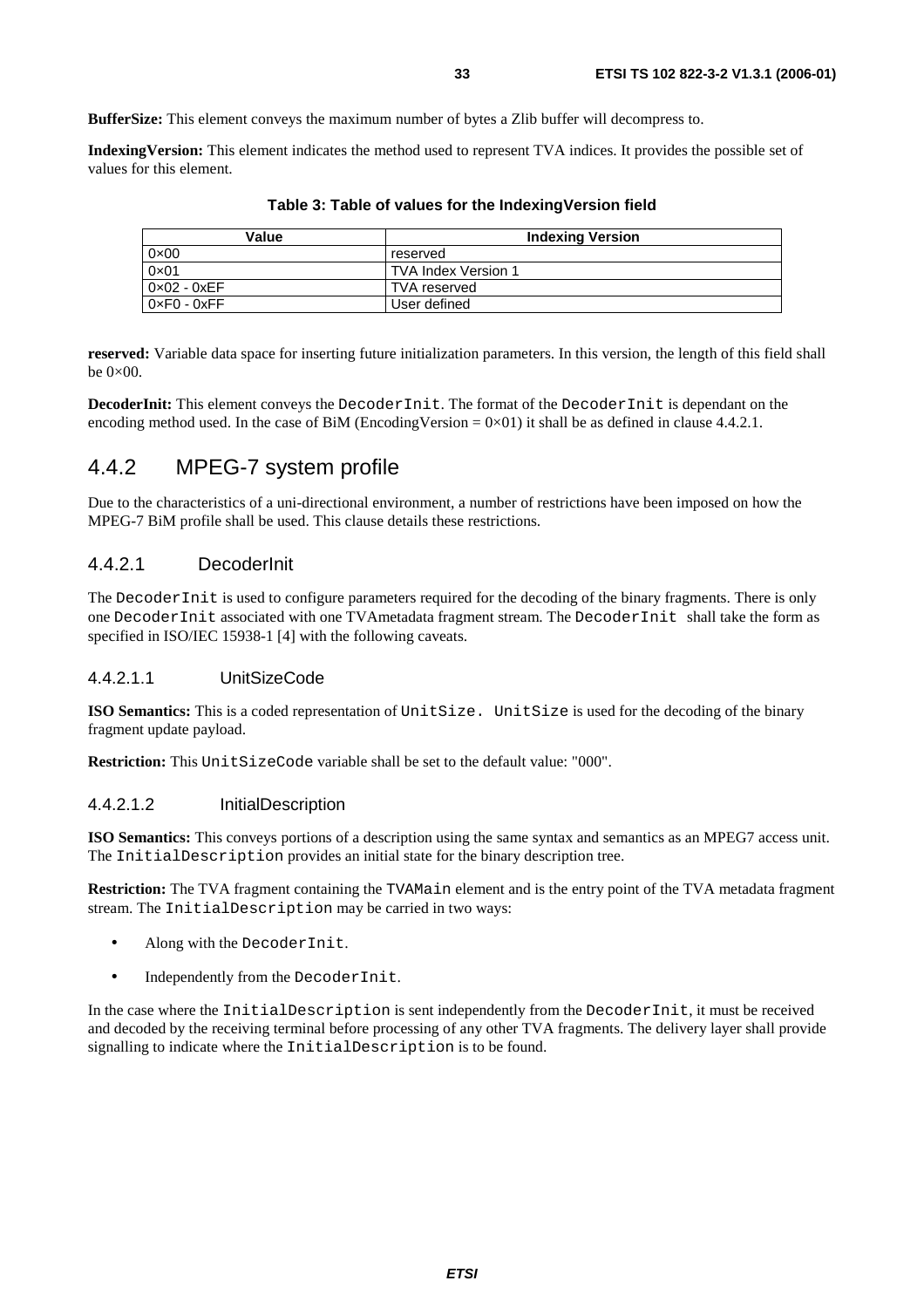**BufferSize:** This element conveys the maximum number of bytes a Zlib buffer will decompress to.

**IndexingVersion:** This element indicates the method used to represent TVA indices. It provides the possible set of values for this element.

| Value                       | <b>Indexing Version</b> |
|-----------------------------|-------------------------|
| $0 \times 00$               | reserved                |
| $0 \times 01$               | TVA Index Version 1     |
| $0 \times 02 - 0 \times FF$ | <b>TVA</b> reserved     |
| $0 \times F0 - 0 \times F$  | User defined            |

**Table 3: Table of values for the IndexingVersion field** 

**reserved:** Variable data space for inserting future initialization parameters. In this version, the length of this field shall be  $0\times 00$ .

**DecoderInit:** This element conveys the DecoderInit. The format of the DecoderInit is dependant on the encoding method used. In the case of BiM (EncodingVersion =  $0 \times 01$ ) it shall be as defined in clause 4.4.2.1.

# 4.4.2 MPEG-7 system profile

Due to the characteristics of a uni-directional environment, a number of restrictions have been imposed on how the MPEG-7 BiM profile shall be used. This clause details these restrictions.

#### 4.4.2.1 DecoderInit

The DecoderInit is used to configure parameters required for the decoding of the binary fragments. There is only one DecoderInit associated with one TVAmetadata fragment stream. The DecoderInit shall take the form as specified in ISO/IEC 15938-1 [4] with the following caveats.

#### 4.4.2.1.1 UnitSizeCode

**ISO Semantics:** This is a coded representation of UnitSize. UnitSize is used for the decoding of the binary fragment update payload.

**Restriction:** This UnitSizeCode variable shall be set to the default value: "000".

#### 4.4.2.1.2 InitialDescription

**ISO Semantics:** This conveys portions of a description using the same syntax and semantics as an MPEG7 access unit. The InitialDescription provides an initial state for the binary description tree.

**Restriction:** The TVA fragment containing the TVAMain element and is the entry point of the TVA metadata fragment stream. The InitialDescription may be carried in two ways:

- Along with the DecoderInit.
- Independently from the DecoderInit.

In the case where the InitialDescription is sent independently from the DecoderInit, it must be received and decoded by the receiving terminal before processing of any other TVA fragments. The delivery layer shall provide signalling to indicate where the InitialDescription is to be found.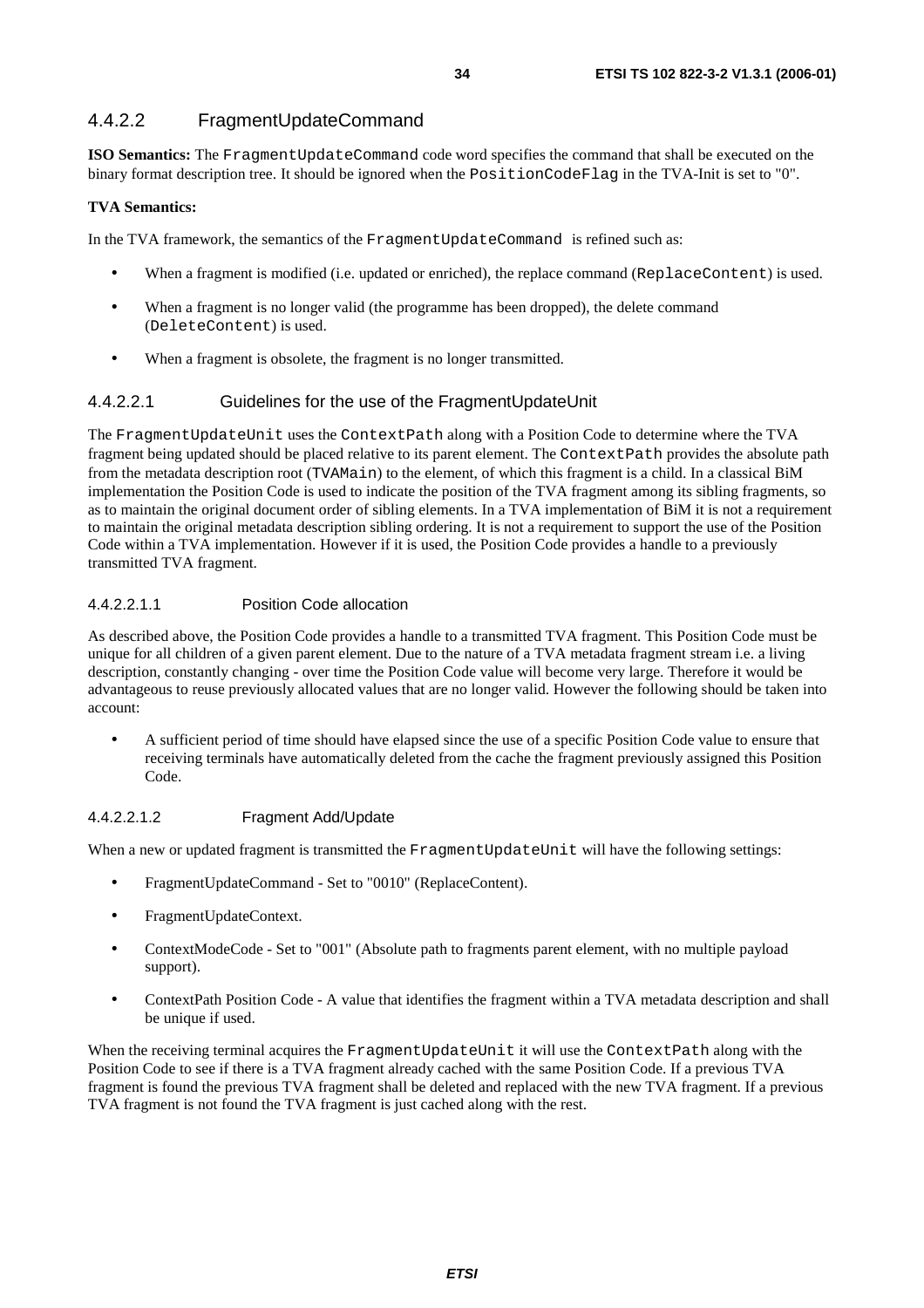### 4.4.2.2 FragmentUpdateCommand

**ISO Semantics:** The FragmentUpdateCommand code word specifies the command that shall be executed on the binary format description tree. It should be ignored when the PositionCodeFlag in the TVA-Init is set to "0".

#### **TVA Semantics:**

In the TVA framework, the semantics of the FragmentUpdateCommand is refined such as:

- When a fragment is modified (i.e. updated or enriched), the replace command (ReplaceContent) is used.
- When a fragment is no longer valid (the programme has been dropped), the delete command (DeleteContent) is used.
- When a fragment is obsolete, the fragment is no longer transmitted.

#### 4.4.2.2.1 Guidelines for the use of the FragmentUpdateUnit

The FragmentUpdateUnit uses the ContextPath along with a Position Code to determine where the TVA fragment being updated should be placed relative to its parent element. The ContextPath provides the absolute path from the metadata description root (TVAMain) to the element, of which this fragment is a child. In a classical BiM implementation the Position Code is used to indicate the position of the TVA fragment among its sibling fragments, so as to maintain the original document order of sibling elements. In a TVA implementation of BiM it is not a requirement to maintain the original metadata description sibling ordering. It is not a requirement to support the use of the Position Code within a TVA implementation. However if it is used, the Position Code provides a handle to a previously transmitted TVA fragment.

#### 4.4.2.2.1.1 Position Code allocation

As described above, the Position Code provides a handle to a transmitted TVA fragment. This Position Code must be unique for all children of a given parent element. Due to the nature of a TVA metadata fragment stream i.e. a living description, constantly changing - over time the Position Code value will become very large. Therefore it would be advantageous to reuse previously allocated values that are no longer valid. However the following should be taken into account:

• A sufficient period of time should have elapsed since the use of a specific Position Code value to ensure that receiving terminals have automatically deleted from the cache the fragment previously assigned this Position Code.

#### 4.4.2.2.1.2 Fragment Add/Update

When a new or updated fragment is transmitted the FragmentUpdateUnit will have the following settings:

- FragmentUpdateCommand Set to "0010" (ReplaceContent).
- FragmentUpdateContext.
- ContextModeCode Set to "001" (Absolute path to fragments parent element, with no multiple payload support).
- ContextPath Position Code A value that identifies the fragment within a TVA metadata description and shall be unique if used.

When the receiving terminal acquires the FragmentUpdateUnit it will use the ContextPath along with the Position Code to see if there is a TVA fragment already cached with the same Position Code. If a previous TVA fragment is found the previous TVA fragment shall be deleted and replaced with the new TVA fragment. If a previous TVA fragment is not found the TVA fragment is just cached along with the rest.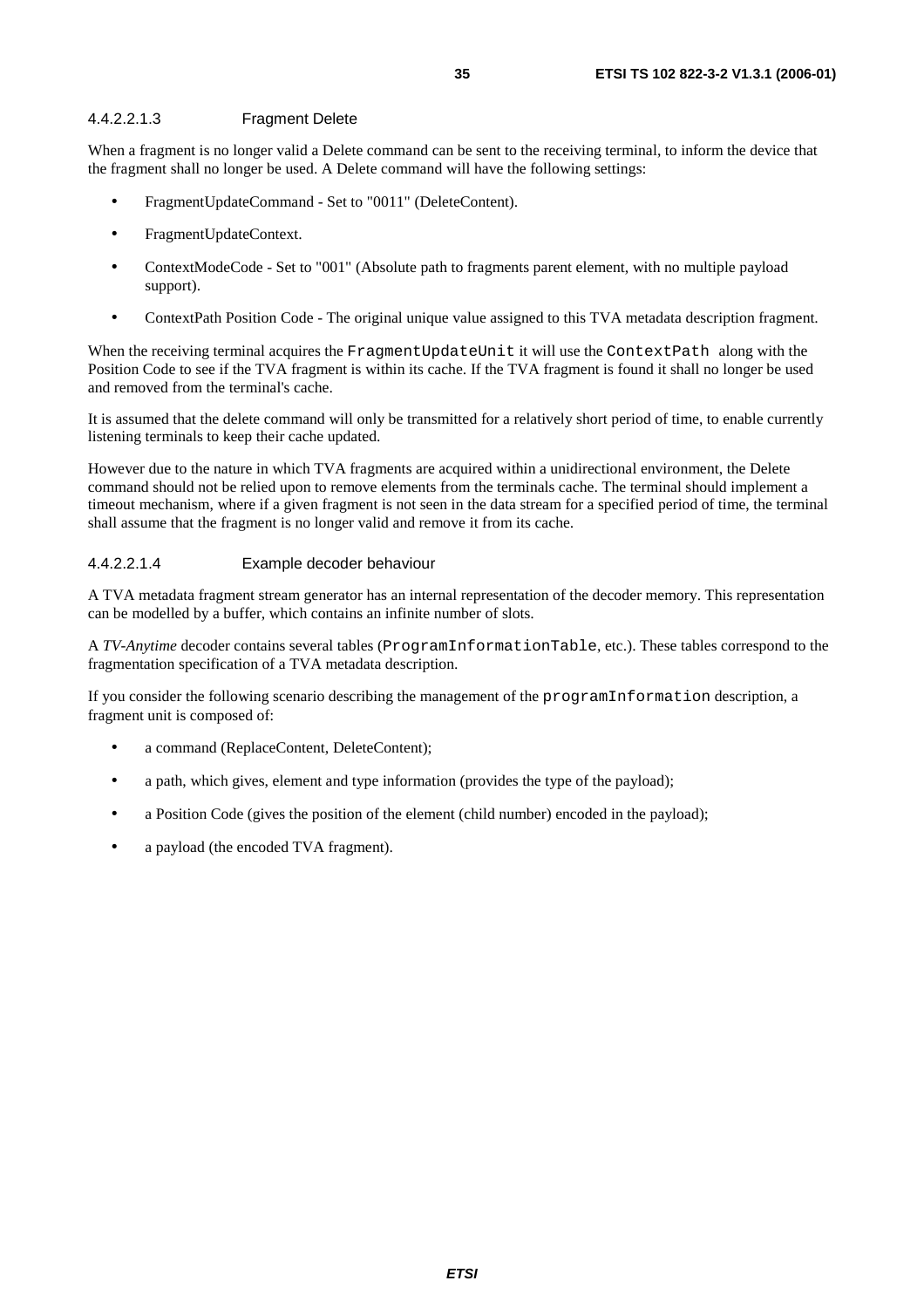#### 4.4.2.2.1.3 Fragment Delete

When a fragment is no longer valid a Delete command can be sent to the receiving terminal, to inform the device that the fragment shall no longer be used. A Delete command will have the following settings:

- FragmentUpdateCommand Set to "0011" (DeleteContent).
- FragmentUpdateContext.
- ContextModeCode Set to "001" (Absolute path to fragments parent element, with no multiple payload support).
- ContextPath Position Code The original unique value assigned to this TVA metadata description fragment.

When the receiving terminal acquires the FragmentUpdateUnit it will use the ContextPath along with the Position Code to see if the TVA fragment is within its cache. If the TVA fragment is found it shall no longer be used and removed from the terminal's cache.

It is assumed that the delete command will only be transmitted for a relatively short period of time, to enable currently listening terminals to keep their cache updated.

However due to the nature in which TVA fragments are acquired within a unidirectional environment, the Delete command should not be relied upon to remove elements from the terminals cache. The terminal should implement a timeout mechanism, where if a given fragment is not seen in the data stream for a specified period of time, the terminal shall assume that the fragment is no longer valid and remove it from its cache.

#### 4.4.2.2.1.4 Example decoder behaviour

A TVA metadata fragment stream generator has an internal representation of the decoder memory. This representation can be modelled by a buffer, which contains an infinite number of slots.

A *TV-Anytime* decoder contains several tables (ProgramInformationTable, etc.). These tables correspond to the fragmentation specification of a TVA metadata description.

If you consider the following scenario describing the management of the programInformation description, a fragment unit is composed of:

- a command (ReplaceContent, DeleteContent);
- a path, which gives, element and type information (provides the type of the payload);
- a Position Code (gives the position of the element (child number) encoded in the payload);
- a payload (the encoded TVA fragment).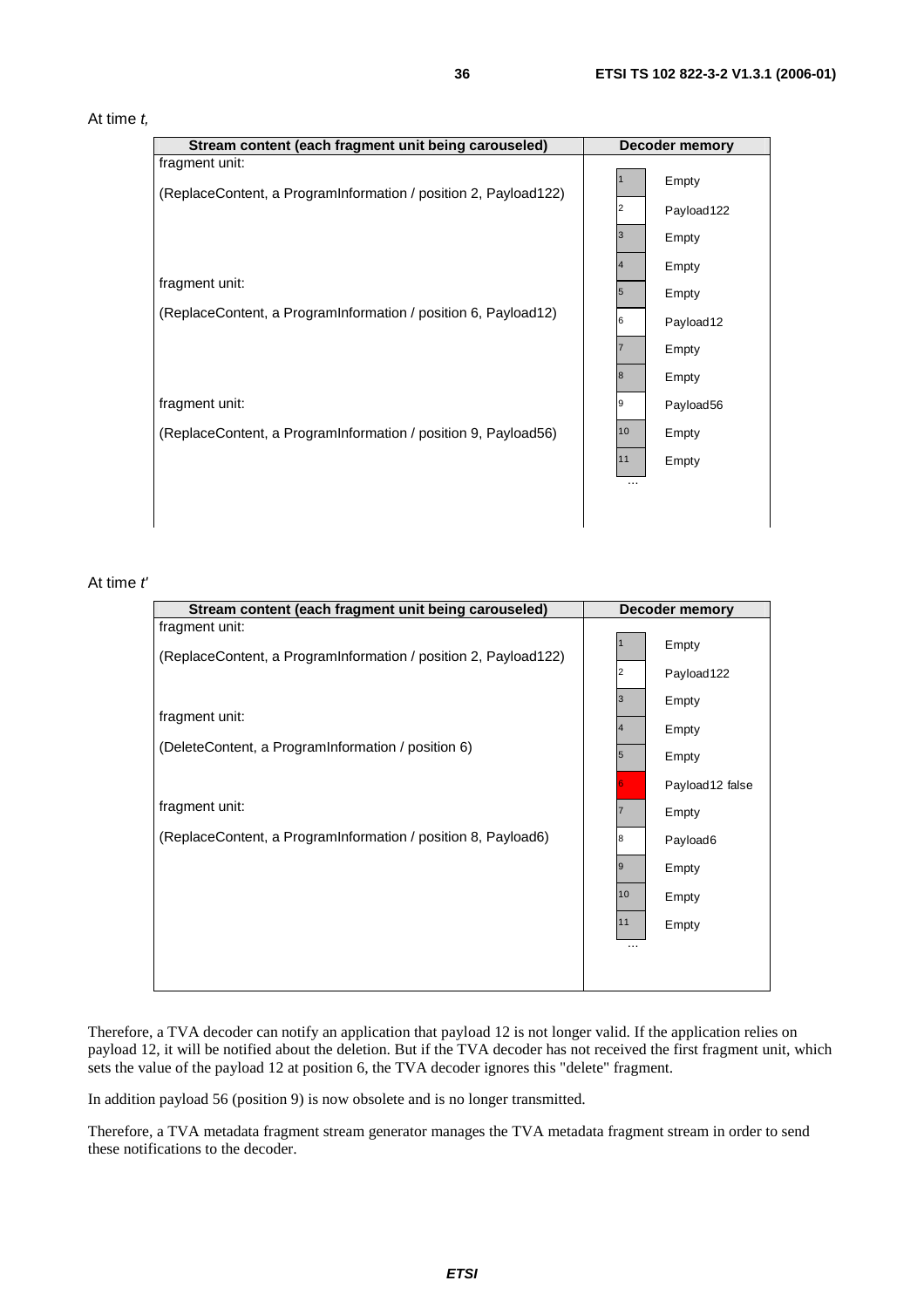#### At time  $t$ ,

| Stream content (each fragment unit being carouseled)                              | Decoder memory                         |  |
|-----------------------------------------------------------------------------------|----------------------------------------|--|
| fragment unit:<br>(ReplaceContent, a ProgramInformation / position 2, Payload122) | Empty<br>Payload122<br>2               |  |
| fragment unit:                                                                    | 3<br>Empty<br>Empty                    |  |
| (ReplaceContent, a ProgramInformation / position 6, Payload12)                    | 5<br>Empty<br>6<br>Payload12<br>Empty  |  |
| fragment unit:                                                                    | 18<br>Empty<br>9<br>Payload56          |  |
| (ReplaceContent, a ProgramInformation / position 9, Payload56)                    | 10<br>Empty<br>11<br>Empty<br>$\cdots$ |  |
|                                                                                   |                                        |  |

#### At time t'

| Stream content (each fragment unit being carouseled)                              | <b>Decoder memory</b>          |                                              |
|-----------------------------------------------------------------------------------|--------------------------------|----------------------------------------------|
| fragment unit:<br>(ReplaceContent, a ProgramInformation / position 2, Payload122) |                                | Empty<br>Payload 122                         |
| fragment unit:<br>(DeleteContent, a ProgramInformation / position 6)              | 3<br>4<br>5                    | Empty<br>Empty<br>Empty<br>Payload12 false   |
| fragment unit:<br>(ReplaceContent, a ProgramInformation / position 8, Payload6)   | 8<br>9<br>10<br>11<br>$\cdots$ | Empty<br>Payload6<br>Empty<br>Empty<br>Empty |
|                                                                                   |                                |                                              |

Therefore, a TVA decoder can notify an application that payload 12 is not longer valid. If the application relies on payload 12, it will be notified about the deletion. But if the TVA decoder has not received the first fragment unit, which sets the value of the payload 12 at position 6, the TVA decoder ignores this "delete" fragment.

In addition payload 56 (position 9) is now obsolete and is no longer transmitted.

Therefore, a TVA metadata fragment stream generator manages the TVA metadata fragment stream in order to send these notifications to the decoder.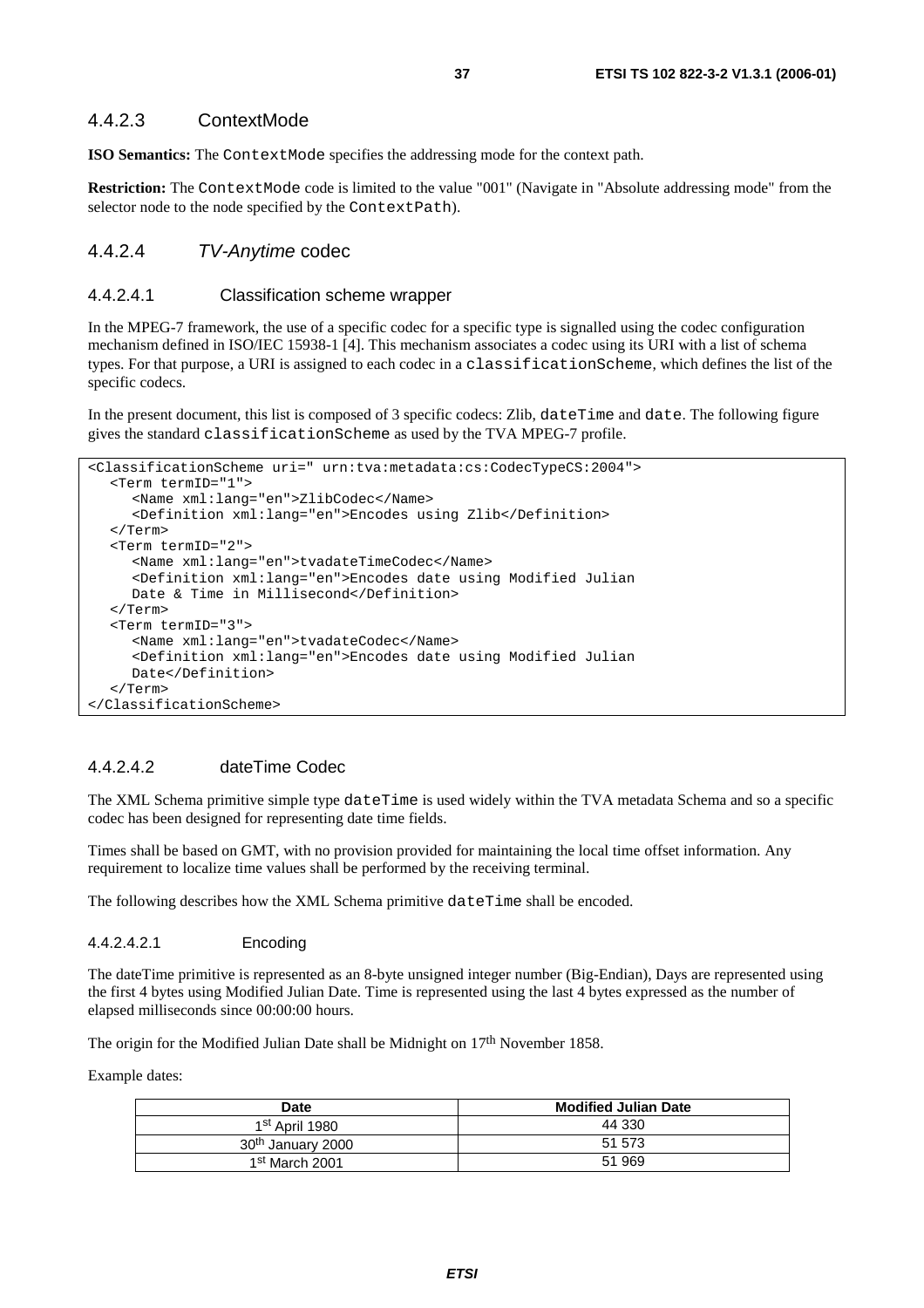### 4.4.2.3 ContextMode

**ISO Semantics:** The ContextMode specifies the addressing mode for the context path.

**Restriction:** The ContextMode code is limited to the value "001" (Navigate in "Absolute addressing mode" from the selector node to the node specified by the ContextPath).

### 4.4.2.4 TV-Anytime codec

### 4.4.2.4.1 Classification scheme wrapper

In the MPEG-7 framework, the use of a specific codec for a specific type is signalled using the codec configuration mechanism defined in ISO/IEC 15938-1 [4]. This mechanism associates a codec using its URI with a list of schema types. For that purpose, a URI is assigned to each codec in a classificationScheme, which defines the list of the specific codecs.

In the present document, this list is composed of 3 specific codecs: Zlib, dateTime and date. The following figure gives the standard classificationScheme as used by the TVA MPEG-7 profile.

```
<ClassificationScheme uri=" urn:tva:metadata:cs:CodecTypeCS:2004"> 
   <Term termID="1"> 
      <Name xml:lang="en">ZlibCodec</Name> 
      <Definition xml:lang="en">Encodes using Zlib</Definition> 
   </Term> 
   <Term termID="2"> 
      <Name xml:lang="en">tvadateTimeCodec</Name> 
      <Definition xml:lang="en">Encodes date using Modified Julian 
     Date & Time in Millisecond</Definition>
   </Term> 
   <Term termID="3"> 
      <Name xml:lang="en">tvadateCodec</Name> 
      <Definition xml:lang="en">Encodes date using Modified Julian 
      Date</Definition> 
   </Term> 
</ClassificationScheme>
```
### 4.4.2.4.2 dateTime Codec

The XML Schema primitive simple type dateTime is used widely within the TVA metadata Schema and so a specific codec has been designed for representing date time fields.

Times shall be based on GMT, with no provision provided for maintaining the local time offset information. Any requirement to localize time values shall be performed by the receiving terminal.

The following describes how the XML Schema primitive dateTime shall be encoded.

#### 4.4.2.4.2.1 Encoding

The dateTime primitive is represented as an 8-byte unsigned integer number (Big-Endian), Days are represented using the first 4 bytes using Modified Julian Date. Time is represented using the last 4 bytes expressed as the number of elapsed milliseconds since 00:00:00 hours.

The origin for the Modified Julian Date shall be Midnight on 17<sup>th</sup> November 1858.

Example dates:

| Date                          | <b>Modified Julian Date</b> |
|-------------------------------|-----------------------------|
| 1st April 1980                | 44 330                      |
| 30 <sup>th</sup> January 2000 | 51 573                      |
| 1 <sup>st</sup> March 2001    | 51 969                      |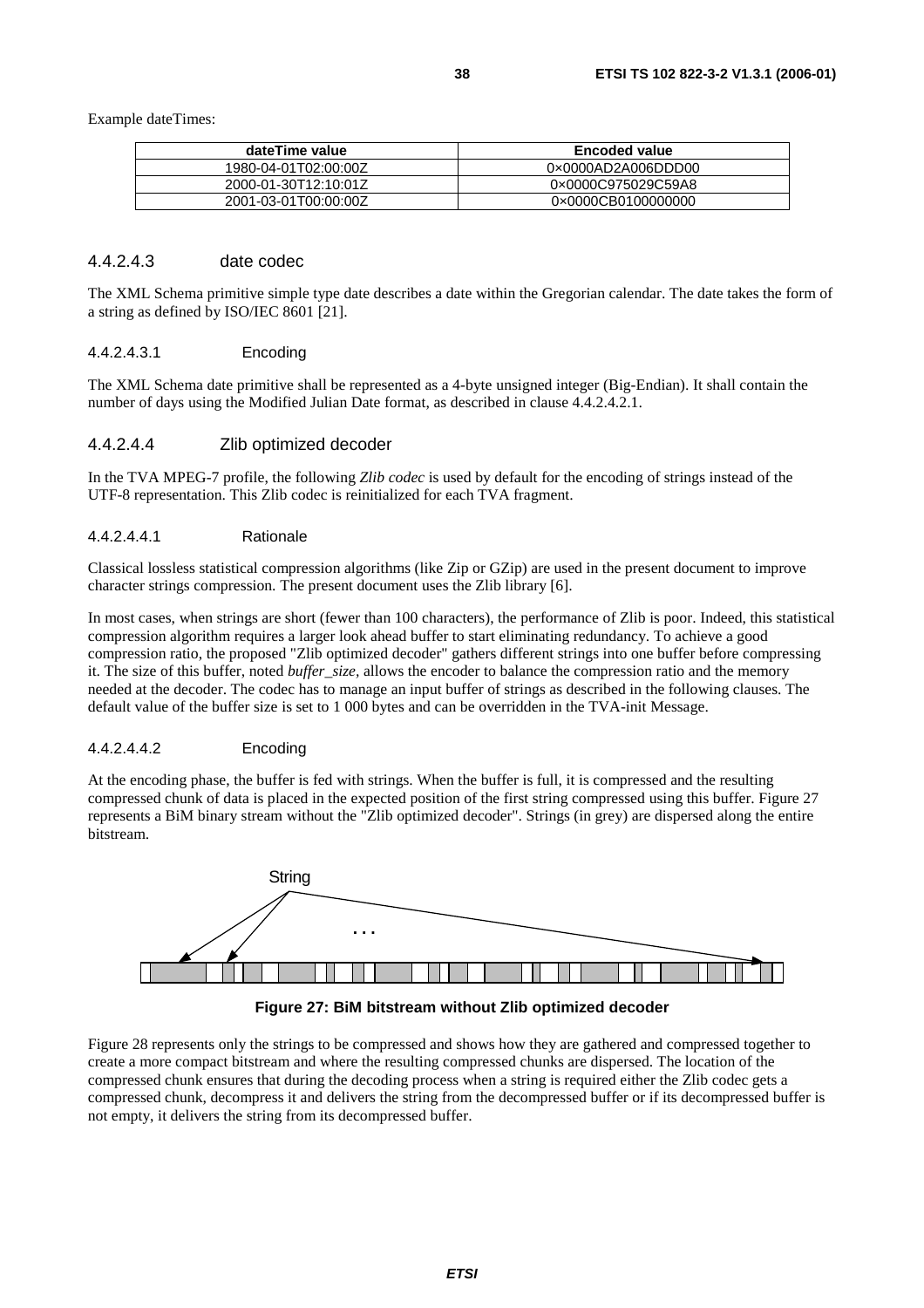Example dateTimes:

| dateTime value       | <b>Encoded value</b> |
|----------------------|----------------------|
| 1980-04-01T02:00:00Z | 0x0000AD2A006DDD00   |
| 2000-01-30T12:10:01Z | 0×0000C975029C59A8   |
| 2001-03-01T00:00:00Z | 0×0000CB0100000000   |

### 4.4.2.4.3 date codec

The XML Schema primitive simple type date describes a date within the Gregorian calendar. The date takes the form of a string as defined by ISO/IEC 8601 [21].

#### 4.4.2.4.3.1 Encoding

The XML Schema date primitive shall be represented as a 4-byte unsigned integer (Big-Endian). It shall contain the number of days using the Modified Julian Date format, as described in clause 4.4.2.4.2.1.

#### 4.4.2.4.4 Zlib optimized decoder

In the TVA MPEG-7 profile, the following *Zlib codec* is used by default for the encoding of strings instead of the UTF-8 representation. This Zlib codec is reinitialized for each TVA fragment.

#### 4.4.2.4.4.1 Rationale

Classical lossless statistical compression algorithms (like Zip or GZip) are used in the present document to improve character strings compression. The present document uses the Zlib library [6].

In most cases, when strings are short (fewer than 100 characters), the performance of Zlib is poor. Indeed, this statistical compression algorithm requires a larger look ahead buffer to start eliminating redundancy. To achieve a good compression ratio, the proposed "Zlib optimized decoder" gathers different strings into one buffer before compressing it. The size of this buffer, noted *buffer*\_*size,* allows the encoder to balance the compression ratio and the memory needed at the decoder. The codec has to manage an input buffer of strings as described in the following clauses. The default value of the buffer size is set to 1 000 bytes and can be overridden in the TVA-init Message.

#### 4.4.2.4.4.2 Encoding

At the encoding phase, the buffer is fed with strings. When the buffer is full, it is compressed and the resulting compressed chunk of data is placed in the expected position of the first string compressed using this buffer. Figure 27 represents a BiM binary stream without the "Zlib optimized decoder". Strings (in grey) are dispersed along the entire bitstream.





Figure 28 represents only the strings to be compressed and shows how they are gathered and compressed together to create a more compact bitstream and where the resulting compressed chunks are dispersed. The location of the compressed chunk ensures that during the decoding process when a string is required either the Zlib codec gets a compressed chunk, decompress it and delivers the string from the decompressed buffer or if its decompressed buffer is not empty, it delivers the string from its decompressed buffer.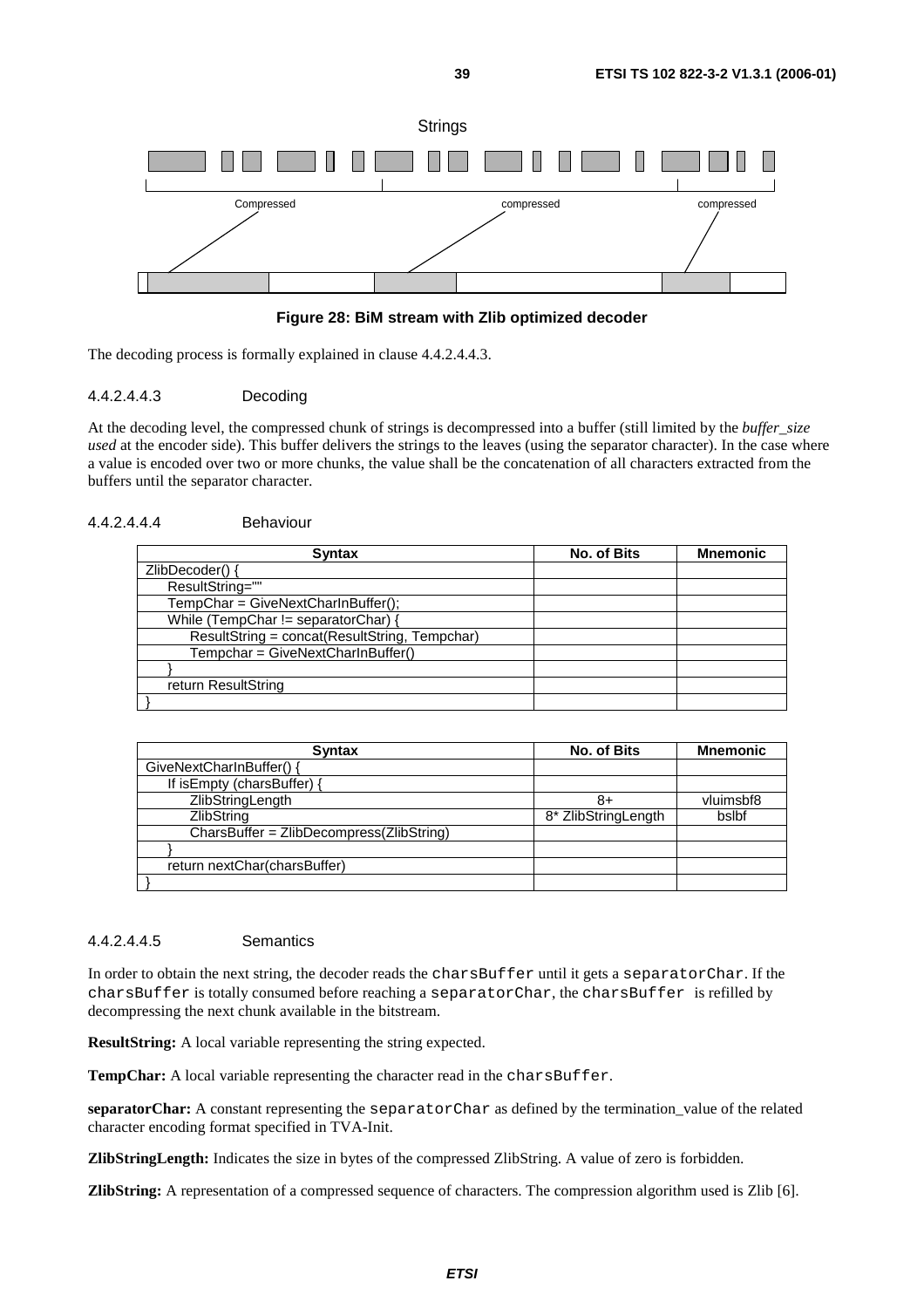

#### **Figure 28: BiM stream with Zlib optimized decoder**

The decoding process is formally explained in clause 4.4.2.4.4.3.

#### 4.4.2.4.4.3 Decoding

At the decoding level, the compressed chunk of strings is decompressed into a buffer (still limited by the *buffer*\_*size used* at the encoder side). This buffer delivers the strings to the leaves (using the separator character). In the case where a value is encoded over two or more chunks, the value shall be the concatenation of all characters extracted from the buffers until the separator character.

#### 4.4.2.4.4.4 Behaviour

| <b>Syntax</b>                                 | <b>No. of Bits</b> | <b>Mnemonic</b> |
|-----------------------------------------------|--------------------|-----------------|
| ZlibDecoder() {                               |                    |                 |
| ResultString=""                               |                    |                 |
| TempChar = GiveNextCharInBuffer();            |                    |                 |
| While (TempChar != separatorChar)             |                    |                 |
| ResultString = concat(ResultString, Tempchar) |                    |                 |
| Tempchar = GiveNextCharInBuffer()             |                    |                 |
|                                               |                    |                 |
| return ResultString                           |                    |                 |
|                                               |                    |                 |

| <b>Syntax</b>                              | <b>No. of Bits</b>  | <b>Mnemonic</b> |
|--------------------------------------------|---------------------|-----------------|
| GiveNextCharInBuffer() {                   |                     |                 |
| If is Empty (chars Buffer) {               |                     |                 |
| ZlibStringLength                           | 8+                  | vluimsbf8       |
| <b>ZlibString</b>                          | 8* ZlibStringLength | bslbf           |
| $CharsBuffer = ZlibDecompress(ZlibString)$ |                     |                 |
|                                            |                     |                 |
| return nextChar(charsBuffer)               |                     |                 |
|                                            |                     |                 |

#### 4.4.2.4.4.5 Semantics

In order to obtain the next string, the decoder reads the charsBuffer until it gets a separatorChar. If the charsBuffer is totally consumed before reaching a separatorChar, the charsBuffer is refilled by decompressing the next chunk available in the bitstream.

**ResultString:** A local variable representing the string expected.

TempChar: A local variable representing the character read in the charsBuffer.

**separatorChar:** A constant representing the separatorChar as defined by the termination\_value of the related character encoding format specified in TVA-Init.

**ZlibStringLength:** Indicates the size in bytes of the compressed ZlibString. A value of zero is forbidden.

**ZlibString:** A representation of a compressed sequence of characters. The compression algorithm used is Zlib [6].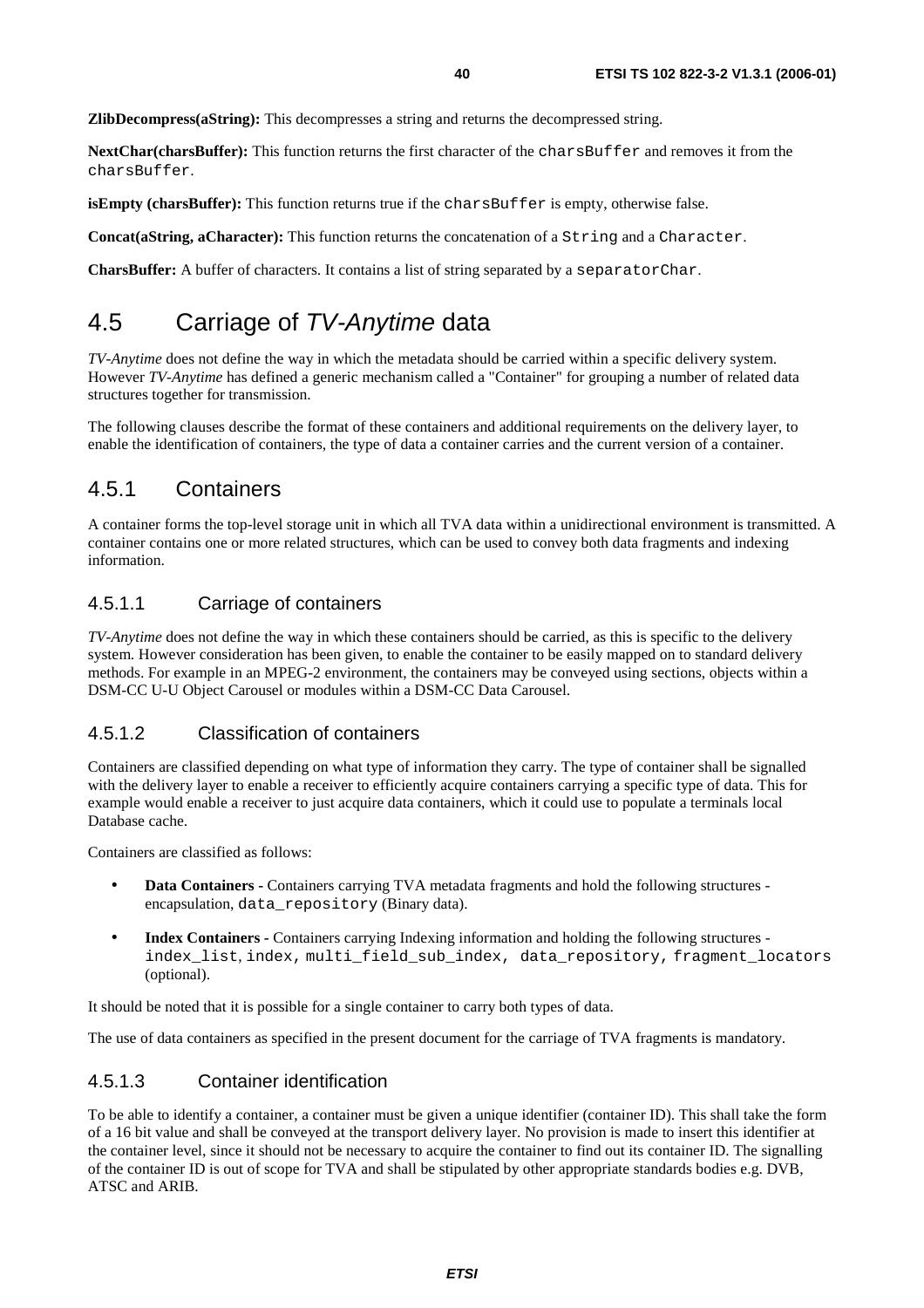**ZlibDecompress(aString):** This decompresses a string and returns the decompressed string.

**NextChar(charsBuffer):** This function returns the first character of the charsBuffer and removes it from the charsBuffer.

**isEmpty (charsBuffer):** This function returns true if the charsBuffer is empty, otherwise false.

**Concat(aString, aCharacter):** This function returns the concatenation of a String and a Character.

**CharsBuffer:** A buffer of characters. It contains a list of string separated by a separatorChar.

# 4.5 Carriage of TV-Anytime data

*TV-Anytime* does not define the way in which the metadata should be carried within a specific delivery system. However *TV-Anytime* has defined a generic mechanism called a "Container" for grouping a number of related data structures together for transmission.

The following clauses describe the format of these containers and additional requirements on the delivery layer, to enable the identification of containers, the type of data a container carries and the current version of a container.

# 4.5.1 Containers

A container forms the top-level storage unit in which all TVA data within a unidirectional environment is transmitted. A container contains one or more related structures, which can be used to convey both data fragments and indexing information.

### 4.5.1.1 Carriage of containers

*TV-Anytime* does not define the way in which these containers should be carried, as this is specific to the delivery system. However consideration has been given, to enable the container to be easily mapped on to standard delivery methods. For example in an MPEG-2 environment, the containers may be conveyed using sections, objects within a DSM-CC U-U Object Carousel or modules within a DSM-CC Data Carousel.

### 4.5.1.2 Classification of containers

Containers are classified depending on what type of information they carry. The type of container shall be signalled with the delivery layer to enable a receiver to efficiently acquire containers carrying a specific type of data. This for example would enable a receiver to just acquire data containers, which it could use to populate a terminals local Database cache.

Containers are classified as follows:

- **Data Containers** Containers carrying TVA metadata fragments and hold the following structures encapsulation, data\_repository (Binary data).
- **Index Containers** Containers carrying Indexing information and holding the following structures index list, index, multi field sub index, data repository, fragment locators (optional).

It should be noted that it is possible for a single container to carry both types of data.

The use of data containers as specified in the present document for the carriage of TVA fragments is mandatory.

### 4.5.1.3 Container identification

To be able to identify a container, a container must be given a unique identifier (container ID). This shall take the form of a 16 bit value and shall be conveyed at the transport delivery layer. No provision is made to insert this identifier at the container level, since it should not be necessary to acquire the container to find out its container ID. The signalling of the container ID is out of scope for TVA and shall be stipulated by other appropriate standards bodies e.g. DVB, ATSC and ARIB.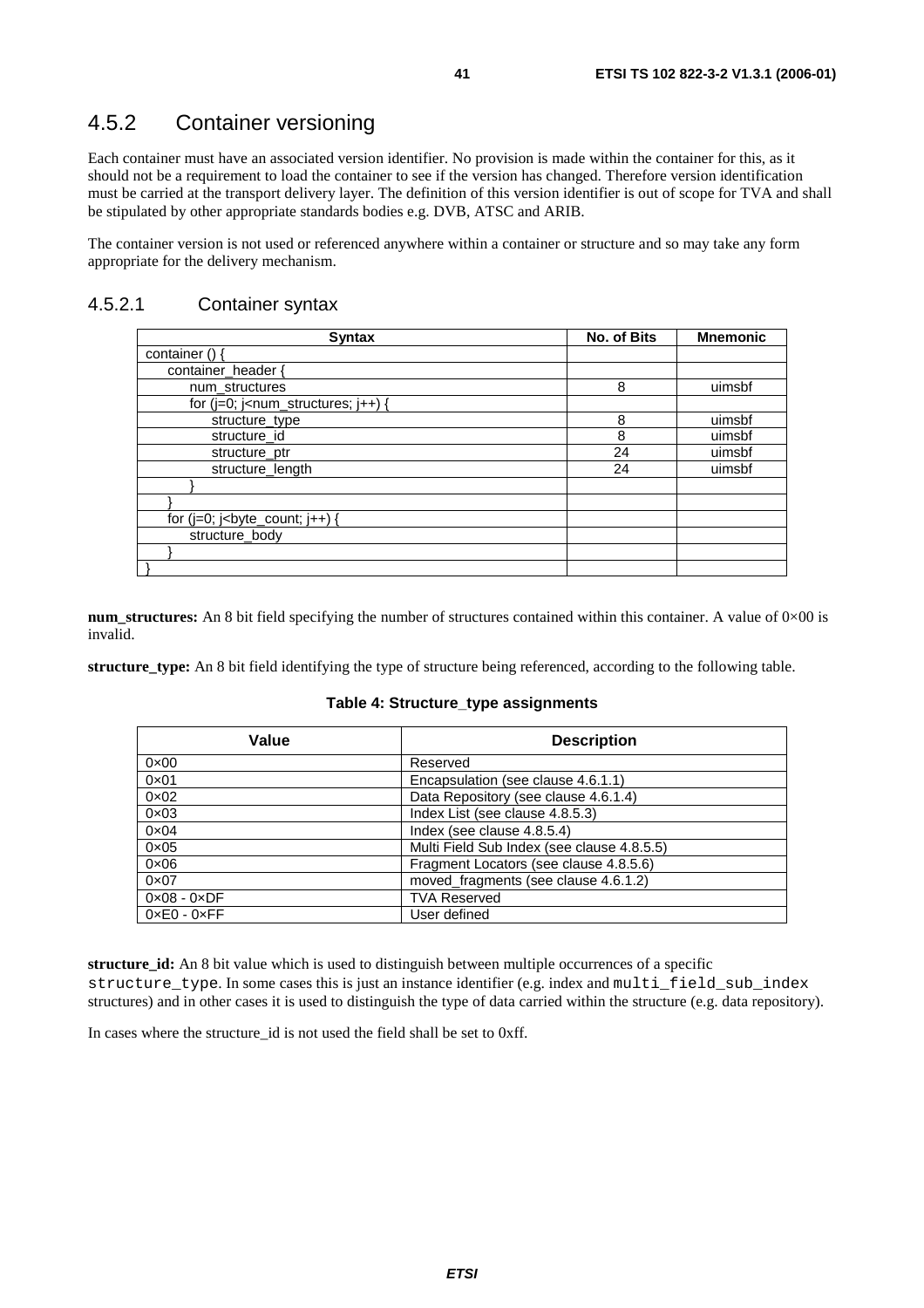# 4.5.2 Container versioning

Each container must have an associated version identifier. No provision is made within the container for this, as it should not be a requirement to load the container to see if the version has changed. Therefore version identification must be carried at the transport delivery layer. The definition of this version identifier is out of scope for TVA and shall be stipulated by other appropriate standards bodies e.g. DVB, ATSC and ARIB.

The container version is not used or referenced anywhere within a container or structure and so may take any form appropriate for the delivery mechanism.

### 4.5.2.1 Container syntax

| <b>Syntax</b>                                | No. of Bits | <b>Mnemonic</b> |
|----------------------------------------------|-------------|-----------------|
| container $()$                               |             |                 |
| container_header {                           |             |                 |
| num_structures                               | 8           | uimsbf          |
| for ( $j=0$ ; $j<$ num_structures; $j++$ ) { |             |                 |
| structure_type                               | 8           | uimsbf          |
| structure_id                                 | 8           | uimsbf          |
| structure ptr                                | 24          | uimsbf          |
| structure length                             | 24          | uimsbf          |
|                                              |             |                 |
|                                              |             |                 |
|                                              |             |                 |
| structure body                               |             |                 |
|                                              |             |                 |
|                                              |             |                 |

**num\_structures:** An 8 bit field specifying the number of structures contained within this container. A value of 0×00 is invalid.

**structure\_type:** An 8 bit field identifying the type of structure being referenced, according to the following table.

| Value                       | <b>Description</b>                         |
|-----------------------------|--------------------------------------------|
| $0 \times 00$               | Reserved                                   |
| $0 \times 01$               | Encapsulation (see clause 4.6.1.1)         |
| $0 \times 02$               | Data Repository (see clause 4.6.1.4)       |
| $0 \times 03$               | Index List (see clause 4.8.5.3)            |
| $0 \times 04$               | Index (see clause 4.8.5.4)                 |
| $0 \times 05$               | Multi Field Sub Index (see clause 4.8.5.5) |
| $0 \times 06$               | Fragment Locators (see clause 4.8.5.6)     |
| $0 \times 07$               | moved_fragments (see clause 4.6.1.2)       |
| $0 \times 08 - 0 \times DF$ | <b>TVA Reserved</b>                        |
| $0 \times E0 - 0 \times FF$ | User defined                               |

#### **Table 4: Structure\_type assignments**

**structure id:** An 8 bit value which is used to distinguish between multiple occurrences of a specific structure type. In some cases this is just an instance identifier (e.g. index and multi field sub index structures) and in other cases it is used to distinguish the type of data carried within the structure (e.g. data repository).

In cases where the structure id is not used the field shall be set to 0xff.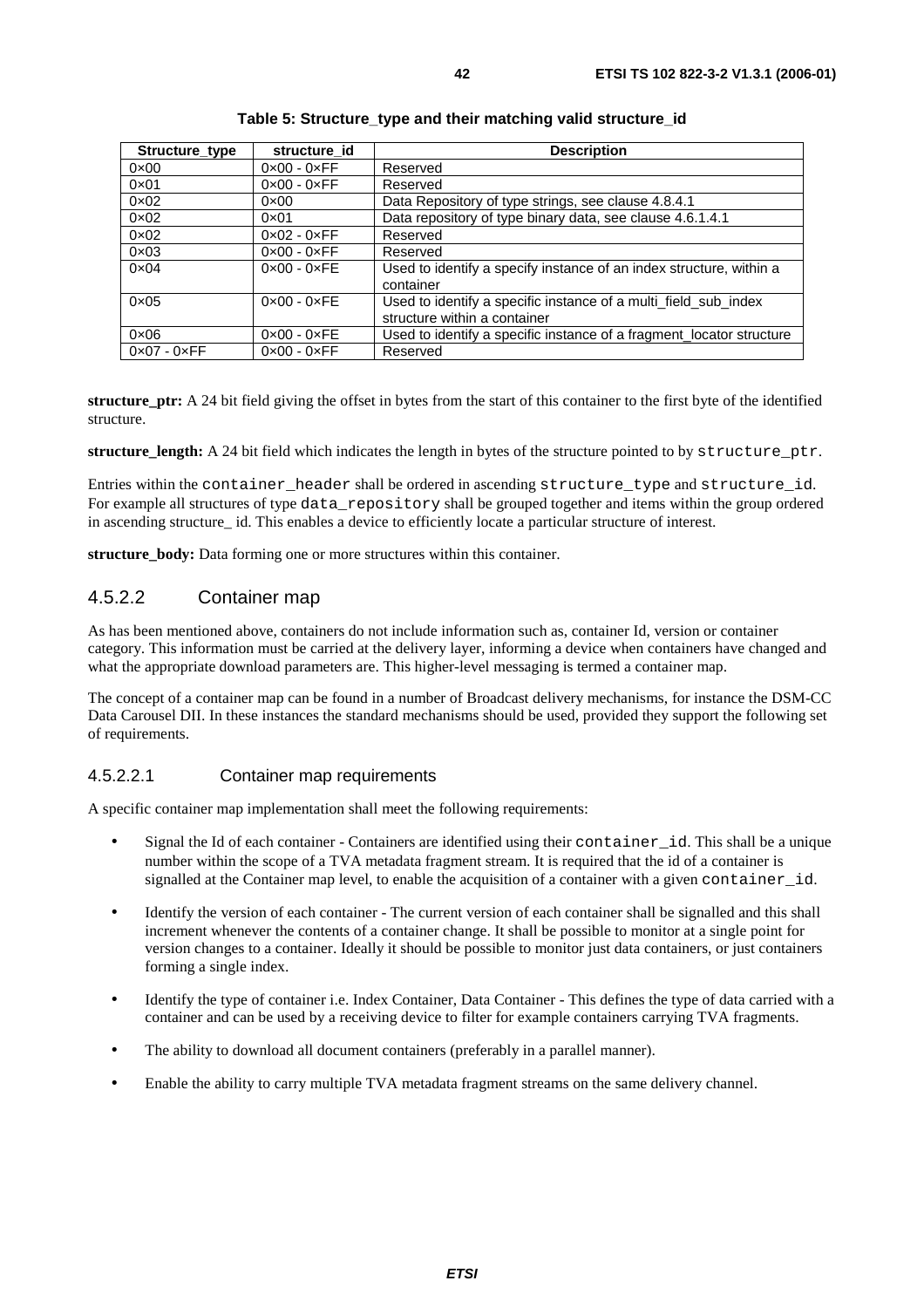| Structure type              | structure id                | <b>Description</b>                                                               |
|-----------------------------|-----------------------------|----------------------------------------------------------------------------------|
| $0 \times 00$               | $0 \times 00 - 0 \times FF$ | Reserved                                                                         |
| $0 \times 01$               | $0 \times 00 - 0 \times FF$ | Reserved                                                                         |
| $0 \times 02$               | $0 \times 00$               | Data Repository of type strings, see clause 4.8.4.1                              |
| $0 \times 02$               | $0 \times 01$               | Data repository of type binary data, see clause 4.6.1.4.1                        |
| $0 \times 02$               | $0 \times 02 - 0 \times FF$ | Reserved                                                                         |
| $0 \times 03$               | $0 \times 00 - 0 \times FF$ | Reserved                                                                         |
| $0 \times 04$               | $0 \times 00 - 0 \times FE$ | Used to identify a specify instance of an index structure, within a<br>container |
| $0 \times 05$               | $0 \times 00 - 0 \times FE$ | Used to identify a specific instance of a multi_field_sub_index                  |
|                             |                             | structure within a container                                                     |
| $0 \times 06$               | $0 \times 00 - 0 \times FE$ | Used to identify a specific instance of a fragment locator structure             |
| $0 \times 07 - 0 \times FF$ | $0 \times 00 - 0 \times FF$ | Reserved                                                                         |

#### **Table 5: Structure\_type and their matching valid structure\_id**

**structure** ptr: A 24 bit field giving the offset in bytes from the start of this container to the first byte of the identified structure.

**structure length:** A 24 bit field which indicates the length in bytes of the structure pointed to by structure ptr.

Entries within the container header shall be ordered in ascending structure type and structure id. For example all structures of type data repository shall be grouped together and items within the group ordered in ascending structure id. This enables a device to efficiently locate a particular structure of interest.

**structure** body: Data forming one or more structures within this container.

### 4.5.2.2 Container map

As has been mentioned above, containers do not include information such as, container Id, version or container category. This information must be carried at the delivery layer, informing a device when containers have changed and what the appropriate download parameters are. This higher-level messaging is termed a container map.

The concept of a container map can be found in a number of Broadcast delivery mechanisms, for instance the DSM-CC Data Carousel DII. In these instances the standard mechanisms should be used, provided they support the following set of requirements.

### 4.5.2.2.1 Container map requirements

A specific container map implementation shall meet the following requirements:

- Signal the Id of each container Containers are identified using their container id. This shall be a unique number within the scope of a TVA metadata fragment stream. It is required that the id of a container is signalled at the Container map level, to enable the acquisition of a container with a given container id.
- Identify the version of each container The current version of each container shall be signalled and this shall increment whenever the contents of a container change. It shall be possible to monitor at a single point for version changes to a container. Ideally it should be possible to monitor just data containers, or just containers forming a single index.
- Identify the type of container i.e. Index Container, Data Container This defines the type of data carried with a container and can be used by a receiving device to filter for example containers carrying TVA fragments.
- The ability to download all document containers (preferably in a parallel manner).
- Enable the ability to carry multiple TVA metadata fragment streams on the same delivery channel.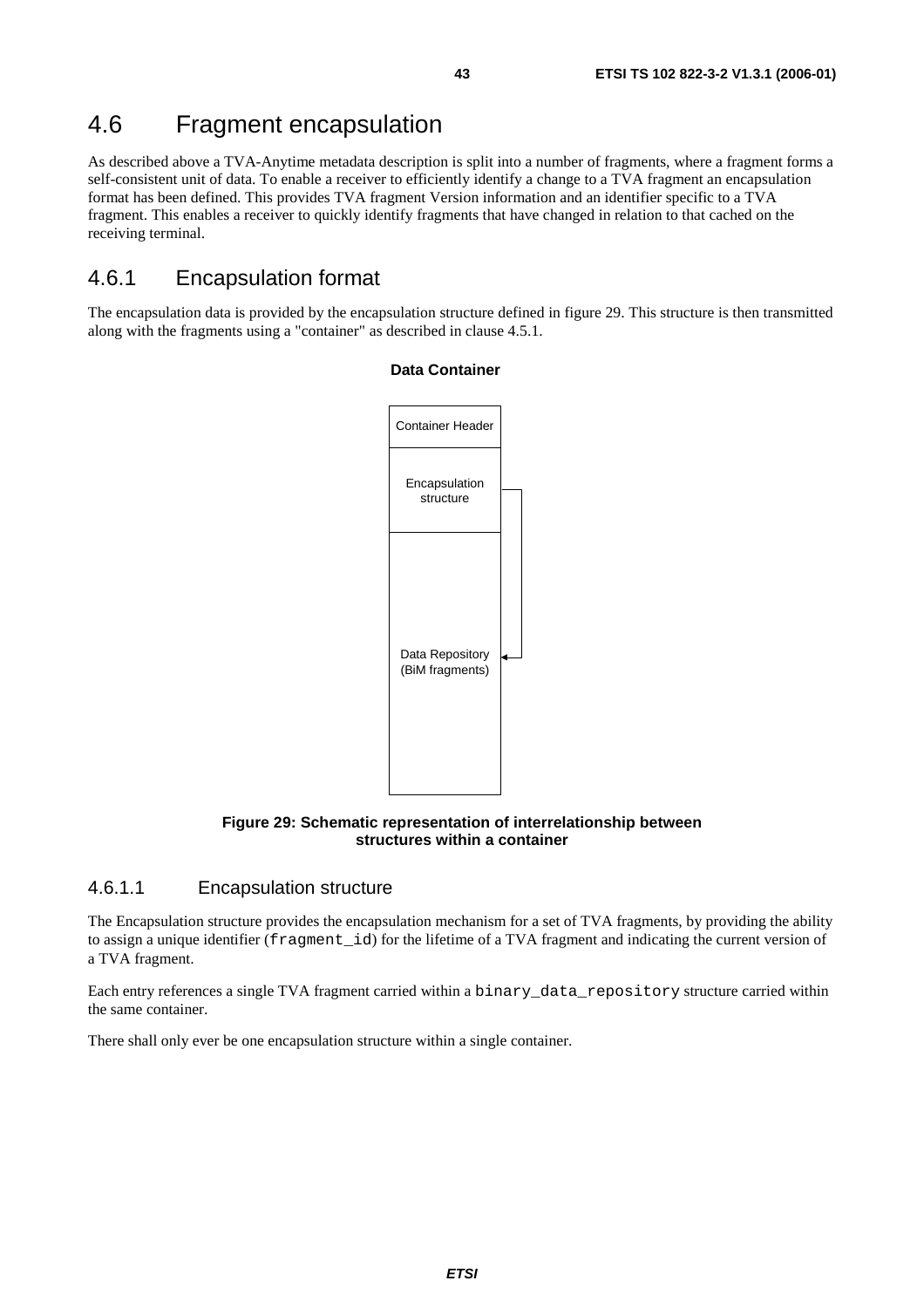# 4.6 Fragment encapsulation

As described above a TVA-Anytime metadata description is split into a number of fragments, where a fragment forms a self-consistent unit of data. To enable a receiver to efficiently identify a change to a TVA fragment an encapsulation format has been defined. This provides TVA fragment Version information and an identifier specific to a TVA fragment. This enables a receiver to quickly identify fragments that have changed in relation to that cached on the receiving terminal.

# 4.6.1 Encapsulation format

The encapsulation data is provided by the encapsulation structure defined in figure 29. This structure is then transmitted along with the fragments using a "container" as described in clause 4.5.1.



### **Data Container**

**Figure 29: Schematic representation of interrelationship between structures within a container** 

### 4.6.1.1 Encapsulation structure

The Encapsulation structure provides the encapsulation mechanism for a set of TVA fragments, by providing the ability to assign a unique identifier (fragment\_id) for the lifetime of a TVA fragment and indicating the current version of a TVA fragment.

Each entry references a single TVA fragment carried within a binary\_data\_repository structure carried within the same container.

There shall only ever be one encapsulation structure within a single container.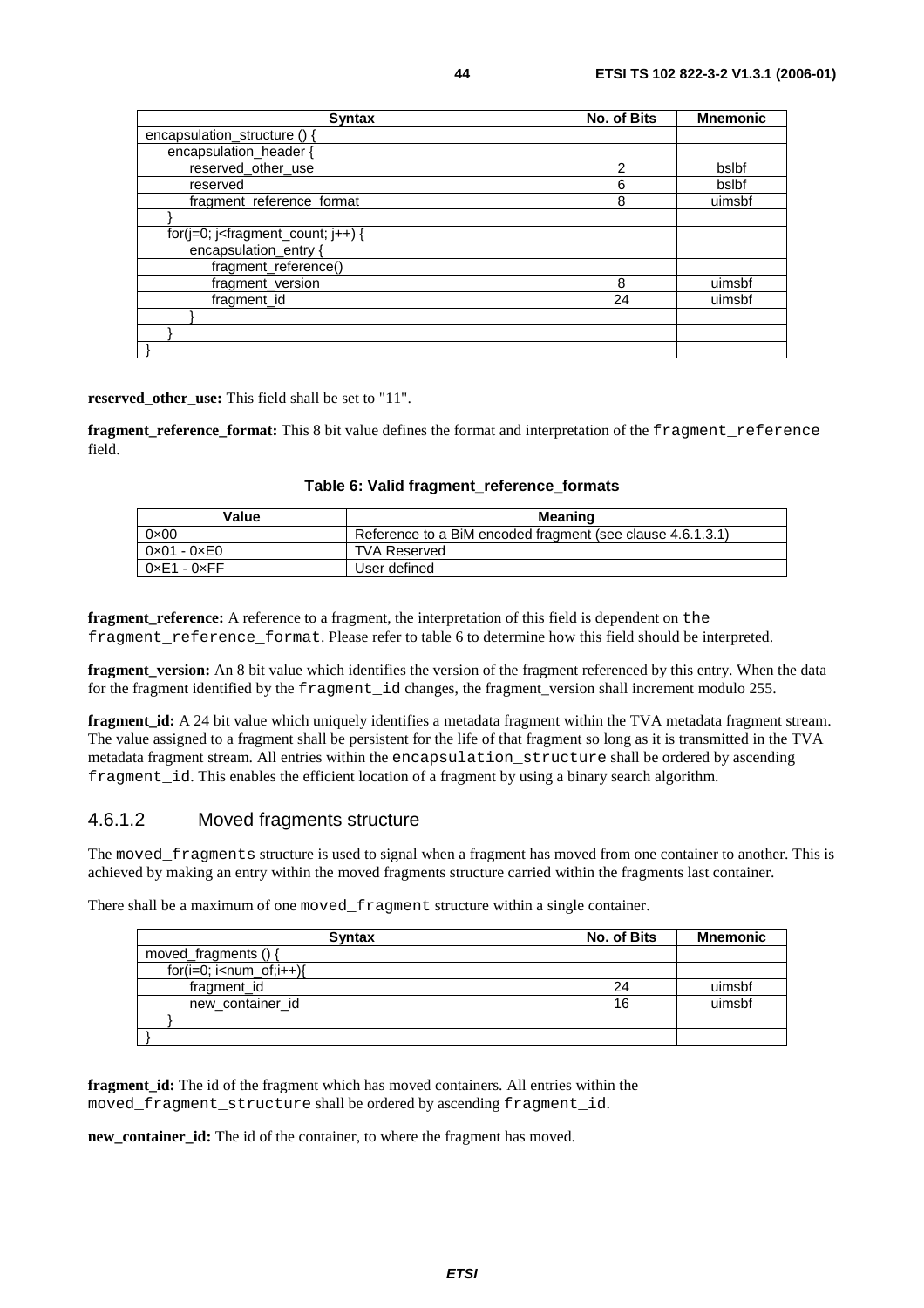| <b>Syntax</b>                                                       | <b>No. of Bits</b> | <b>Mnemonic</b> |
|---------------------------------------------------------------------|--------------------|-----------------|
| encapsulation_structure ()                                          |                    |                 |
| encapsulation_header {                                              |                    |                 |
| reserved_other_use                                                  | 2                  | bslbf           |
| reserved                                                            | 6                  | bslbf           |
| fragment reference format                                           | 8                  | uimsbf          |
|                                                                     |                    |                 |
| for( $j=0$ ; $j$ <fragment_count; <math="">j++) {</fragment_count;> |                    |                 |
| encapsulation_entry {                                               |                    |                 |
| fragment_reference()                                                |                    |                 |
| fragment_version                                                    | 8                  | uimsbf          |
| fragment_id                                                         | 24                 | uimsbf          |
|                                                                     |                    |                 |
|                                                                     |                    |                 |
|                                                                     |                    |                 |

**reserved\_other\_use:** This field shall be set to "11".

**fragment\_reference\_format:** This 8 bit value defines the format and interpretation of the fragment\_reference field.

| Value                       | <b>Meaning</b>                                             |
|-----------------------------|------------------------------------------------------------|
| $0 \times 00$               | Reference to a BiM encoded fragment (see clause 4.6.1.3.1) |
| $0 \times 01 - 0 \times 00$ | <b>TVA Reserved</b>                                        |
| $0 \times E1 - 0 \times FF$ | User defined                                               |

**Table 6: Valid fragment\_reference\_formats** 

**fragment** reference: A reference to a fragment, the interpretation of this field is dependent on the fragment\_reference\_format. Please refer to table 6 to determine how this field should be interpreted.

**fragment\_version:** An 8 bit value which identifies the version of the fragment referenced by this entry. When the data for the fragment identified by the fragment\_id changes, the fragment\_version shall increment modulo 255.

**fragment id:** A 24 bit value which uniquely identifies a metadata fragment within the TVA metadata fragment stream. The value assigned to a fragment shall be persistent for the life of that fragment so long as it is transmitted in the TVA metadata fragment stream. All entries within the encapsulation structure shall be ordered by ascending fragment\_id. This enables the efficient location of a fragment by using a binary search algorithm.

### 4.6.1.2 Moved fragments structure

The moved\_fragments structure is used to signal when a fragment has moved from one container to another. This is achieved by making an entry within the moved fragments structure carried within the fragments last container.

There shall be a maximum of one moved\_fragment structure within a single container.

| <b>Syntax</b>             | No. of Bits | Mnemonic |
|---------------------------|-------------|----------|
| moved_fragments () {      |             |          |
| $for(i=0; i< num_of;i++)$ |             |          |
| fragment_id               | 24          | uimsbf   |
| new_container_id          | 16          | uimsbf   |
|                           |             |          |
|                           |             |          |

**fragment id:** The id of the fragment which has moved containers. All entries within the moved\_fragment\_structure shall be ordered by ascending fragment\_id.

**new\_container\_id:** The id of the container, to where the fragment has moved.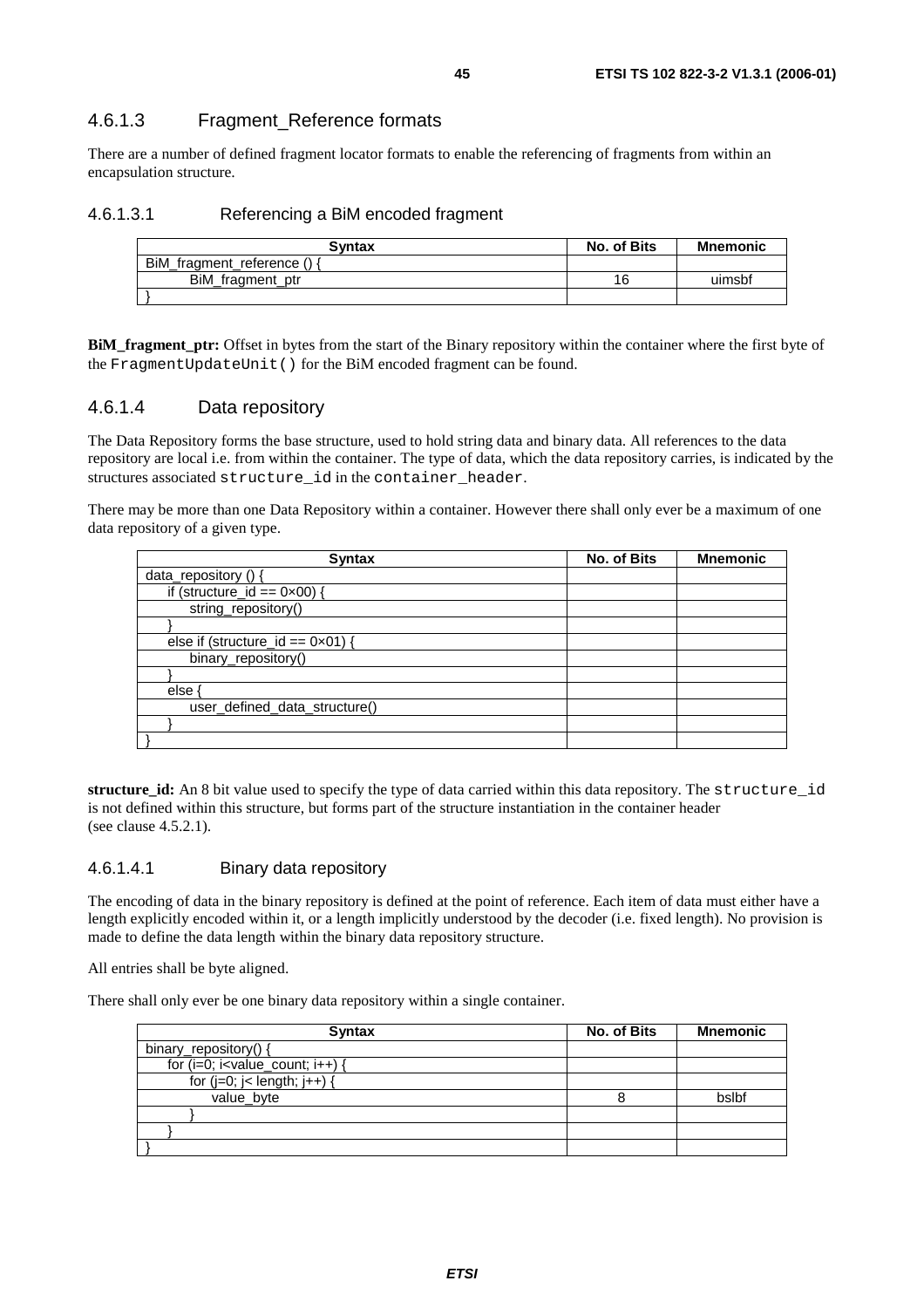### 4.6.1.3 Fragment\_Reference formats

There are a number of defined fragment locator formats to enable the referencing of fragments from within an encapsulation structure.

### 4.6.1.3.1 Referencing a BiM encoded fragment

| Svntax                    | No. of Bits | <b>Mnemonic</b> |
|---------------------------|-------------|-----------------|
| BiM_fragment_reference () |             |                 |
| BiM fragment ptr          | 16          | uimsbf          |
|                           |             |                 |

**BiM\_fragment\_ptr:** Offset in bytes from the start of the Binary repository within the container where the first byte of the FragmentUpdateUnit() for the BiM encoded fragment can be found.

### 4.6.1.4 Data repository

The Data Repository forms the base structure, used to hold string data and binary data. All references to the data repository are local i.e. from within the container. The type of data, which the data repository carries, is indicated by the structures associated structure id in the container header.

There may be more than one Data Repository within a container. However there shall only ever be a maximum of one data repository of a given type.

| <b>Syntax</b>                              | <b>No. of Bits</b> | <b>Mnemonic</b> |
|--------------------------------------------|--------------------|-----------------|
| data_repository () {                       |                    |                 |
| if (structure_id == $0 \times 00$ ) {      |                    |                 |
| string_repository()                        |                    |                 |
|                                            |                    |                 |
| else if (structure_id == $0 \times 01$ ) { |                    |                 |
| binary_repository()                        |                    |                 |
|                                            |                    |                 |
| else ·                                     |                    |                 |
| user_defined_data_structure()              |                    |                 |
|                                            |                    |                 |
|                                            |                    |                 |

**structure\_id:** An 8 bit value used to specify the type of data carried within this data repository. The structure\_id is not defined within this structure, but forms part of the structure instantiation in the container header (see clause 4.5.2.1).

#### 4.6.1.4.1 Binary data repository

The encoding of data in the binary repository is defined at the point of reference. Each item of data must either have a length explicitly encoded within it, or a length implicitly understood by the decoder (i.e. fixed length). No provision is made to define the data length within the binary data repository structure.

All entries shall be byte aligned.

There shall only ever be one binary data repository within a single container.

| <b>Syntax</b>                         | No. of Bits | <b>Mnemonic</b> |
|---------------------------------------|-------------|-----------------|
| binary_repository() {                 |             |                 |
| for $(i=0; i<$ value_count; $i++$ ) { |             |                 |
| for $(j=0; j<$ length; $j++)$ {       |             |                 |
| value_byte                            |             | bslbf           |
|                                       |             |                 |
|                                       |             |                 |
|                                       |             |                 |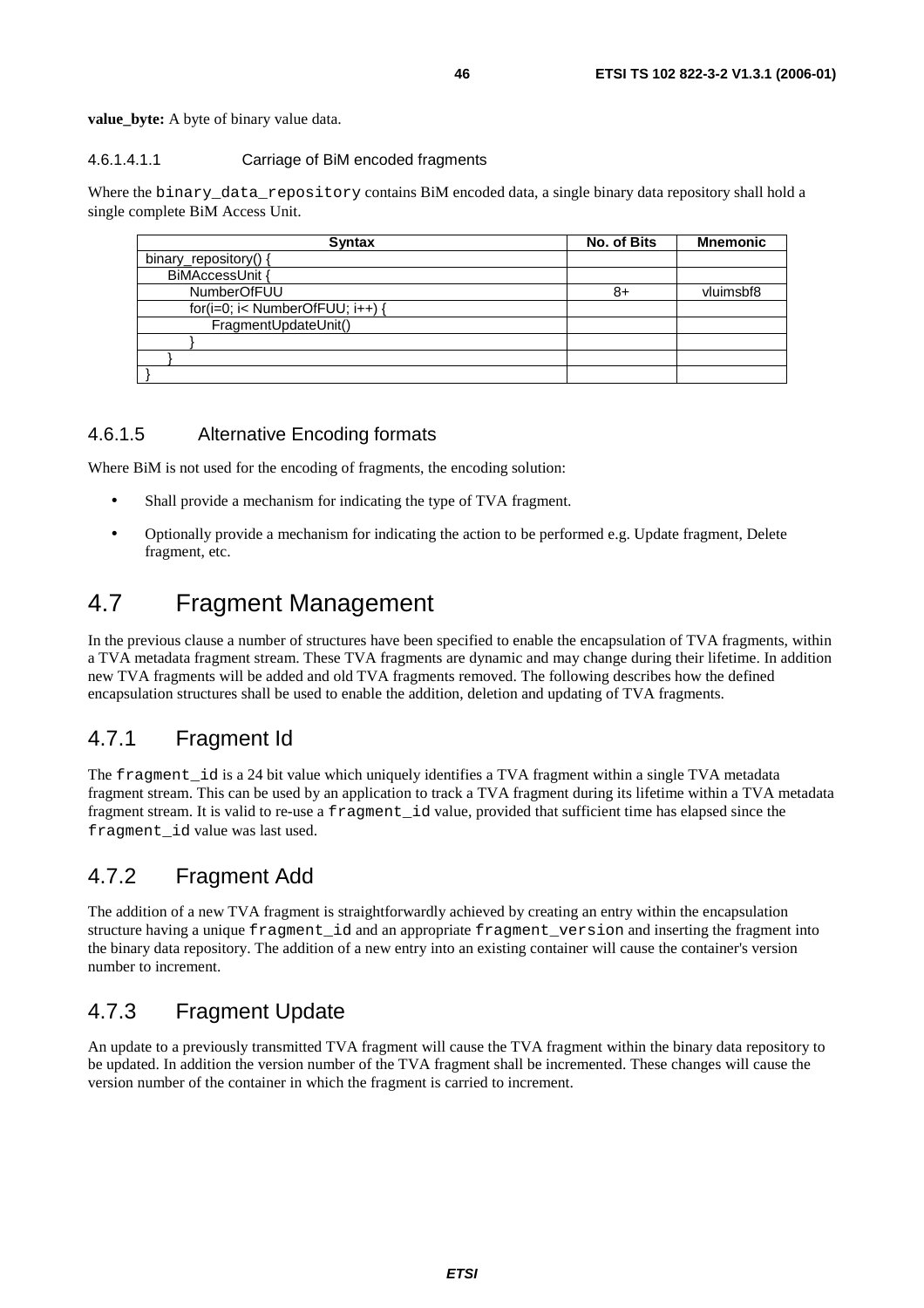value byte: A byte of binary value data.

#### 4.6.1.4.1.1 Carriage of BiM encoded fragments

Where the binary\_data\_repository contains BiM encoded data, a single binary data repository shall hold a single complete BiM Access Unit.

| <b>Syntax</b>                   | <b>No. of Bits</b> | <b>Mnemonic</b> |
|---------------------------------|--------------------|-----------------|
| binary_repository() {           |                    |                 |
| BiMAccessUnit {                 |                    |                 |
| <b>NumberOfFUU</b>              | 8+                 | vluimsbf8       |
| for(i=0; i< NumberOfFUU; i++) { |                    |                 |
| FragmentUpdateUnit()            |                    |                 |
|                                 |                    |                 |
|                                 |                    |                 |
|                                 |                    |                 |

### 4.6.1.5 Alternative Encoding formats

Where BiM is not used for the encoding of fragments, the encoding solution:

- Shall provide a mechanism for indicating the type of TVA fragment.
- Optionally provide a mechanism for indicating the action to be performed e.g. Update fragment, Delete fragment, etc.

# 4.7 Fragment Management

In the previous clause a number of structures have been specified to enable the encapsulation of TVA fragments, within a TVA metadata fragment stream. These TVA fragments are dynamic and may change during their lifetime. In addition new TVA fragments will be added and old TVA fragments removed. The following describes how the defined encapsulation structures shall be used to enable the addition, deletion and updating of TVA fragments.

# 4.7.1 Fragment Id

The fragment id is a 24 bit value which uniquely identifies a TVA fragment within a single TVA metadata fragment stream. This can be used by an application to track a TVA fragment during its lifetime within a TVA metadata fragment stream. It is valid to re-use a fragment id value, provided that sufficient time has elapsed since the fragment\_id value was last used.

# 4.7.2 Fragment Add

The addition of a new TVA fragment is straightforwardly achieved by creating an entry within the encapsulation structure having a unique fragment\_id and an appropriate fragment\_version and inserting the fragment into the binary data repository. The addition of a new entry into an existing container will cause the container's version number to increment.

# 4.7.3 Fragment Update

An update to a previously transmitted TVA fragment will cause the TVA fragment within the binary data repository to be updated. In addition the version number of the TVA fragment shall be incremented. These changes will cause the version number of the container in which the fragment is carried to increment.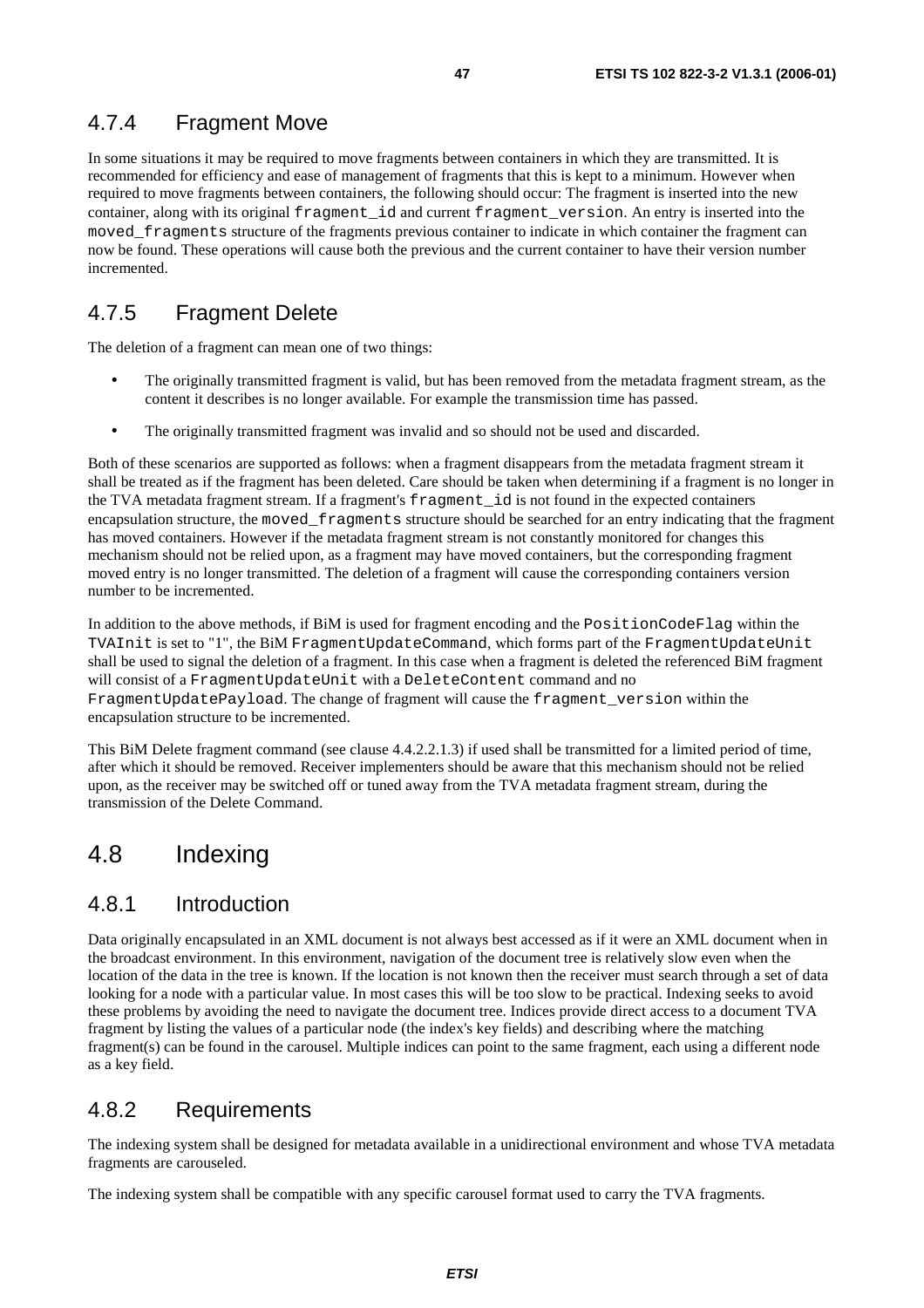# 4.7.4 Fragment Move

In some situations it may be required to move fragments between containers in which they are transmitted. It is recommended for efficiency and ease of management of fragments that this is kept to a minimum. However when required to move fragments between containers, the following should occur: The fragment is inserted into the new container, along with its original fragment\_id and current fragment\_version. An entry is inserted into the moved\_fragments structure of the fragments previous container to indicate in which container the fragment can now be found. These operations will cause both the previous and the current container to have their version number incremented.

# 4.7.5 Fragment Delete

The deletion of a fragment can mean one of two things:

- The originally transmitted fragment is valid, but has been removed from the metadata fragment stream, as the content it describes is no longer available. For example the transmission time has passed.
- The originally transmitted fragment was invalid and so should not be used and discarded.

Both of these scenarios are supported as follows: when a fragment disappears from the metadata fragment stream it shall be treated as if the fragment has been deleted. Care should be taken when determining if a fragment is no longer in the TVA metadata fragment stream. If a fragment's fragment\_id is not found in the expected containers encapsulation structure, the moved\_fragments structure should be searched for an entry indicating that the fragment has moved containers. However if the metadata fragment stream is not constantly monitored for changes this mechanism should not be relied upon, as a fragment may have moved containers, but the corresponding fragment moved entry is no longer transmitted. The deletion of a fragment will cause the corresponding containers version number to be incremented.

In addition to the above methods, if BiM is used for fragment encoding and the PositionCodeFlag within the TVAInit is set to "1", the BiM FragmentUpdateCommand, which forms part of the FragmentUpdateUnit shall be used to signal the deletion of a fragment. In this case when a fragment is deleted the referenced BiM fragment will consist of a FragmentUpdateUnit with a DeleteContent command and no FragmentUpdatePayload. The change of fragment will cause the fragment\_version within the encapsulation structure to be incremented.

This BiM Delete fragment command (see clause 4.4.2.2.1.3) if used shall be transmitted for a limited period of time, after which it should be removed. Receiver implementers should be aware that this mechanism should not be relied upon, as the receiver may be switched off or tuned away from the TVA metadata fragment stream, during the transmission of the Delete Command.

# 4.8 Indexing

# 4.8.1 Introduction

Data originally encapsulated in an XML document is not always best accessed as if it were an XML document when in the broadcast environment. In this environment, navigation of the document tree is relatively slow even when the location of the data in the tree is known. If the location is not known then the receiver must search through a set of data looking for a node with a particular value. In most cases this will be too slow to be practical. Indexing seeks to avoid these problems by avoiding the need to navigate the document tree. Indices provide direct access to a document TVA fragment by listing the values of a particular node (the index's key fields) and describing where the matching fragment(s) can be found in the carousel. Multiple indices can point to the same fragment, each using a different node as a key field.

# 4.8.2 Requirements

The indexing system shall be designed for metadata available in a unidirectional environment and whose TVA metadata fragments are carouseled.

The indexing system shall be compatible with any specific carousel format used to carry the TVA fragments.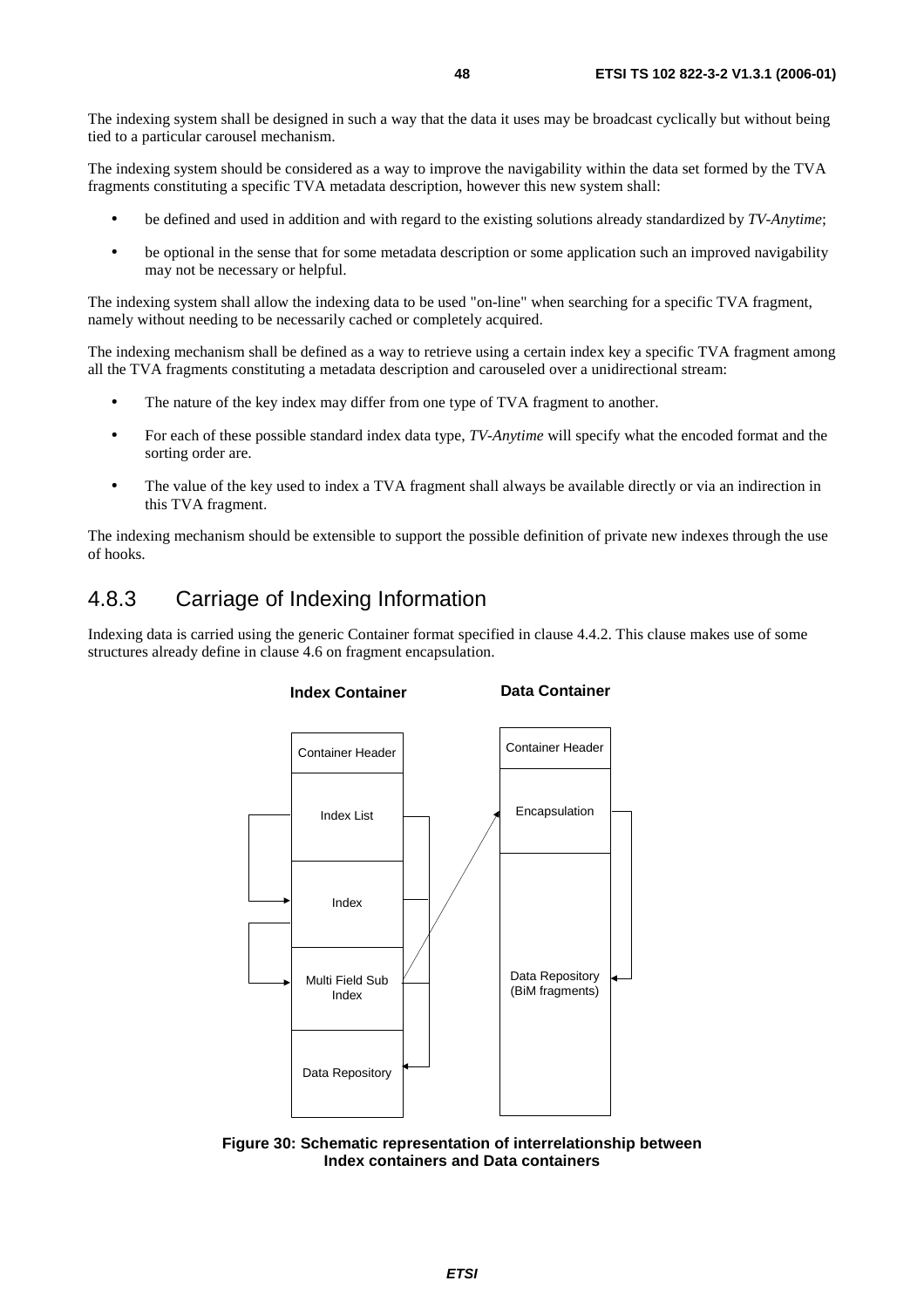The indexing system shall be designed in such a way that the data it uses may be broadcast cyclically but without being tied to a particular carousel mechanism.

The indexing system should be considered as a way to improve the navigability within the data set formed by the TVA fragments constituting a specific TVA metadata description, however this new system shall:

- be defined and used in addition and with regard to the existing solutions already standardized by *TV-Anytime*;
- be optional in the sense that for some metadata description or some application such an improved navigability may not be necessary or helpful.

The indexing system shall allow the indexing data to be used "on-line" when searching for a specific TVA fragment, namely without needing to be necessarily cached or completely acquired.

The indexing mechanism shall be defined as a way to retrieve using a certain index key a specific TVA fragment among all the TVA fragments constituting a metadata description and carouseled over a unidirectional stream:

- The nature of the key index may differ from one type of TVA fragment to another.
- For each of these possible standard index data type, *TV-Anytime* will specify what the encoded format and the sorting order are.
- The value of the key used to index a TVA fragment shall always be available directly or via an indirection in this TVA fragment.

The indexing mechanism should be extensible to support the possible definition of private new indexes through the use of hooks.

# 4.8.3 Carriage of Indexing Information

Indexing data is carried using the generic Container format specified in clause 4.4.2. This clause makes use of some structures already define in clause 4.6 on fragment encapsulation.



**Figure 30: Schematic representation of interrelationship between Index containers and Data containers**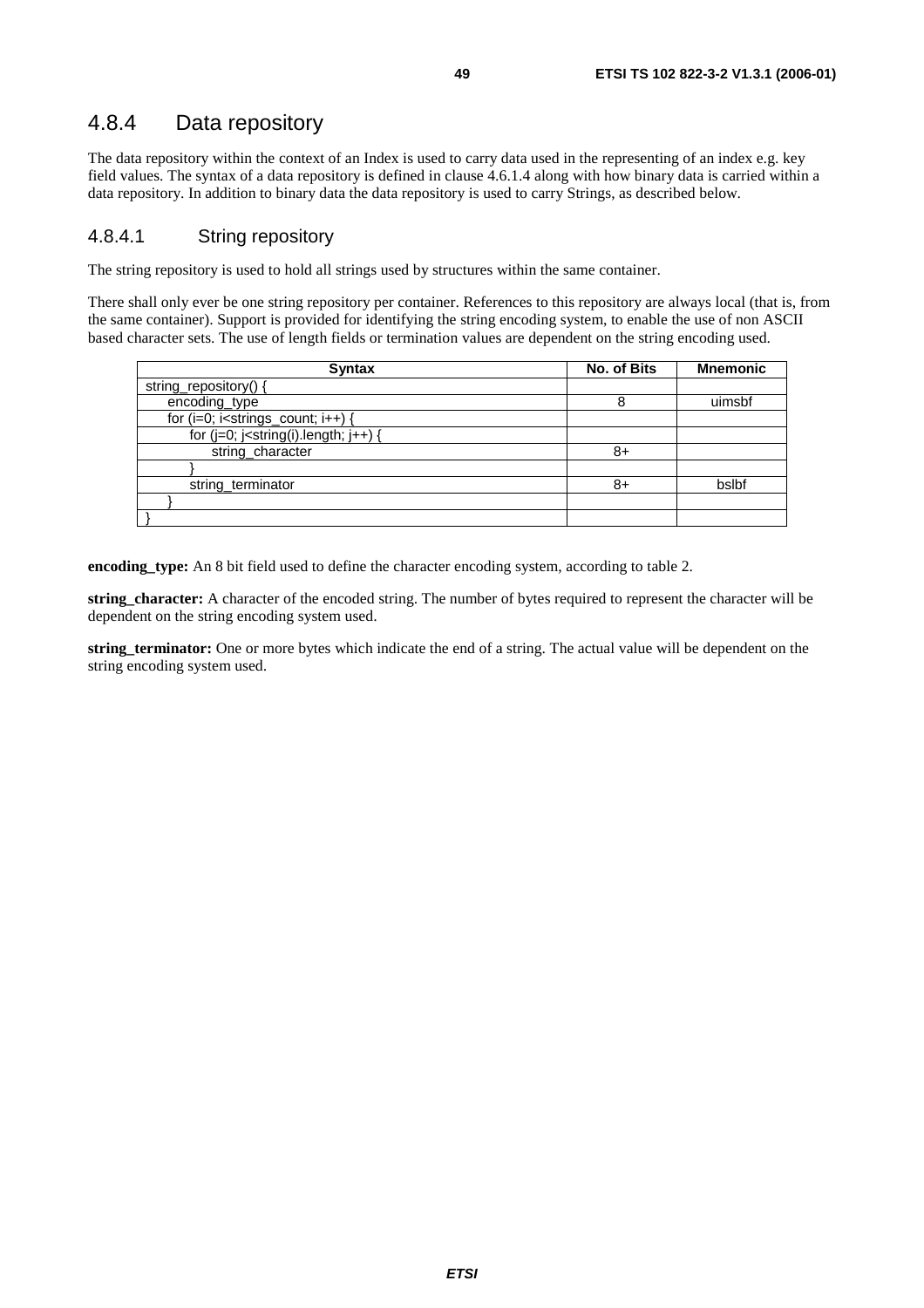# 4.8.4 Data repository

The data repository within the context of an Index is used to carry data used in the representing of an index e.g. key field values. The syntax of a data repository is defined in clause 4.6.1.4 along with how binary data is carried within a data repository. In addition to binary data the data repository is used to carry Strings, as described below.

### 4.8.4.1 String repository

The string repository is used to hold all strings used by structures within the same container.

There shall only ever be one string repository per container. References to this repository are always local (that is, from the same container). Support is provided for identifying the string encoding system, to enable the use of non ASCII based character sets. The use of length fields or termination values are dependent on the string encoding used.

| <b>Syntax</b>                                  | <b>No. of Bits</b> | <b>Mnemonic</b> |
|------------------------------------------------|--------------------|-----------------|
| string_repository() {                          |                    |                 |
| encoding_type                                  | 8                  | uimsbf          |
| for $(i=0; i<$ strings_count; $i++$ ) {        |                    |                 |
| for $(j=0; j<$ string $(i)$ .length; $j++$ ) { |                    |                 |
| string_character                               | 8+                 |                 |
|                                                |                    |                 |
| string_terminator                              | 8+                 | bslbf           |
|                                                |                    |                 |
|                                                |                    |                 |

**encoding\_type:** An 8 bit field used to define the character encoding system, according to table 2.

**string\_character:** A character of the encoded string. The number of bytes required to represent the character will be dependent on the string encoding system used.

**string\_terminator:** One or more bytes which indicate the end of a string. The actual value will be dependent on the string encoding system used.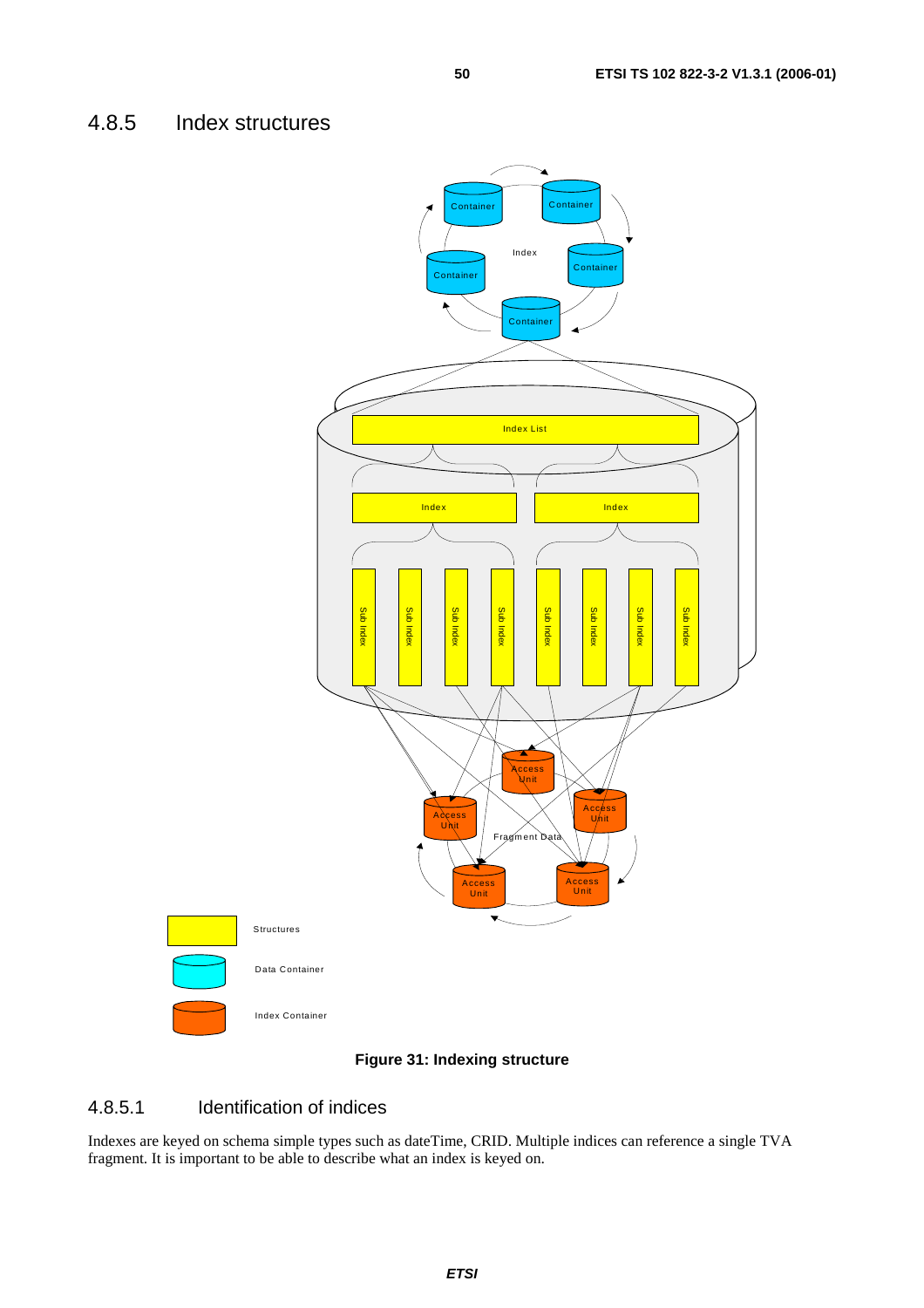

### **Figure 31: Indexing structure**

### 4.8.5.1 Identification of indices

Indexes are keyed on schema simple types such as dateTime, CRID. Multiple indices can reference a single TVA fragment. It is important to be able to describe what an index is keyed on.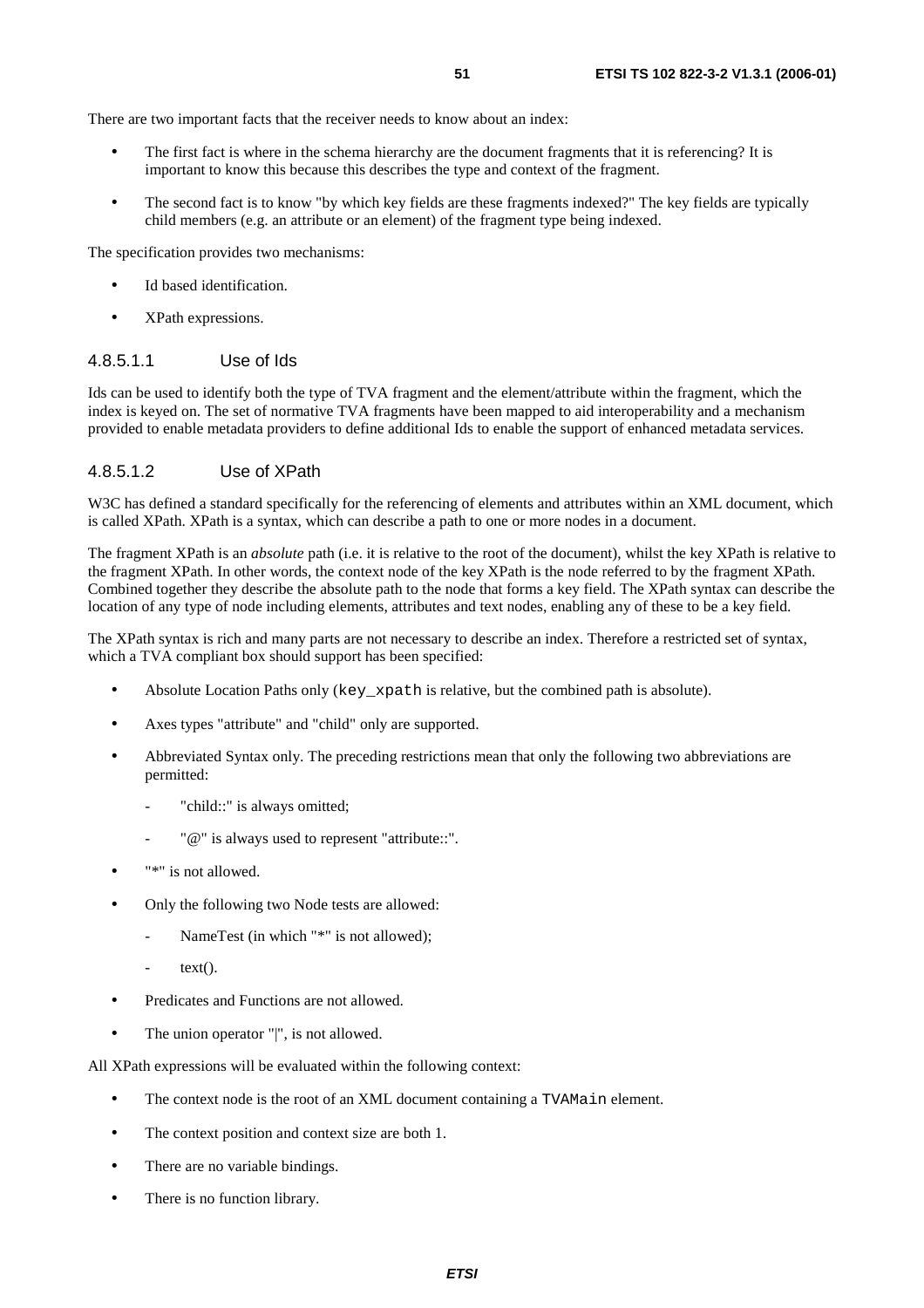There are two important facts that the receiver needs to know about an index:

- The first fact is where in the schema hierarchy are the document fragments that it is referencing? It is important to know this because this describes the type and context of the fragment.
- The second fact is to know "by which key fields are these fragments indexed?" The key fields are typically child members (e.g. an attribute or an element) of the fragment type being indexed.

The specification provides two mechanisms:

- Id based identification
- XPath expressions.

### 4.8.5.1.1 Use of Ids

Ids can be used to identify both the type of TVA fragment and the element/attribute within the fragment, which the index is keyed on. The set of normative TVA fragments have been mapped to aid interoperability and a mechanism provided to enable metadata providers to define additional Ids to enable the support of enhanced metadata services.

### 4.8.5.1.2 Use of XPath

W3C has defined a standard specifically for the referencing of elements and attributes within an XML document, which is called XPath. XPath is a syntax, which can describe a path to one or more nodes in a document.

The fragment XPath is an *absolute* path (i.e. it is relative to the root of the document), whilst the key XPath is relative to the fragment XPath. In other words, the context node of the key XPath is the node referred to by the fragment XPath. Combined together they describe the absolute path to the node that forms a key field. The XPath syntax can describe the location of any type of node including elements, attributes and text nodes, enabling any of these to be a key field.

The XPath syntax is rich and many parts are not necessary to describe an index. Therefore a restricted set of syntax, which a TVA compliant box should support has been specified:

- Absolute Location Paths only (key\_xpath is relative, but the combined path is absolute).
- Axes types "attribute" and "child" only are supported.
- Abbreviated Syntax only. The preceding restrictions mean that only the following two abbreviations are permitted:
	- "child::" is always omitted;
	- "@" is always used to represent "attribute::".
- "\*" is not allowed.
- Only the following two Node tests are allowed:
	- NameTest (in which "\*" is not allowed);
	- $text()$ .
- Predicates and Functions are not allowed.
- The union operator "|", is not allowed.

All XPath expressions will be evaluated within the following context:

- The context node is the root of an XML document containing a TVAMain element.
- The context position and context size are both 1.
- There are no variable bindings.
- There is no function library.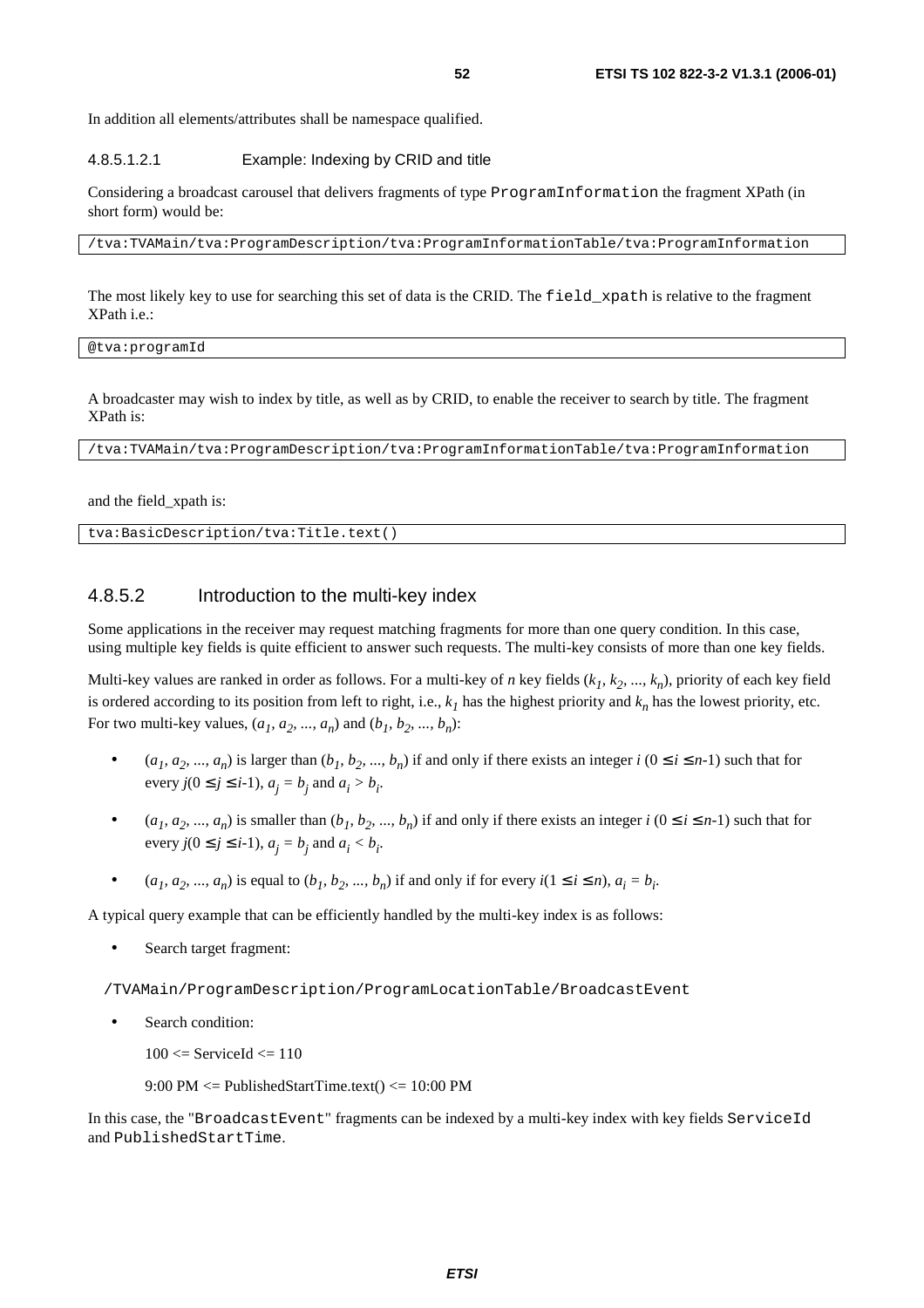In addition all elements/attributes shall be namespace qualified.

#### 4.8.5.1.2.1 Example: Indexing by CRID and title

Considering a broadcast carousel that delivers fragments of type ProgramInformation the fragment XPath (in short form) would be:

/tva:TVAMain/tva:ProgramDescription/tva:ProgramInformationTable/tva:ProgramInformation

The most likely key to use for searching this set of data is the CRID. The field\_xpath is relative to the fragment XPath i.e.:

@tva:programId

A broadcaster may wish to index by title, as well as by CRID, to enable the receiver to search by title. The fragment XPath is:

/tva:TVAMain/tva:ProgramDescription/tva:ProgramInformationTable/tva:ProgramInformation

and the field\_xpath is:

tva:BasicDescription/tva:Title.text()

### 4.8.5.2 Introduction to the multi-key index

Some applications in the receiver may request matching fragments for more than one query condition. In this case, using multiple key fields is quite efficient to answer such requests. The multi-key consists of more than one key fields.

Multi-key values are ranked in order as follows. For a multi-key of *n* key fields  $(k_1, k_2, ..., k_n)$ , priority of each key field is ordered according to its position from left to right, i.e.,  $k_l$  has the highest priority and  $k_n$  has the lowest priority, etc. For two multi-key values,  $(a_1, a_2, ..., a_n)$  and  $(b_1, b_2, ..., b_n)$ :

- $(a_1, a_2, ..., a_n)$  is larger than  $(b_1, b_2, ..., b_n)$  if and only if there exists an integer  $i$   $(0 \le i \le n-1)$  such that for every  $j(0 \le j \le i-1)$ ,  $a_j = b_j$  and  $a_i > b_i$ .
- $(a_1, a_2, ..., a_n)$  is smaller than  $(b_1, b_2, ..., b_n)$  if and only if there exists an integer  $i$   $(0 \le i \le n-1)$  such that for every  $j(0 \le j \le i-1)$ ,  $a_j = b_j$  and  $a_i < b_i$ .
- $(a_1, a_2, ..., a_n)$  is equal to  $(b_1, b_2, ..., b_n)$  if and only if for every  $i(1 \le i \le n)$ ,  $a_i = b_i$ .

A typical query example that can be efficiently handled by the multi-key index is as follows:

Search target fragment:

/TVAMain/ProgramDescription/ProgramLocationTable/BroadcastEvent

• Search condition:

 $100 \leq$  ServiceId  $\leq$  110

 $9:00 \text{ PM} \leq \text{PublishedStartTime.text}() \leq 10:00 \text{ PM}$ 

In this case, the "BroadcastEvent" fragments can be indexed by a multi-key index with key fields ServiceId and PublishedStartTime.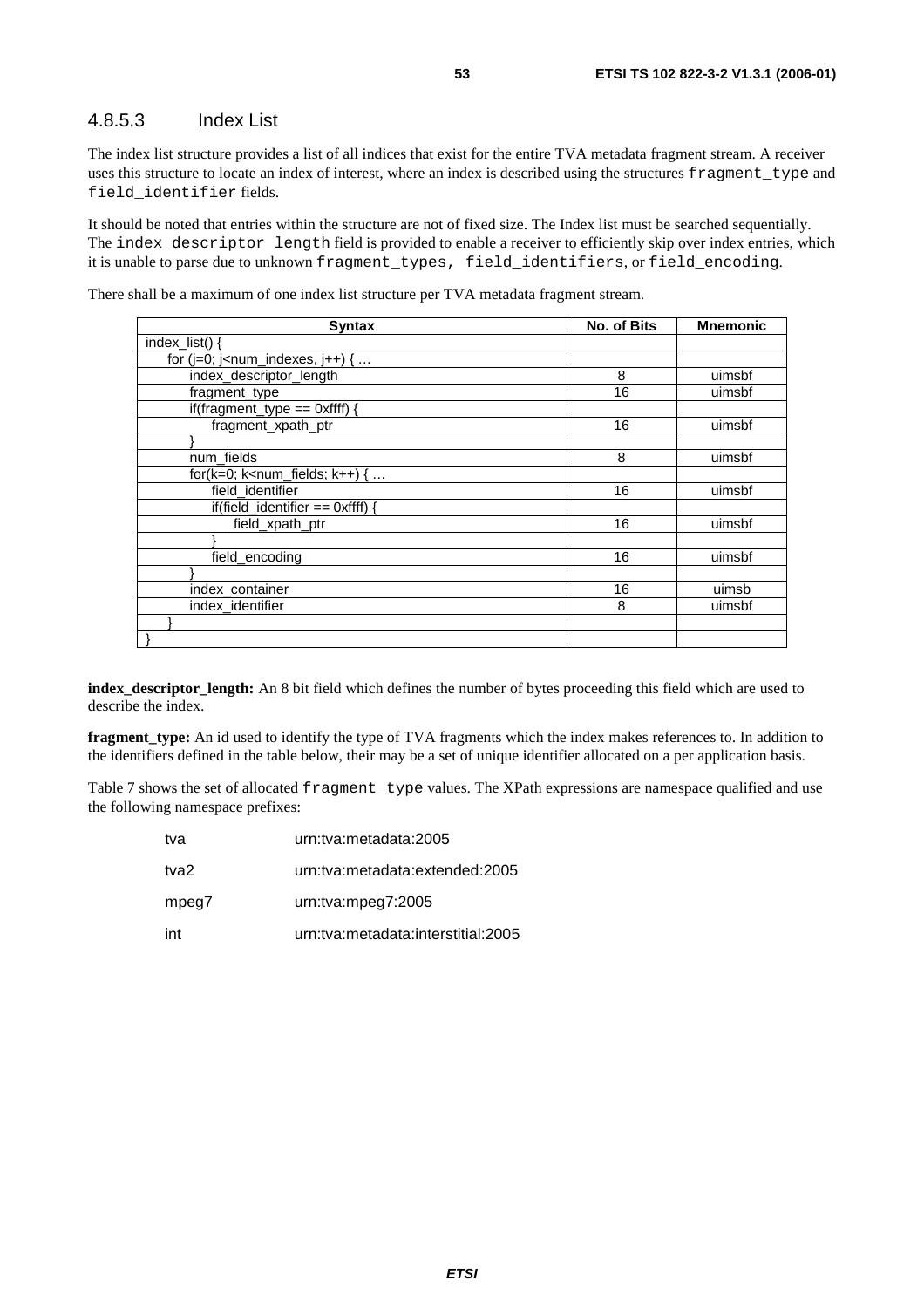### 4.8.5.3 Index List

The index list structure provides a list of all indices that exist for the entire TVA metadata fragment stream. A receiver uses this structure to locate an index of interest, where an index is described using the structures fragment\_type and field\_identifier fields.

It should be noted that entries within the structure are not of fixed size. The Index list must be searched sequentially. The index\_descriptor\_length field is provided to enable a receiver to efficiently skip over index entries, which it is unable to parse due to unknown fragment\_types, field\_identifiers, or field\_encoding.

There shall be a maximum of one index list structure per TVA metadata fragment stream.

| <b>Syntax</b>                                                   | <b>No. of Bits</b> | <b>Mnemonic</b> |
|-----------------------------------------------------------------|--------------------|-----------------|
| index list() $\{$                                               |                    |                 |
| for ( $j=0$ ; $j$ <num_indexes, <math="">j++) { </num_indexes,> |                    |                 |
| index_descriptor_length                                         | 8                  | uimsbf          |
| fragment_type                                                   | 16                 | uimsbf          |
| if(fragment_type == $0$ xffff) {                                |                    |                 |
| fragment_xpath_ptr                                              | 16                 | uimsbf          |
|                                                                 |                    |                 |
| num_fields                                                      | 8                  | uimsbf          |
| for( $k=0$ ; $k1$ k and fields; $k++$ ) {                       |                    |                 |
| field identifier                                                | 16                 | uimsbf          |
| if(field identifier $==$ 0xffff) {                              |                    |                 |
| field xpath ptr                                                 | 16                 | uimsbf          |
|                                                                 |                    |                 |
| field encoding                                                  | 16                 | uimsbf          |
|                                                                 |                    |                 |
| index_container                                                 | 16                 | uimsb           |
| index_identifier                                                | 8                  | uimsbf          |
|                                                                 |                    |                 |
|                                                                 |                    |                 |

**index\_descriptor\_length:** An 8 bit field which defines the number of bytes proceeding this field which are used to describe the index.

**fragment\_type:** An id used to identify the type of TVA fragments which the index makes references to. In addition to the identifiers defined in the table below, their may be a set of unique identifier allocated on a per application basis.

Table 7 shows the set of allocated fragment\_type values. The XPath expressions are namespace qualified and use the following namespace prefixes:

| tva   | urn:tva:metadata:2005              |
|-------|------------------------------------|
| tva2  | urn:tva:metadata:extended:2005     |
| mpeg7 | urn:tva:mpeg7:2005                 |
| int   | urn:tva:metadata:interstitial:2005 |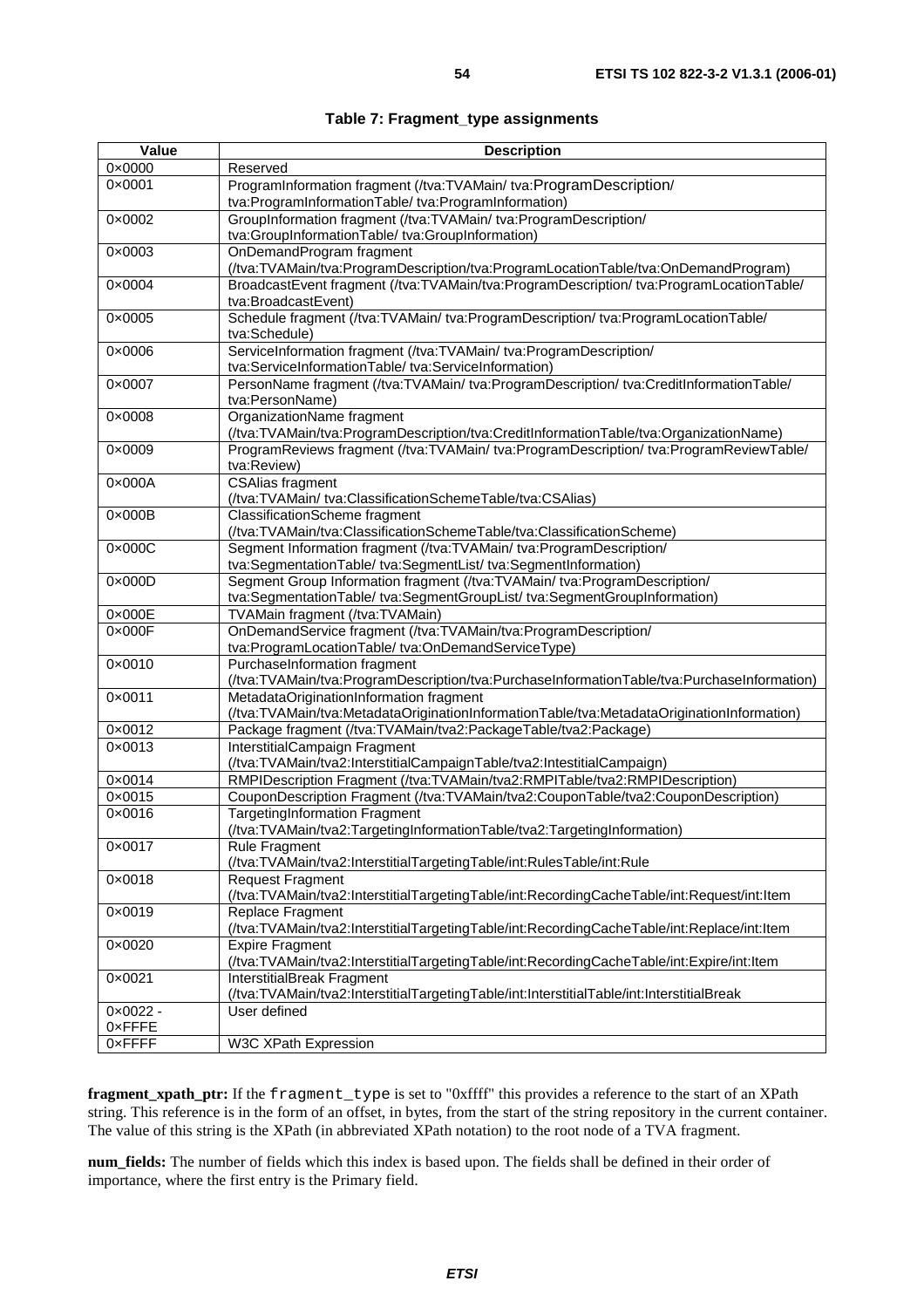| Value             | <b>Description</b>                                                                                                                                     |
|-------------------|--------------------------------------------------------------------------------------------------------------------------------------------------------|
| 0×0000            | Reserved                                                                                                                                               |
| 0×0001            | ProgramInformation fragment (/tva:TVAMain/ tva:ProgramDescription/<br>tva:ProgramInformationTable/tva:ProgramInformation)                              |
| 0×0002            | GroupInformation fragment (/tva:TVAMain/ tva:ProgramDescription/<br>tva:GroupInformationTable/tva:GroupInformation)                                    |
| 0×0003            | OnDemandProgram fragment<br>(/tva:TVAMain/tva:ProgramDescription/tva:ProgramLocationTable/tva:OnDemandProgram)                                         |
| 0×0004            | BroadcastEvent fragment (/tva:TVAMain/tva:ProgramDescription/ tva:ProgramLocationTable/<br>tva:BroadcastEvent)                                         |
| 0×0005            | Schedule fragment (/tva:TVAMain/ tva:ProgramDescription/ tva:ProgramLocationTable/<br>tva:Schedule)                                                    |
| 0×0006            | ServiceInformation fragment (/tva:TVAMain/ tva:ProgramDescription/<br>tva:ServiceInformationTable/tva:ServiceInformation)                              |
| 0×0007            | PersonName fragment (/tva:TVAMain/ tva:ProgramDescription/ tva:CreditInformationTable/<br>tva:PersonName)                                              |
| 0×0008            | OrganizationName fragment<br>(/tva:TVAMain/tva:ProgramDescription/tva:CreditInformationTable/tva:OrganizationName)                                     |
| 0×0009            | ProgramReviews fragment (/tva:TVAMain/ tva:ProgramDescription/ tva:ProgramReviewTable/<br>tva:Review)                                                  |
| $0 \times 000A$   | <b>CSAlias fragment</b><br>(/tva:TVAMain/ tva:ClassificationSchemeTable/tva:CSAlias)                                                                   |
| $0 \times 000B$   | <b>ClassificationScheme fragment</b><br>(/tva:TVAMain/tva:ClassificationSchemeTable/tva:ClassificationScheme)                                          |
| $0 \times 000C$   | Segment Information fragment (/tva:TVAMain/ tva:ProgramDescription/<br>tva:SegmentationTable/tva:SegmentList/tva:SegmentInformation)                   |
| $0 \times 000D$   | Segment Group Information fragment (/tva:TVAMain/ tva:ProgramDescription/<br>tva:SegmentationTable/ tva:SegmentGroupList/ tva:SegmentGroupInformation) |
| 0×000E            | TVAMain fragment (/tva:TVAMain)                                                                                                                        |
| $0 \times 000$ F  | OnDemandService fragment (/tva:TVAMain/tva:ProgramDescription/<br>tva:ProgramLocationTable/tva:OnDemandServiceType)                                    |
| 0×0010            | PurchaseInformation fragment<br>(/tva:TVAMain/tva:ProgramDescription/tva:PurchaseInformationTable/tva:PurchaseInformation)                             |
| 0×0011            | MetadataOriginationInformation fragment<br>(/tva:TVAMain/tva:MetadataOriginationInformationTable/tva:MetadataOriginationInformation)                   |
| 0×0012            | Package fragment (/tva:TVAMain/tva2:PackageTable/tva2:Package)                                                                                         |
| 0×0013            | InterstitialCampaign Fragment<br>(/tva:TVAMain/tva2:InterstitialCampaignTable/tva2:IntestitialCampaign)                                                |
| 0×0014            | RMPIDescription Fragment (/tva:TVAMain/tva2:RMPITable/tva2:RMPIDescription)                                                                            |
| 0×0015            | CouponDescription Fragment (/tva:TVAMain/tva2:CouponTable/tva2:CouponDescription)                                                                      |
| $0 \times 0016$   | <b>TargetingInformation Fragment</b><br>(/tva:TVAMain/tva2:TargetingInformationTable/tva2:TargetingInformation)                                        |
| 0×0017            | <b>Rule Fragment</b><br>(/tva:TVAMain/tva2:InterstitialTargetingTable/int:RulesTable/int:Rule                                                          |
| $0 \times 0018$   | <b>Request Fragment</b><br>(/tva:TVAMain/tva2:InterstitialTargetingTable/int:RecordingCacheTable/int:Request/int:Item                                  |
| 0×0019            | Replace Fragment<br>(/tva:TVAMain/tva2:InterstitialTargetingTable/int:RecordingCacheTable/int:Replace/int:Item                                         |
| 0×0020            | <b>Expire Fragment</b><br>(/tva:TVAMain/tva2:InterstitialTargetingTable/int:RecordingCacheTable/int:Expire/int:Item                                    |
| 0×0021            | InterstitialBreak Fragment<br>(/tva:TVAMain/tva2:InterstitialTargetingTable/int:InterstitialTable/int:InterstitialBreak                                |
| $0 \times 0022 -$ | User defined                                                                                                                                           |
| 0xFFFE            |                                                                                                                                                        |
| 0xFFFF            | W3C XPath Expression                                                                                                                                   |

**fragment\_xpath\_ptr:** If the fragment\_type is set to "0xffff" this provides a reference to the start of an XPath string. This reference is in the form of an offset, in bytes, from the start of the string repository in the current container. The value of this string is the XPath (in abbreviated XPath notation) to the root node of a TVA fragment.

**num\_fields:** The number of fields which this index is based upon. The fields shall be defined in their order of importance, where the first entry is the Primary field.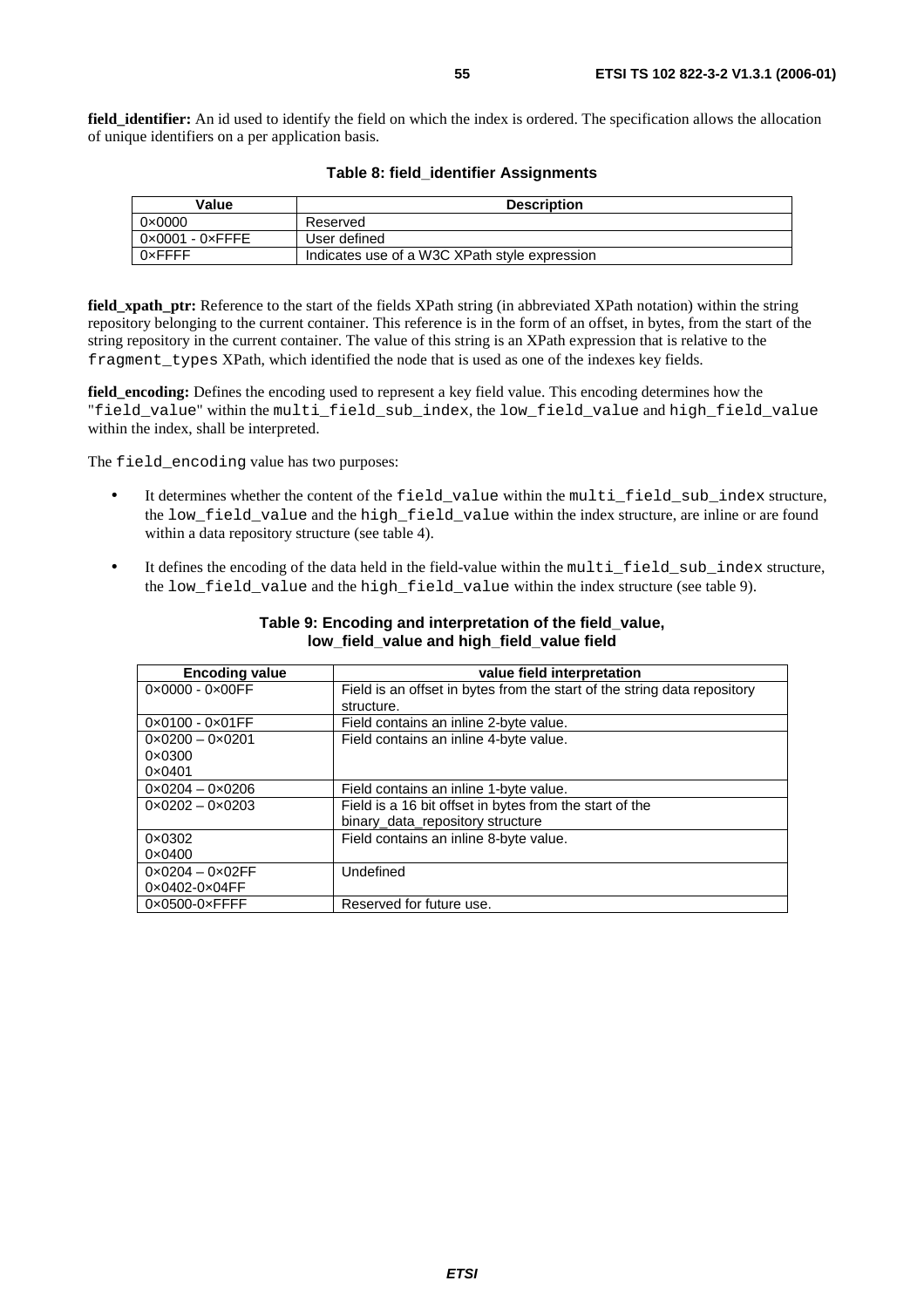**field identifier:** An id used to identify the field on which the index is ordered. The specification allows the allocation of unique identifiers on a per application basis.

| Value                           | <b>Description</b>                            |
|---------------------------------|-----------------------------------------------|
| $0 \times 0000$                 | Reserved                                      |
| $0 \times 0001 - 0 \times$ FFFE | User defined                                  |
| 0xFFFF                          | Indicates use of a W3C XPath style expression |

#### **Table 8: field\_identifier Assignments**

**field xpath ptr:** Reference to the start of the fields XPath string (in abbreviated XPath notation) within the string repository belonging to the current container. This reference is in the form of an offset, in bytes, from the start of the string repository in the current container. The value of this string is an XPath expression that is relative to the fragment\_types XPath, which identified the node that is used as one of the indexes key fields.

**field\_encoding:** Defines the encoding used to represent a key field value. This encoding determines how the "field\_value" within the multi\_field\_sub\_index, the low\_field\_value and high\_field\_value within the index, shall be interpreted.

The field encoding value has two purposes:

- It determines whether the content of the field\_value within the multi\_field\_sub\_index structure, the low field value and the high field value within the index structure, are inline or are found within a data repository structure (see table 4).
- It defines the encoding of the data held in the field-value within the multi field sub index structure, the low\_field\_value and the high\_field\_value within the index structure (see table 9).

| <b>Encoding value</b>            | value field interpretation                                               |
|----------------------------------|--------------------------------------------------------------------------|
| $0 \times 0000 - 0 \times 00$ FF | Field is an offset in bytes from the start of the string data repository |
|                                  | structure.                                                               |
| $0 \times 0100 - 0 \times 01$ FF | Field contains an inline 2-byte value.                                   |
| $0 \times 0200 - 0 \times 0201$  | Field contains an inline 4-byte value.                                   |
| $0 \times 0300$                  |                                                                          |
| $0 \times 0401$                  |                                                                          |
| $0 \times 0204 - 0 \times 0206$  | Field contains an inline 1-byte value.                                   |
| $0 \times 0202 - 0 \times 0203$  | Field is a 16 bit offset in bytes from the start of the                  |
|                                  | binary_data_repository structure                                         |
| 0×0302                           | Field contains an inline 8-byte value.                                   |
| $0 \times 0400$                  |                                                                          |
| $0 \times 0204 - 0 \times 02$ FF | Undefined                                                                |
| 0×0402-0×04FF                    |                                                                          |
| $0 \times 0500 - 0 \times$ FFFF  | Reserved for future use.                                                 |

#### **Table 9: Encoding and interpretation of the field\_value, low\_field\_value and high\_field\_value field**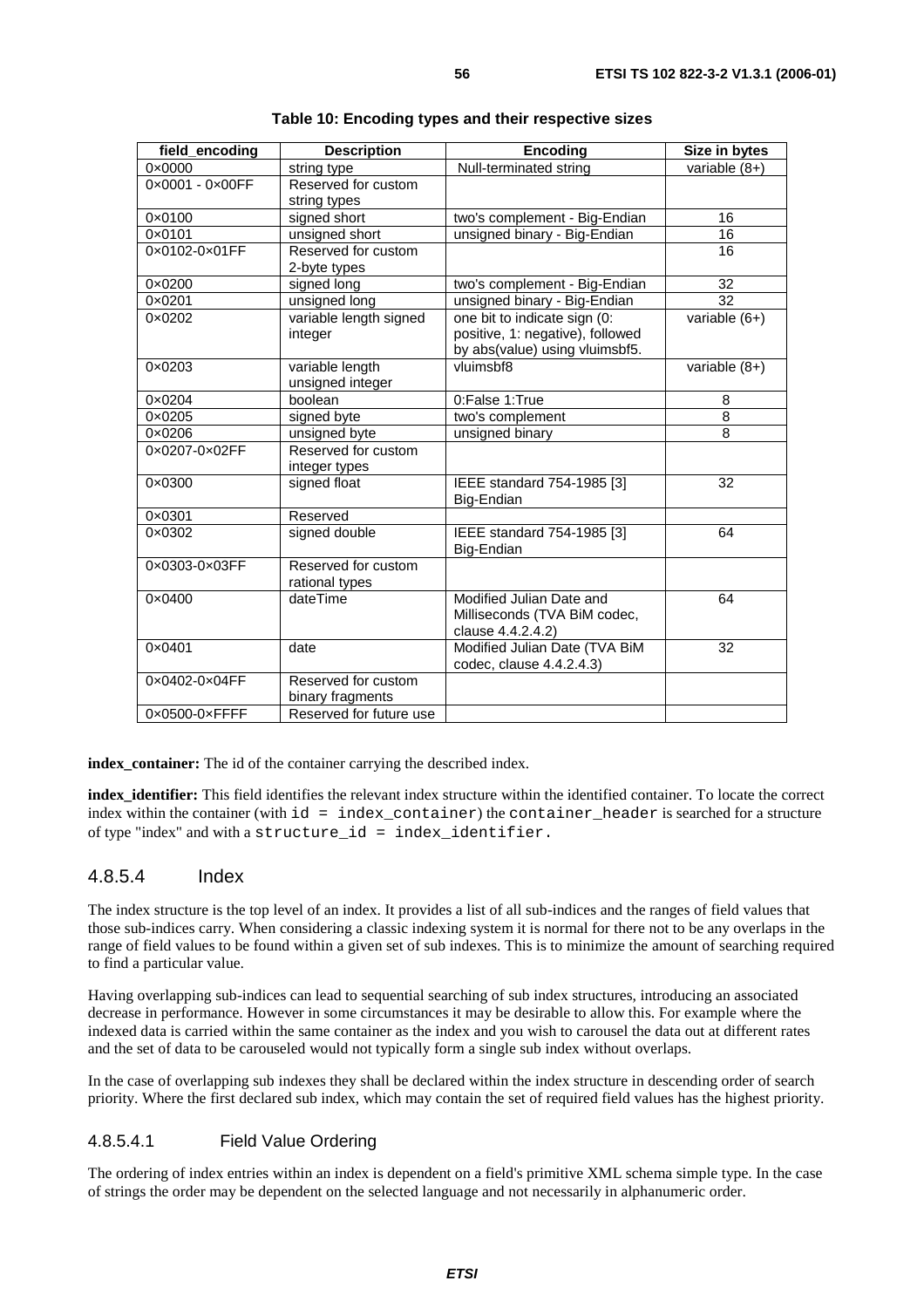| field_encoding                  | <b>Description</b>      | <b>Encoding</b>                             | Size in bytes   |
|---------------------------------|-------------------------|---------------------------------------------|-----------------|
| $0 \times 0000$                 | string type             | Null-terminated string                      | variable $(8+)$ |
| 0×0001 - 0×00FF                 | Reserved for custom     |                                             |                 |
|                                 | string types            |                                             |                 |
| 0×0100                          | signed short            | two's complement - Big-Endian               | 16              |
| 0×0101                          | unsigned short          | unsigned binary - Big-Endian                | 16              |
| 0x0102-0x01FF                   | Reserved for custom     |                                             | 16              |
|                                 | 2-byte types            |                                             |                 |
| 0×0200                          | signed long             | two's complement - Big-Endian               | 32              |
| $0 \times 0201$                 | unsigned long           | unsigned binary - Big-Endian                | $\overline{32}$ |
| $0 \times 0202$                 | variable length signed  | one bit to indicate sign (0:                | variable $(6+)$ |
|                                 | integer                 | positive, 1: negative), followed            |                 |
|                                 |                         | by abs(value) using vluimsbf5.              |                 |
| $0 \times 0203$                 | variable length         | $\overline{\overline{\mathsf{v}}}$ luimsbf8 | variable $(8+)$ |
|                                 | unsigned integer        |                                             |                 |
| 0×0204                          | boolean                 | 0:False 1:True                              | 8               |
| 0×0205                          | signed byte             | two's complement                            | $\overline{8}$  |
| $0 \times 0206$                 | unsigned byte           | unsigned binary                             | 8               |
| 0×0207-0×02FF                   | Reserved for custom     |                                             |                 |
|                                 | integer types           |                                             |                 |
| 0×0300                          | signed float            | IEEE standard 754-1985 [3]                  | 32              |
|                                 |                         | Big-Endian                                  |                 |
| 0×0301                          | Reserved                |                                             |                 |
| 0×0302                          | signed double           | IEEE standard 754-1985 [3]                  | 64              |
|                                 |                         | Big-Endian                                  |                 |
| 0×0303-0×03FF                   | Reserved for custom     |                                             |                 |
|                                 | rational types          |                                             |                 |
| $0 \times 0400$                 | dateTime                | Modified Julian Date and                    | 64              |
|                                 |                         | Milliseconds (TVA BiM codec,                |                 |
|                                 |                         | clause 4.4.2.4.2)                           |                 |
| $0 \times 0401$                 | date                    | Modified Julian Date (TVA BiM               | 32              |
|                                 |                         | codec, clause 4.4.2.4.3)                    |                 |
| 0×0402-0×04FF                   | Reserved for custom     |                                             |                 |
|                                 | binary fragments        |                                             |                 |
| $0 \times 0500 - 0 \times$ FFFF | Reserved for future use |                                             |                 |

| Table 10: Encoding types and their respective sizes |  |  |  |  |  |
|-----------------------------------------------------|--|--|--|--|--|
|-----------------------------------------------------|--|--|--|--|--|

**index\_container:** The id of the container carrying the described index.

**index\_identifier:** This field identifies the relevant index structure within the identified container. To locate the correct index within the container (with id = index\_container) the container\_header is searched for a structure of type "index" and with a structure\_id = index\_identifier.

### 4.8.5.4 Index

The index structure is the top level of an index. It provides a list of all sub-indices and the ranges of field values that those sub-indices carry. When considering a classic indexing system it is normal for there not to be any overlaps in the range of field values to be found within a given set of sub indexes. This is to minimize the amount of searching required to find a particular value.

Having overlapping sub-indices can lead to sequential searching of sub index structures, introducing an associated decrease in performance. However in some circumstances it may be desirable to allow this. For example where the indexed data is carried within the same container as the index and you wish to carousel the data out at different rates and the set of data to be carouseled would not typically form a single sub index without overlaps.

In the case of overlapping sub indexes they shall be declared within the index structure in descending order of search priority. Where the first declared sub index, which may contain the set of required field values has the highest priority.

### 4.8.5.4.1 Field Value Ordering

The ordering of index entries within an index is dependent on a field's primitive XML schema simple type. In the case of strings the order may be dependent on the selected language and not necessarily in alphanumeric order.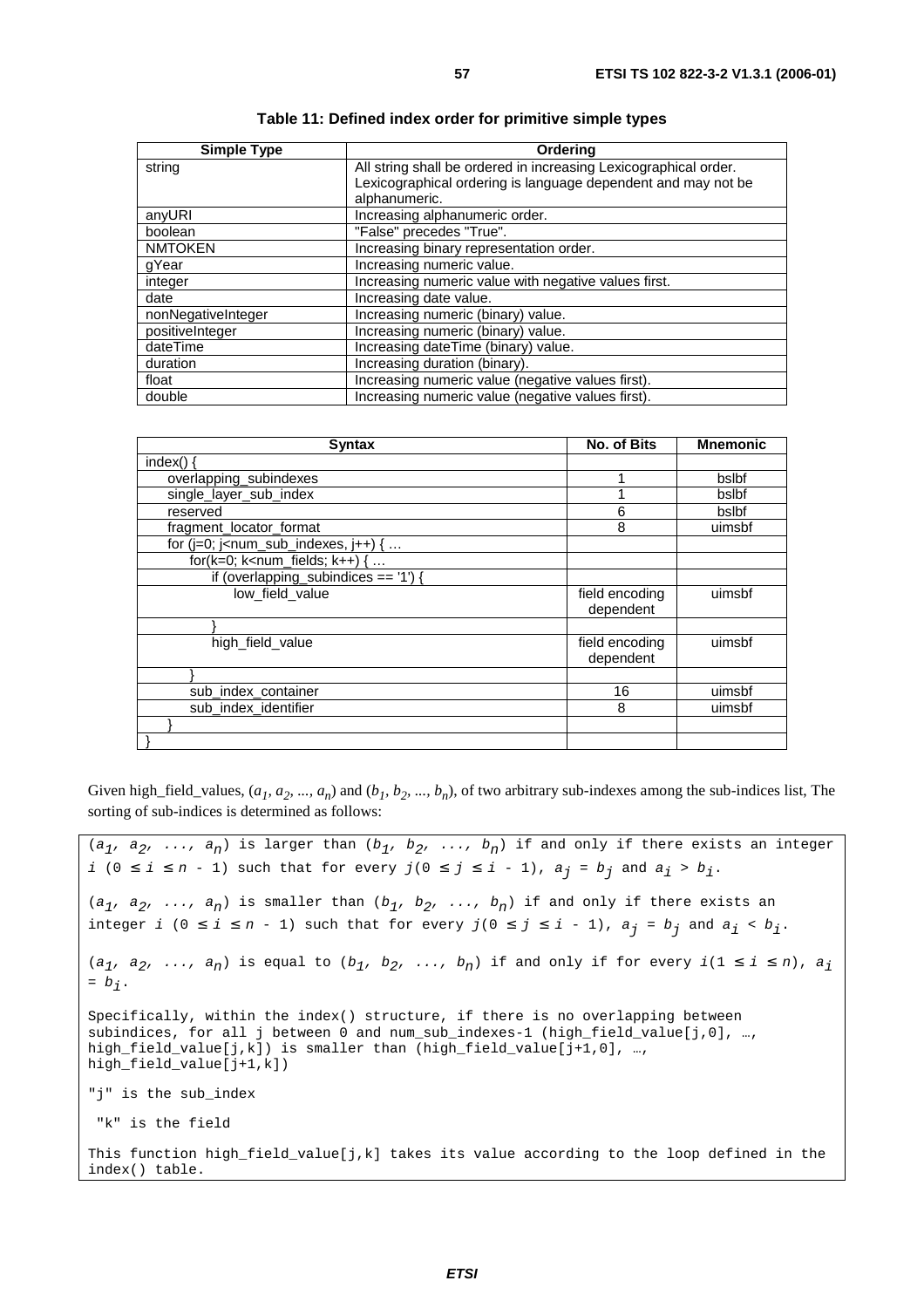| <b>Simple Type</b> | Orderina                                                         |
|--------------------|------------------------------------------------------------------|
| string             | All string shall be ordered in increasing Lexicographical order. |
|                    | Lexicographical ordering is language dependent and may not be    |
|                    | alphanumeric.                                                    |
| anyURI             | Increasing alphanumeric order.                                   |
| boolean            | "False" precedes "True".                                         |
| <b>NMTOKEN</b>     | Increasing binary representation order.                          |
| qYear              | Increasing numeric value.                                        |
| integer            | Increasing numeric value with negative values first.             |
| date               | Increasing date value.                                           |
| nonNegativeInteger | Increasing numeric (binary) value.                               |
| positiveInteger    | Increasing numeric (binary) value.                               |
| dateTime           | Increasing dateTime (binary) value.                              |
| duration           | Increasing duration (binary).                                    |
| float              | Increasing numeric value (negative values first).                |
| double             | Increasing numeric value (negative values first).                |

| Table 11: Defined index order for primitive simple types |
|----------------------------------------------------------|
|----------------------------------------------------------|

| <b>Syntax</b>                            | <b>No. of Bits</b>          | <b>Mnemonic</b> |
|------------------------------------------|-----------------------------|-----------------|
| index() $\{$                             |                             |                 |
| overlapping_subindexes                   |                             | bslbf           |
| single_layer_sub_index                   |                             | bslbf           |
| reserved                                 | 6                           | bslbf           |
| fragment_locator_format                  | 8                           | uimsbf          |
| for $(i=0; i1 - num_sub_indexes, i++)$ { |                             |                 |
| for( $k=0$ ; $k=num$ fields; $k++$ ) {   |                             |                 |
| if (overlapping_subindices == $'1'$ ) {  |                             |                 |
| low_field_value                          | field encoding<br>dependent | uimsbf          |
|                                          |                             |                 |
| high_field_value                         | field encoding<br>dependent | uimsbf          |
|                                          |                             |                 |
| sub_index_container                      | 16                          | uimsbf          |
| sub index identifier                     | 8                           | uimsbf          |
|                                          |                             |                 |
|                                          |                             |                 |

Given high\_field\_values,  $(a_1, a_2, ..., a_n)$  and  $(b_1, b_2, ..., b_n)$ , of two arbitrary sub-indexes among the sub-indices list, The sorting of sub-indices is determined as follows:

```
(a_1, a_2, \ldots, a_n) is larger than (b_1, b_2, \ldots, b_n) if and only if there exists an integer
i (0 ≤ i ≤ n - 1) such that for every j(0 ≤ j ≤ i - 1), a_j = b_j and a_i > b_j.
(a_1, a_2, \ldots, a_n) is smaller than (b_1, b_2, \ldots, b_n) if and only if there exists an
integer i (0 \le i \le n - 1) such that for every j(0 \le j \le i - 1), a_j = b_j and a_i < b_j.
(a_1, a_2, \ldots, a_n) is equal to (b_1, b_2, \ldots, b_n) if and only if for every i(1 \le i \le n), a_i= b_i.
Specifically, within the index() structure, if there is no overlapping between 
subindices, for all j between 0 and num_sub_indexes-1 (high_field_value[j,0], …, 
high_field_value[j,k]) is smaller than (high_field_value[j+1,0], ...,
high field_value[j+1,k])
"j" is the sub_index 
  "k" is the field
This function high field value[j,k] takes its value according to the loop defined in the
index() table.
```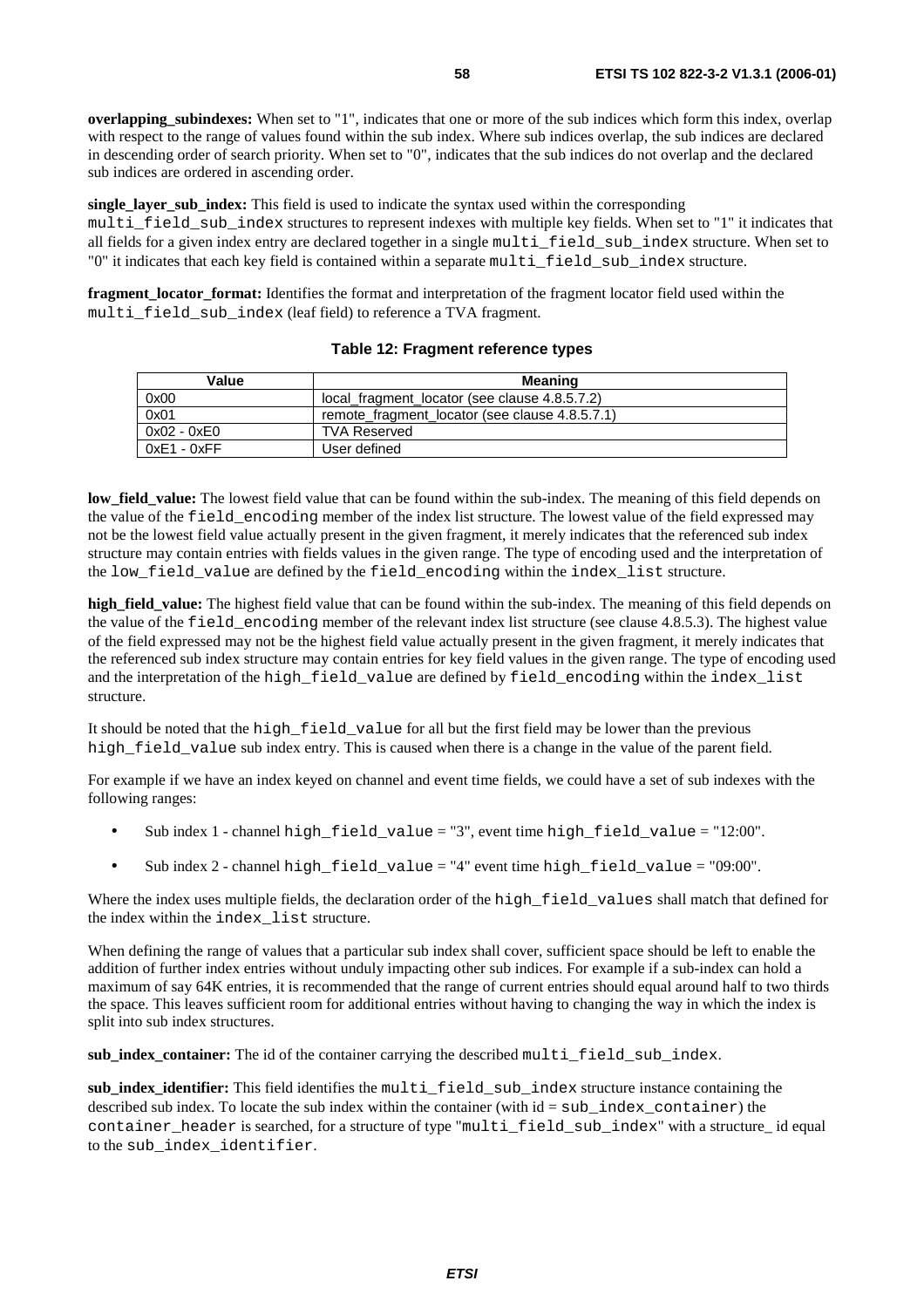**overlapping\_subindexes:** When set to "1", indicates that one or more of the sub indices which form this index, overlap with respect to the range of values found within the sub index. Where sub indices overlap, the sub indices are declared in descending order of search priority. When set to "0", indicates that the sub indices do not overlap and the declared sub indices are ordered in ascending order.

**single layer sub index:** This field is used to indicate the syntax used within the corresponding multi\_field\_sub\_index structures to represent indexes with multiple key fields. When set to "1" it indicates that all fields for a given index entry are declared together in a single multi field sub index structure. When set to "0" it indicates that each key field is contained within a separate multi\_field\_sub\_index structure.

**fragment\_locator\_format:** Identifies the format and interpretation of the fragment locator field used within the multi\_field\_sub\_index (leaf field) to reference a TVA fragment.

| Value         | Meaning                                        |
|---------------|------------------------------------------------|
| 0x00          | local fragment locator (see clause 4.8.5.7.2)  |
| 0x01          | remote fragment locator (see clause 4.8.5.7.1) |
| 0x02 - 0xE0   | <b>TVA Reserved</b>                            |
| $0xE1 - 0xFF$ | User defined                                   |

#### **Table 12: Fragment reference types**

**low\_field\_value:** The lowest field value that can be found within the sub-index. The meaning of this field depends on the value of the field\_encoding member of the index list structure. The lowest value of the field expressed may not be the lowest field value actually present in the given fragment, it merely indicates that the referenced sub index structure may contain entries with fields values in the given range. The type of encoding used and the interpretation of the low field value are defined by the field encoding within the index list structure.

**high\_field\_value:** The highest field value that can be found within the sub-index. The meaning of this field depends on the value of the field\_encoding member of the relevant index list structure (see clause 4.8.5.3). The highest value of the field expressed may not be the highest field value actually present in the given fragment, it merely indicates that the referenced sub index structure may contain entries for key field values in the given range. The type of encoding used and the interpretation of the high\_field\_value are defined by field\_encoding within the index\_list structure.

It should be noted that the high\_field\_value for all but the first field may be lower than the previous high field value sub index entry. This is caused when there is a change in the value of the parent field.

For example if we have an index keyed on channel and event time fields, we could have a set of sub indexes with the following ranges:

- Sub index 1 channel high\_field\_value = "3", event time high\_field\_value = "12:00".
- Sub index 2 channel high\_field\_value = "4" event time high\_field\_value = "09:00".

Where the index uses multiple fields, the declaration order of the high field values shall match that defined for the index within the index\_list structure.

When defining the range of values that a particular sub index shall cover, sufficient space should be left to enable the addition of further index entries without unduly impacting other sub indices. For example if a sub-index can hold a maximum of say 64K entries, it is recommended that the range of current entries should equal around half to two thirds the space. This leaves sufficient room for additional entries without having to changing the way in which the index is split into sub index structures.

**sub\_index\_container:** The id of the container carrying the described multi\_field\_sub\_index.

sub index identifier: This field identifies the multi field sub index structure instance containing the described sub index. To locate the sub index within the container (with  $id = sub$  index container) the container header is searched, for a structure of type "multi field sub index" with a structure id equal to the sub\_index\_identifier.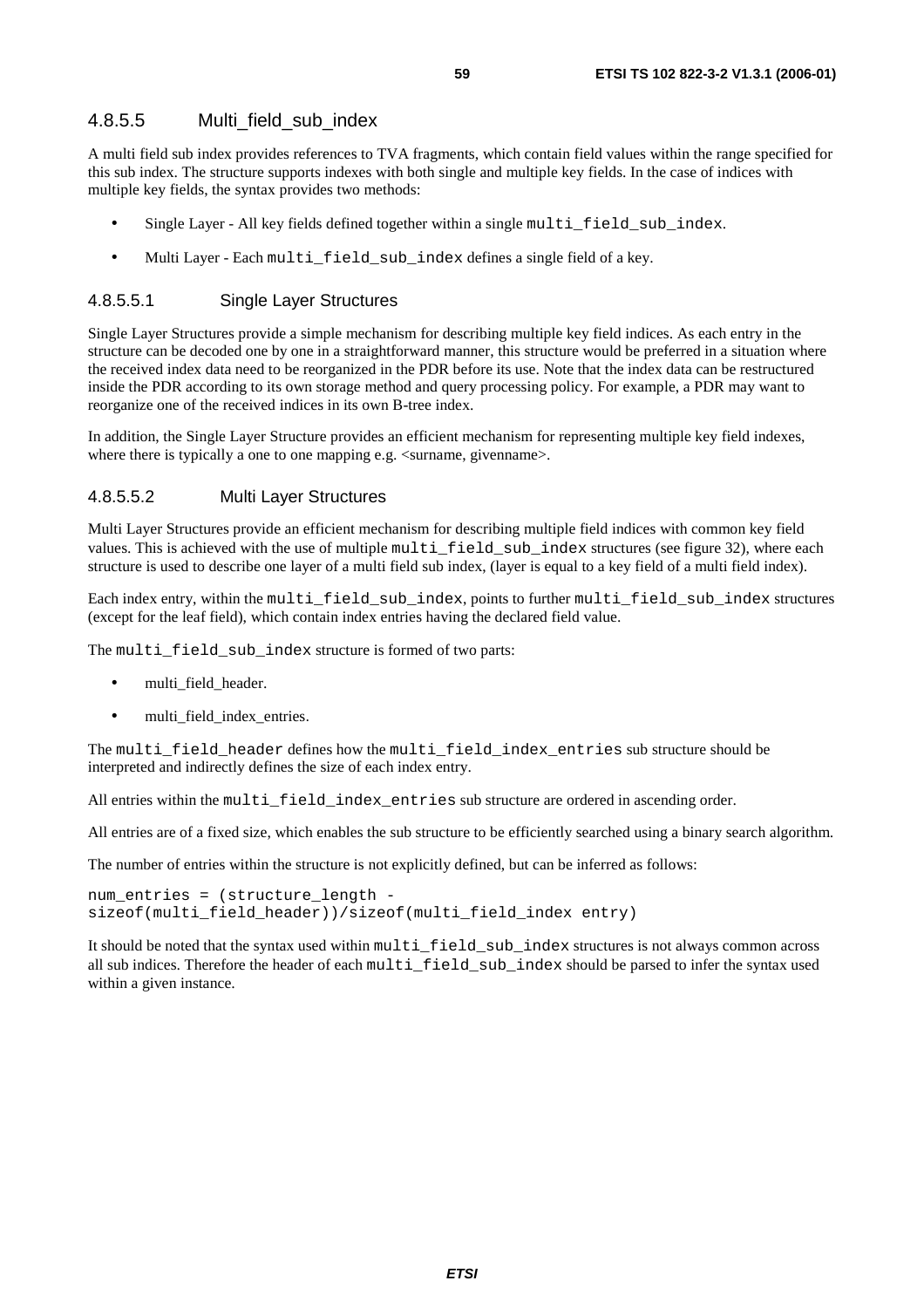A multi field sub index provides references to TVA fragments, which contain field values within the range specified for this sub index. The structure supports indexes with both single and multiple key fields. In the case of indices with multiple key fields, the syntax provides two methods:

- Single Layer All key fields defined together within a single multi\_field\_sub\_index.
- Multi Layer Each multi\_field\_sub\_index defines a single field of a key.

#### 4.8.5.5.1 Single Layer Structures

Single Layer Structures provide a simple mechanism for describing multiple key field indices. As each entry in the structure can be decoded one by one in a straightforward manner, this structure would be preferred in a situation where the received index data need to be reorganized in the PDR before its use. Note that the index data can be restructured inside the PDR according to its own storage method and query processing policy. For example, a PDR may want to reorganize one of the received indices in its own B-tree index.

In addition, the Single Layer Structure provides an efficient mechanism for representing multiple key field indexes, where there is typically a one to one mapping e.g.  $\leq$ surname, givenname.

#### 4.8.5.5.2 Multi Layer Structures

Multi Layer Structures provide an efficient mechanism for describing multiple field indices with common key field values. This is achieved with the use of multiple multi\_field\_sub\_index structures (see figure 32), where each structure is used to describe one layer of a multi field sub index, (layer is equal to a key field of a multi field index).

Each index entry, within the multi\_field\_sub\_index, points to further multi\_field\_sub\_index structures (except for the leaf field), which contain index entries having the declared field value.

The multi field sub index structure is formed of two parts:

- multi\_field\_header.
- multi\_field\_index\_entries.

The multi\_field\_header defines how the multi\_field\_index\_entries sub structure should be interpreted and indirectly defines the size of each index entry.

All entries within the multi field index entries sub structure are ordered in ascending order.

All entries are of a fixed size, which enables the sub structure to be efficiently searched using a binary search algorithm.

The number of entries within the structure is not explicitly defined, but can be inferred as follows:

```
num_entries = (structure_length - 
sizeof(multi_field_header))/sizeof(multi_field_index entry)
```
It should be noted that the syntax used within multi field sub index structures is not always common across all sub indices. Therefore the header of each multi\_field\_sub\_index should be parsed to infer the syntax used within a given instance.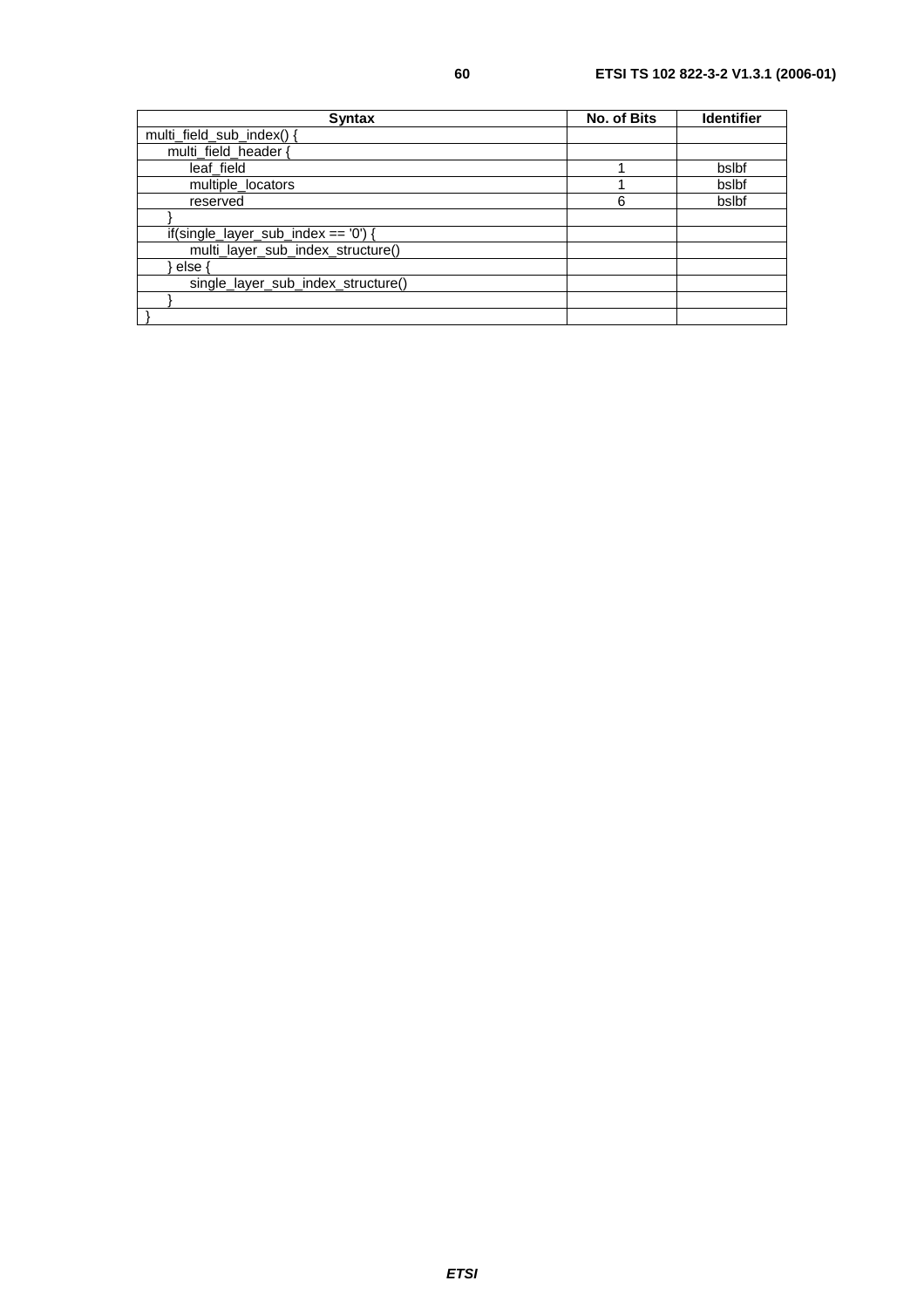| <b>Syntax</b>                        | No. of Bits | <b>Identifier</b> |
|--------------------------------------|-------------|-------------------|
| multi_field_sub_index()              |             |                   |
| multi_field_header {                 |             |                   |
| leaf field                           |             | bslbf             |
| multiple_locators                    |             | bslbf             |
| reserved                             | 6           | bslbf             |
|                                      |             |                   |
| $if(single_layersub_index == '0')$ { |             |                   |
| multi_layer_sub_index_structure()    |             |                   |
| else ·                               |             |                   |
| single_layer_sub_index_structure()   |             |                   |
|                                      |             |                   |
|                                      |             |                   |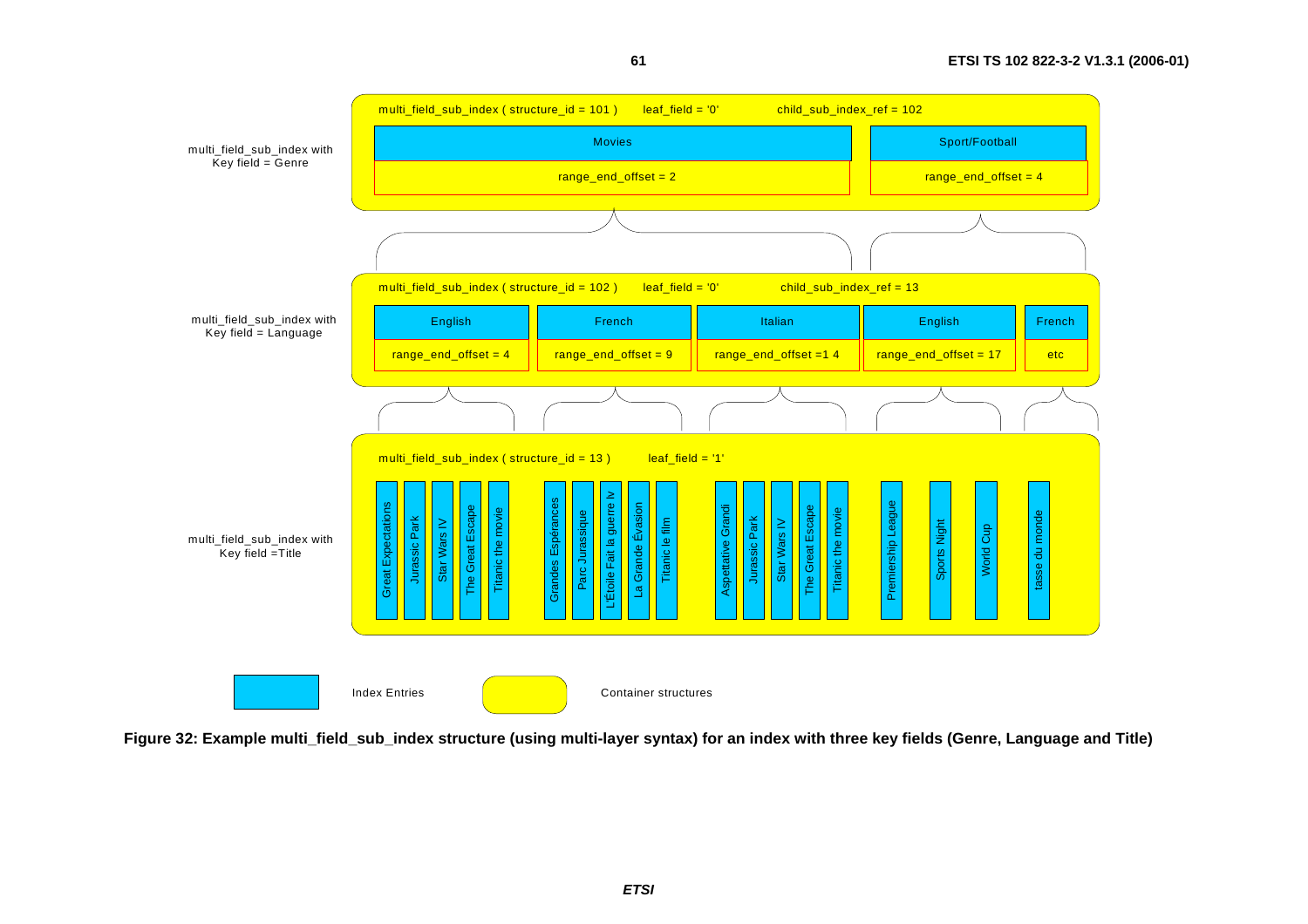

**61**

**Figure 32: Example multi\_field\_sub\_index structure (using multi-layer syntax) for an index with three key fields (Genre, Language and Title)**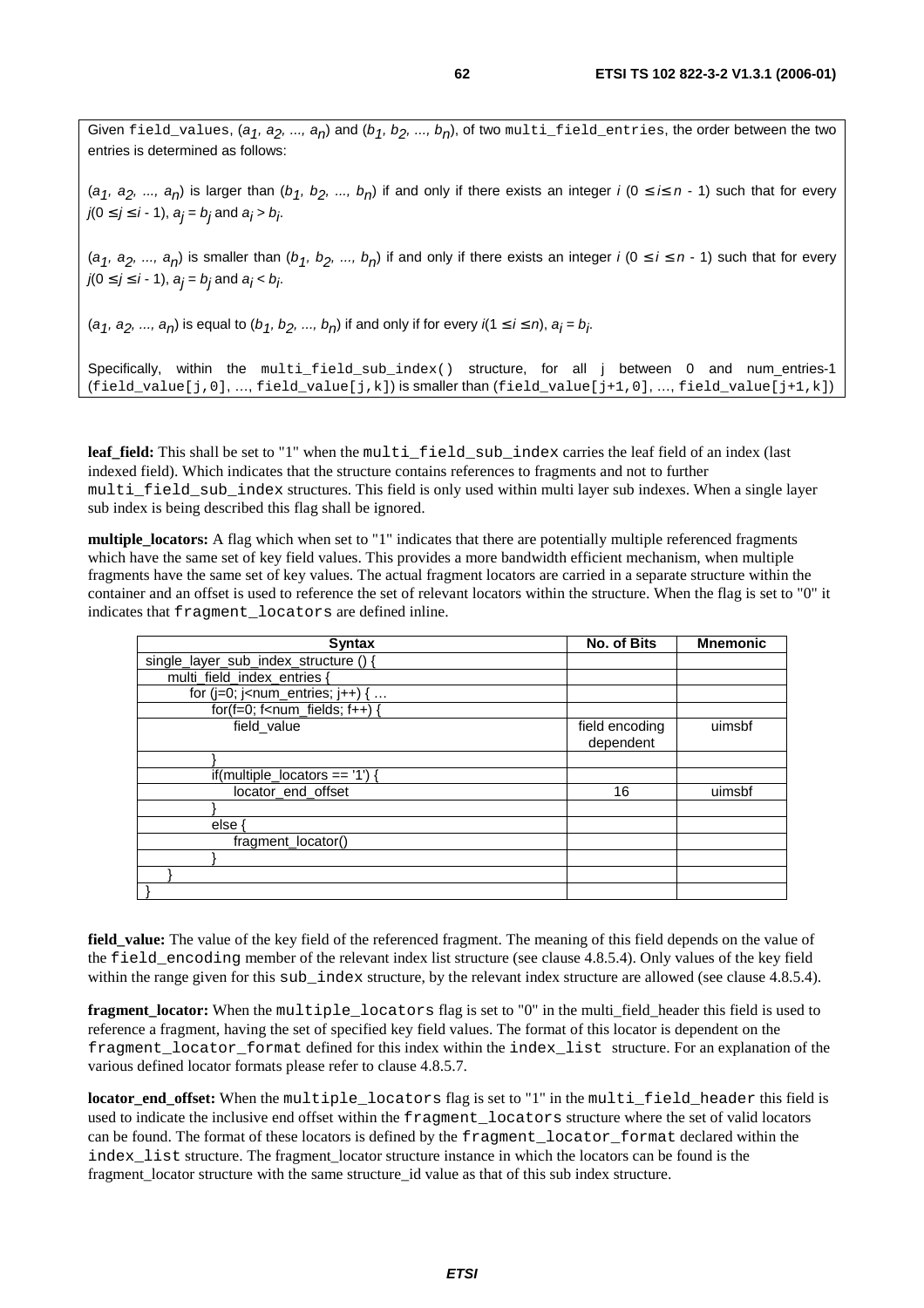Given field\_values,  $(a_1, a_2, ..., a_n)$  and  $(b_1, b_2, ..., b_n)$ , of two multi\_field\_entries, the order between the two entries is determined as follows:

(a<sub>1</sub>, a<sub>2</sub>, ..., a<sub>n</sub>) is larger than (b<sub>1</sub>, b<sub>2</sub>, ..., b<sub>n</sub>) if and only if there exists an integer i (0  $\leq$  i $\leq$  n - 1) such that for every  $j(0 \leq j \leq i - 1)$ ,  $a_j = b_j$  and  $a_j > b_j$ .

 $(a_1, a_2, ..., a_n)$  is smaller than  $(b_1, b_2, ..., b_n)$  if and only if there exists an integer  $i (0 \le i \le n - 1)$  such that for every  $j(0 \leq j \leq i - 1)$ ,  $a_j = b_j$  and  $a_j < b_j$ .

 $(a_1, a_2, ..., a_n)$  is equal to  $(b_1, b_2, ..., b_n)$  if and only if for every  $i(1 \le i \le n)$ ,  $a_i = b_i$ .

Specifically, within the multi\_field\_sub\_index() structure, for all j between 0 and num\_entries-1  $(field_value[j,0], ..., field_value[j,k])$  is smaller than  $(field_value[j+1,0], ..., field_value[j+1,k])$ 

leaf field: This shall be set to "1" when the multi field sub index carries the leaf field of an index (last indexed field). Which indicates that the structure contains references to fragments and not to further multi\_field\_sub\_index structures. This field is only used within multi layer sub indexes. When a single layer sub index is being described this flag shall be ignored.

**multiple** locators: A flag which when set to "1" indicates that there are potentially multiple referenced fragments which have the same set of key field values. This provides a more bandwidth efficient mechanism, when multiple fragments have the same set of key values. The actual fragment locators are carried in a separate structure within the container and an offset is used to reference the set of relevant locators within the structure. When the flag is set to "0" it indicates that fragment\_locators are defined inline.

| <b>Syntax</b>                                                   | <b>No. of Bits</b>          | <b>Mnemonic</b> |
|-----------------------------------------------------------------|-----------------------------|-----------------|
| single_layer_sub_index_structure () {                           |                             |                 |
| multi_field_index_entries {                                     |                             |                 |
| for ( $j=0$ ; $j$ <num_entries; <math="">j++) { </num_entries;> |                             |                 |
| for(f=0; f <num_fields; <math="">f++) {</num_fields;>           |                             |                 |
| field value                                                     | field encoding<br>dependent | uimsbf          |
|                                                                 |                             |                 |
| if(multiple_locators == $'1'$ ) {                               |                             |                 |
| locator_end_offset                                              | 16                          | uimsbf          |
|                                                                 |                             |                 |
| else ·                                                          |                             |                 |
| fragment locator()                                              |                             |                 |
|                                                                 |                             |                 |
|                                                                 |                             |                 |
|                                                                 |                             |                 |

**field\_value:** The value of the key field of the referenced fragment. The meaning of this field depends on the value of the field\_encoding member of the relevant index list structure (see clause 4.8.5.4). Only values of the key field within the range given for this sub index structure, by the relevant index structure are allowed (see clause 4.8.5.4).

**fragment\_locator:** When the multiple\_locators flag is set to "0" in the multi\_field\_header this field is used to reference a fragment, having the set of specified key field values. The format of this locator is dependent on the fragment\_locator\_format defined for this index within the index\_list structure. For an explanation of the various defined locator formats please refer to clause 4.8.5.7.

**locator\_end\_offset:** When the multiple\_locators flag is set to "1" in the multi\_field\_header this field is used to indicate the inclusive end offset within the fragment\_locators structure where the set of valid locators can be found. The format of these locators is defined by the fragment locator format declared within the index\_list structure. The fragment\_locator structure instance in which the locators can be found is the fragment\_locator structure with the same structure\_id value as that of this sub index structure.

**ETSI**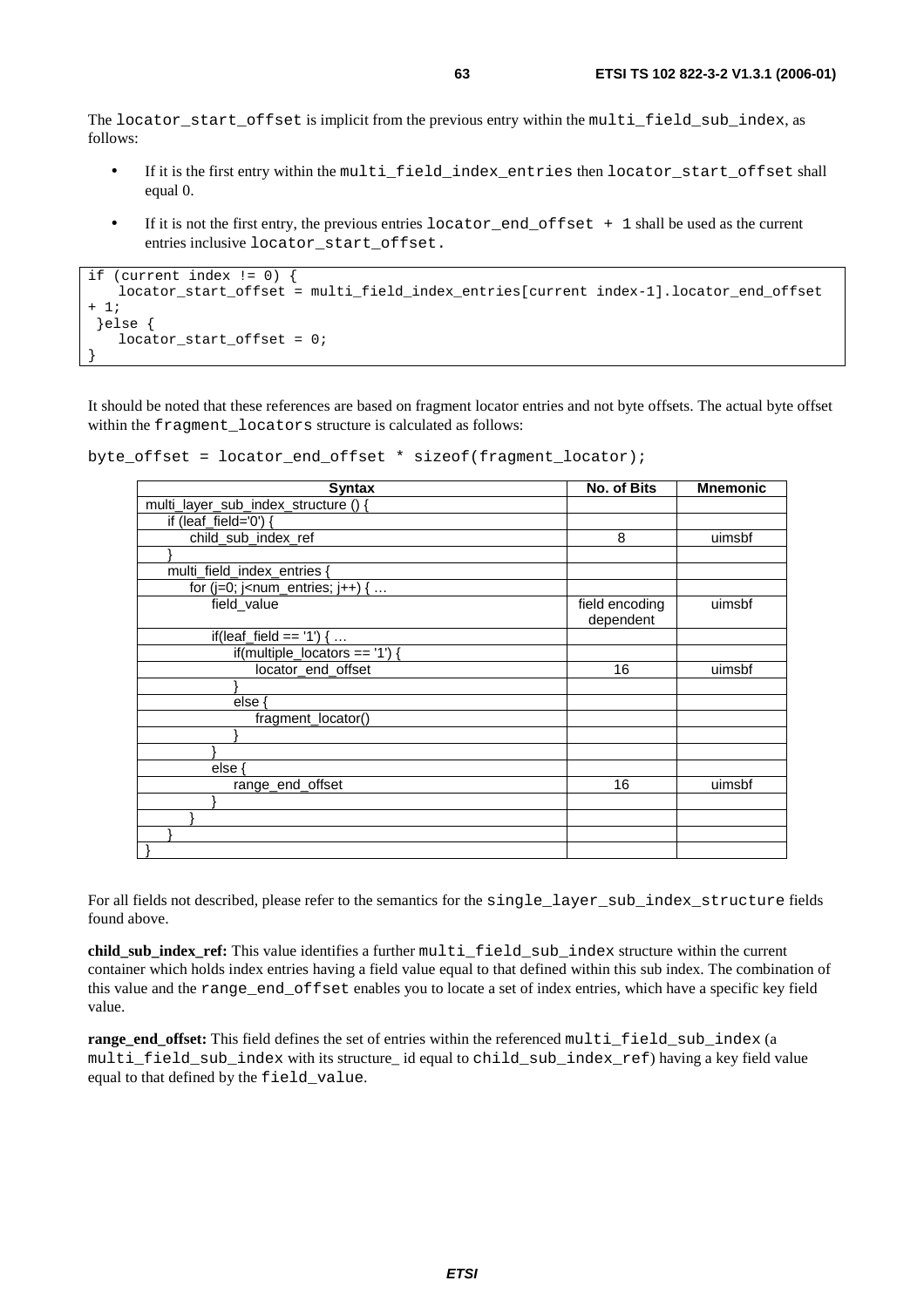The locator\_start\_offset is implicit from the previous entry within the multi\_field\_sub\_index, as follows:

- If it is the first entry within the multi\_field\_index\_entries then locator\_start\_offset shall equal 0.
- If it is not the first entry, the previous entries locator\_end\_offset + 1 shall be used as the current entries inclusive locator\_start\_offset.

```
if (current index != 0) { 
   locator_start_offset = multi_field_index_entries[current index-1].locator_end_offset
+ 1; 
  }else { 
    locator_start_offset = 0; 
}
```
It should be noted that these references are based on fragment locator entries and not byte offsets. The actual byte offset within the fragment\_locators structure is calculated as follows:

```
byte offset = locator end offset * sizeof(fragment locator);
```

| <b>Syntax</b>                                                      | No. of Bits                 | <b>Mnemonic</b> |
|--------------------------------------------------------------------|-----------------------------|-----------------|
| multi_layer_sub_index_structure () {                               |                             |                 |
| if (leaf_field='0') {                                              |                             |                 |
| child_sub_index_ref                                                | 8                           | uimsbf          |
|                                                                    |                             |                 |
| multi_field_index_entries {                                        |                             |                 |
| for (j=0; j <num_entries; <math="" j++)="">\{ \dots</num_entries;> |                             |                 |
| field_value                                                        | field encoding<br>dependent | uimsbf          |
| if(leaf_field == '1') {                                            |                             |                 |
| if(multiple_locators == '1') {                                     |                             |                 |
| locator_end_offset                                                 | 16                          | uimsbf          |
|                                                                    |                             |                 |
| else {                                                             |                             |                 |
| fragment_locator()                                                 |                             |                 |
|                                                                    |                             |                 |
|                                                                    |                             |                 |
| else ·                                                             |                             |                 |
| range_end_offset                                                   | 16                          | uimsbf          |
|                                                                    |                             |                 |
|                                                                    |                             |                 |
|                                                                    |                             |                 |
|                                                                    |                             |                 |

For all fields not described, please refer to the semantics for the single\_layer\_sub\_index\_structure fields found above.

**child\_sub\_index\_ref:** This value identifies a further multi\_field\_sub\_index structure within the current container which holds index entries having a field value equal to that defined within this sub index. The combination of this value and the range\_end\_offset enables you to locate a set of index entries, which have a specific key field value.

**range\_end\_offset:** This field defines the set of entries within the referenced multi\_field\_sub\_index (a multi\_field\_sub\_index with its structure\_ id equal to child\_sub\_index\_ref) having a key field value equal to that defined by the field\_value.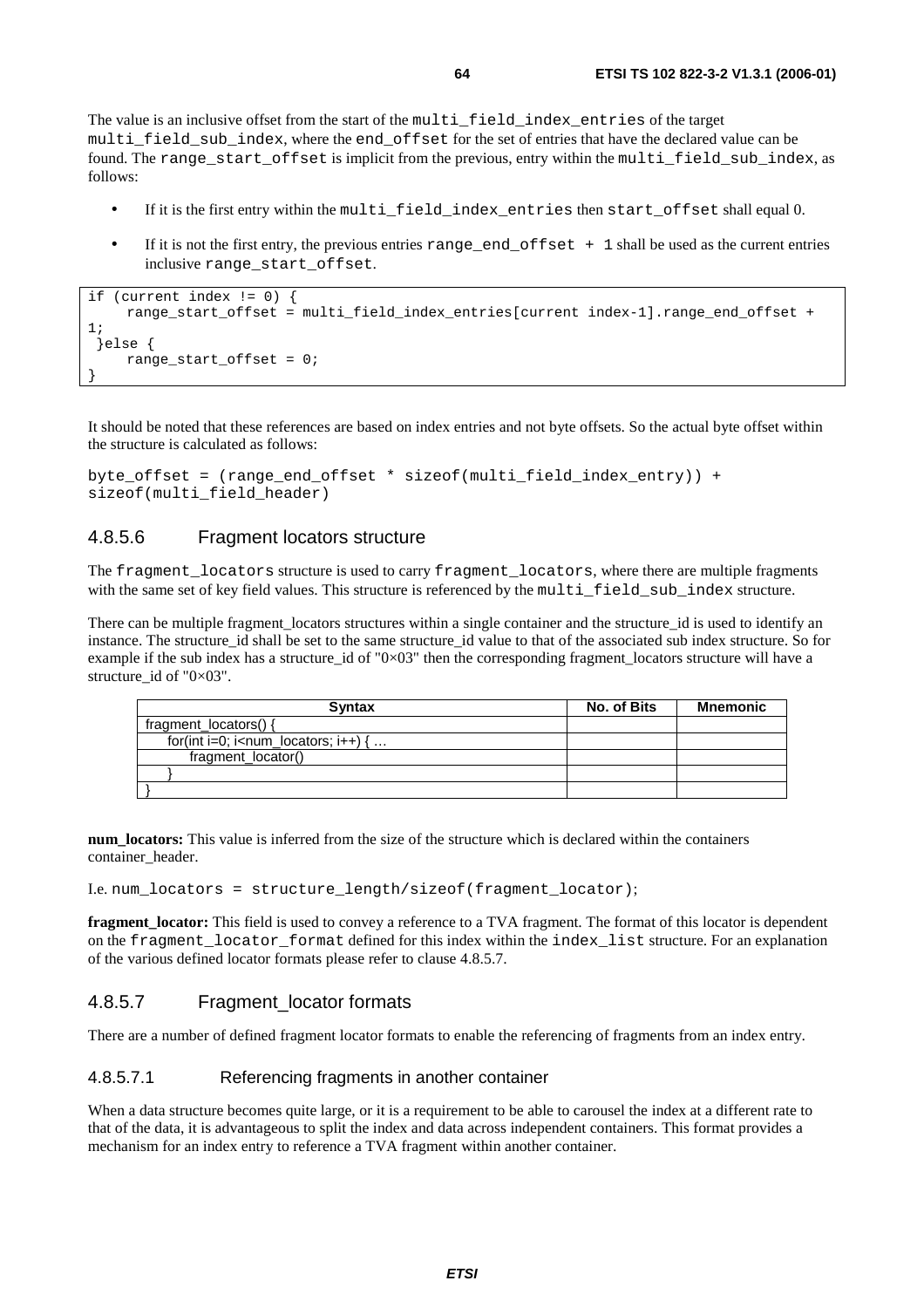The value is an inclusive offset from the start of the multi\_field\_index\_entries of the target multi field sub index, where the end offset for the set of entries that have the declared value can be found. The range\_start\_offset is implicit from the previous, entry within the multi\_field\_sub\_index, as follows:

- If it is the first entry within the multi\_field\_index\_entries then start\_offset shall equal 0.
- If it is not the first entry, the previous entries range end offset  $+1$  shall be used as the current entries inclusive range\_start\_offset.

```
if (current index != 0) { 
      range_start_offset = multi_field_index_entries[current index-1].range_end_offset + 
1; 
  }else { 
      range_start_offset = 0; 
}
```
It should be noted that these references are based on index entries and not byte offsets. So the actual byte offset within the structure is calculated as follows:

```
byte_offset = (range_end_offset * sizeof(multi_field_index_entry)) + 
sizeof(multi_field_header)
```
### 4.8.5.6 Fragment locators structure

The fragment locators structure is used to carry fragment locators, where there are multiple fragments with the same set of key field values. This structure is referenced by the multi\_field\_sub\_index structure.

There can be multiple fragment locators structures within a single container and the structure id is used to identify an instance. The structure id shall be set to the same structure id value to that of the associated sub index structure. So for example if the sub index has a structure id of "0 $\times$ 03" then the corresponding fragment locators structure will have a structure id of " $0\times03$ ".

| <b>Syntax</b>                                                    | No. of Bits | <b>Mnemonic</b> |
|------------------------------------------------------------------|-------------|-----------------|
| fragment locators() {                                            |             |                 |
| for(int i=0; i <num <math="" i++)="" locators;="">\{ \dots</num> |             |                 |
| fragment_locator()                                               |             |                 |
|                                                                  |             |                 |
|                                                                  |             |                 |

**num\_locators:** This value is inferred from the size of the structure which is declared within the containers container\_header.

I.e. num\_locators = structure\_length/sizeof(fragment\_locator);

**fragment\_locator:** This field is used to convey a reference to a TVA fragment. The format of this locator is dependent on the fragment\_locator\_format defined for this index within the index\_list structure. For an explanation of the various defined locator formats please refer to clause 4.8.5.7.

### 4.8.5.7 Fragment locator formats

There are a number of defined fragment locator formats to enable the referencing of fragments from an index entry.

### 4.8.5.7.1 Referencing fragments in another container

When a data structure becomes quite large, or it is a requirement to be able to carousel the index at a different rate to that of the data, it is advantageous to split the index and data across independent containers. This format provides a mechanism for an index entry to reference a TVA fragment within another container.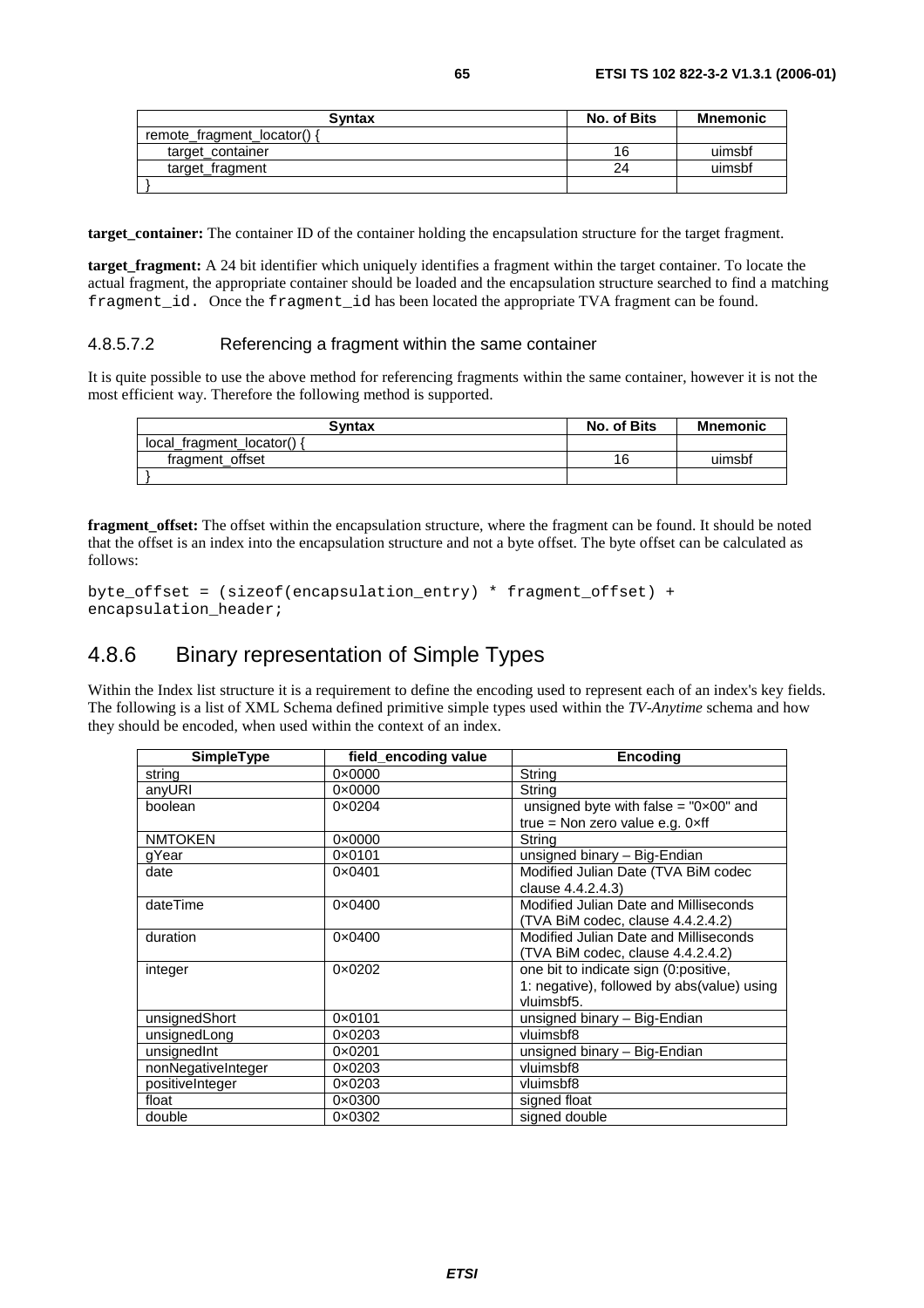| Syntax                      | No. of Bits | Mnemonic |
|-----------------------------|-------------|----------|
| remote_fragment_locator() { |             |          |
| target_container            | 16          | uimsbf   |
| target fragment             | 24          | uimsbf   |
|                             |             |          |

**target\_container:** The container ID of the container holding the encapsulation structure for the target fragment.

**target fragment:** A 24 bit identifier which uniquely identifies a fragment within the target container. To locate the actual fragment, the appropriate container should be loaded and the encapsulation structure searched to find a matching fragment\_id. Once the fragment\_id has been located the appropriate TVA fragment can be found.

#### 4.8.5.7.2 Referencing a fragment within the same container

It is quite possible to use the above method for referencing fragments within the same container, however it is not the most efficient way. Therefore the following method is supported.

| <b>Syntax</b>            | No. of Bits | <b>Mnemonic</b> |
|--------------------------|-------------|-----------------|
| local fragment locator() |             |                 |
| fragment offset          | 16          | uimsbf          |
|                          |             |                 |

**fragment\_offset:** The offset within the encapsulation structure, where the fragment can be found. It should be noted that the offset is an index into the encapsulation structure and not a byte offset. The byte offset can be calculated as follows:

```
byte_offset = (sizeof(encapsulation_entry) * fragment_offset) + 
encapsulation header;
```
# 4.8.6 Binary representation of Simple Types

Within the Index list structure it is a requirement to define the encoding used to represent each of an index's key fields. The following is a list of XML Schema defined primitive simple types used within the *TV-Anytime* schema and how they should be encoded, when used within the context of an index.

| <b>SimpleType</b>  | field_encoding value | <b>Encoding</b>                                |
|--------------------|----------------------|------------------------------------------------|
| string             | $0 \times 0000$      | String                                         |
| anyURI             | $0 \times 0000$      | String                                         |
| boolean            | $0 \times 0204$      | unsigned byte with false = $"0 \times 00"$ and |
|                    |                      | true = Non zero value e.g. $0 \times ff$       |
| <b>NMTOKEN</b>     | $0 \times 0000$      | String                                         |
| gYear              | 0×0101               | unsigned binary - Big-Endian                   |
| date               | $0 \times 0401$      | Modified Julian Date (TVA BiM codec            |
|                    |                      | clause 4.4.2.4.3)                              |
| dateTime           | $0 \times 0400$      | Modified Julian Date and Milliseconds          |
|                    |                      | (TVA BiM codec, clause 4.4.2.4.2)              |
| duration           | $0 \times 0400$      | Modified Julian Date and Milliseconds          |
|                    |                      | (TVA BiM codec, clause 4.4.2.4.2)              |
| integer            | $0 \times 0202$      | one bit to indicate sign (0:positive,          |
|                    |                      | 1: negative), followed by abs(value) using     |
|                    |                      | vluimsbf5.                                     |
| unsignedShort      | 0×0101               | unsigned binary - Big-Endian                   |
| unsignedLong       | $0 \times 0203$      | vluimsbf8                                      |
| unsignedInt        | $0 \times 0201$      | unsigned binary - Big-Endian                   |
| nonNegativeInteger | $0 \times 0203$      | vluimsbf8                                      |
| positiveInteger    | 0×0203               | vluimsbf8                                      |
| float              | $0 \times 0300$      | signed float                                   |
| double             | $0 \times 0302$      | signed double                                  |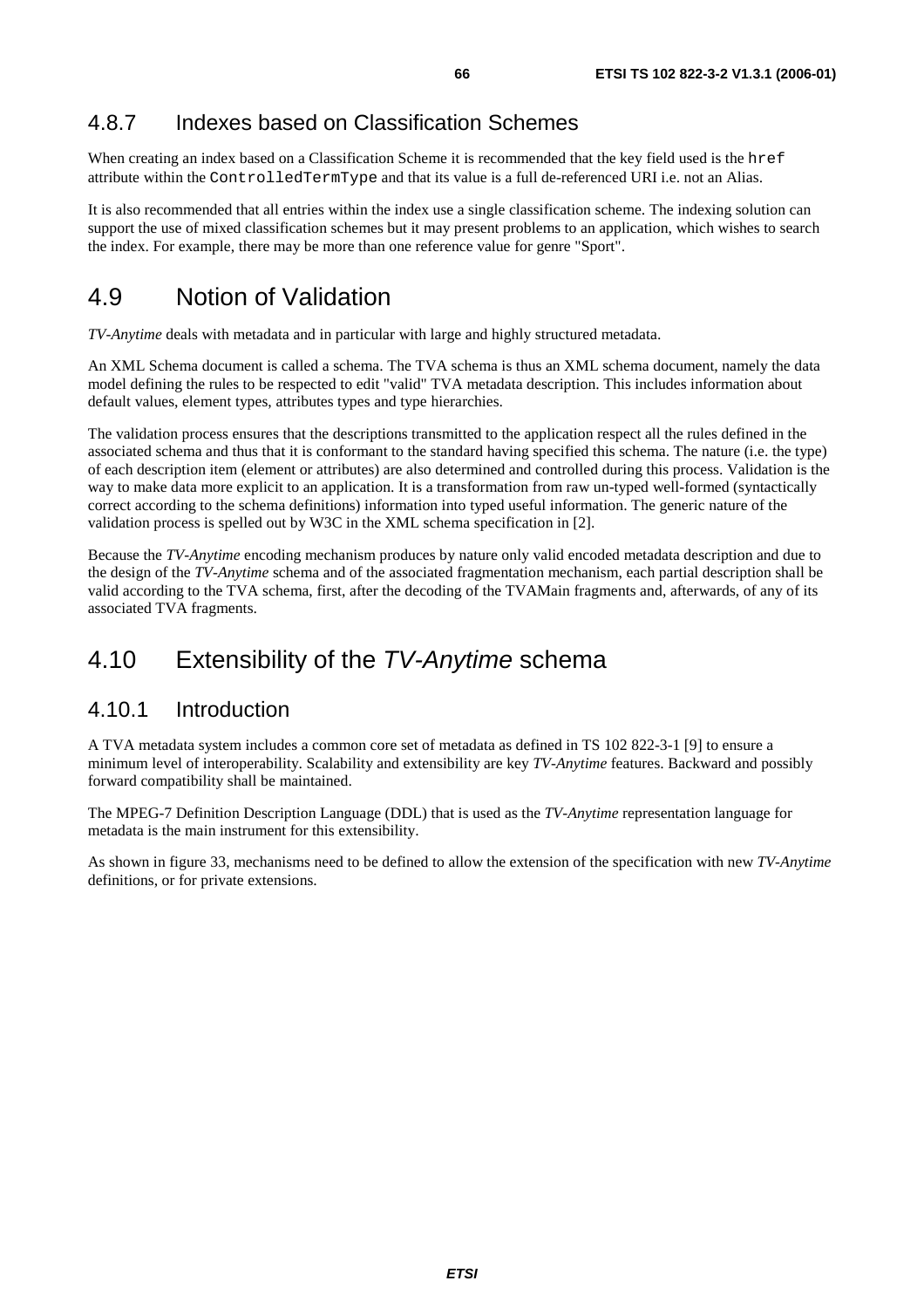# 4.8.7 Indexes based on Classification Schemes

When creating an index based on a Classification Scheme it is recommended that the key field used is the href attribute within the ControlledTermType and that its value is a full de-referenced URI i.e. not an Alias.

It is also recommended that all entries within the index use a single classification scheme. The indexing solution can support the use of mixed classification schemes but it may present problems to an application, which wishes to search the index. For example, there may be more than one reference value for genre "Sport".

# 4.9 Notion of Validation

*TV-Anytime* deals with metadata and in particular with large and highly structured metadata.

An XML Schema document is called a schema. The TVA schema is thus an XML schema document, namely the data model defining the rules to be respected to edit "valid" TVA metadata description. This includes information about default values, element types, attributes types and type hierarchies.

The validation process ensures that the descriptions transmitted to the application respect all the rules defined in the associated schema and thus that it is conformant to the standard having specified this schema. The nature (i.e. the type) of each description item (element or attributes) are also determined and controlled during this process. Validation is the way to make data more explicit to an application. It is a transformation from raw un-typed well-formed (syntactically correct according to the schema definitions) information into typed useful information. The generic nature of the validation process is spelled out by W3C in the XML schema specification in [2].

Because the *TV-Anytime* encoding mechanism produces by nature only valid encoded metadata description and due to the design of the *TV-Anytime* schema and of the associated fragmentation mechanism, each partial description shall be valid according to the TVA schema, first, after the decoding of the TVAMain fragments and, afterwards, of any of its associated TVA fragments.

# 4.10 Extensibility of the TV-Anytime schema

### 4.10.1 Introduction

A TVA metadata system includes a common core set of metadata as defined in TS 102 822-3-1 [9] to ensure a minimum level of interoperability. Scalability and extensibility are key *TV-Anytime* features. Backward and possibly forward compatibility shall be maintained.

The MPEG-7 Definition Description Language (DDL) that is used as the *TV-Anytime* representation language for metadata is the main instrument for this extensibility.

As shown in figure 33, mechanisms need to be defined to allow the extension of the specification with new *TV-Anytime* definitions, or for private extensions.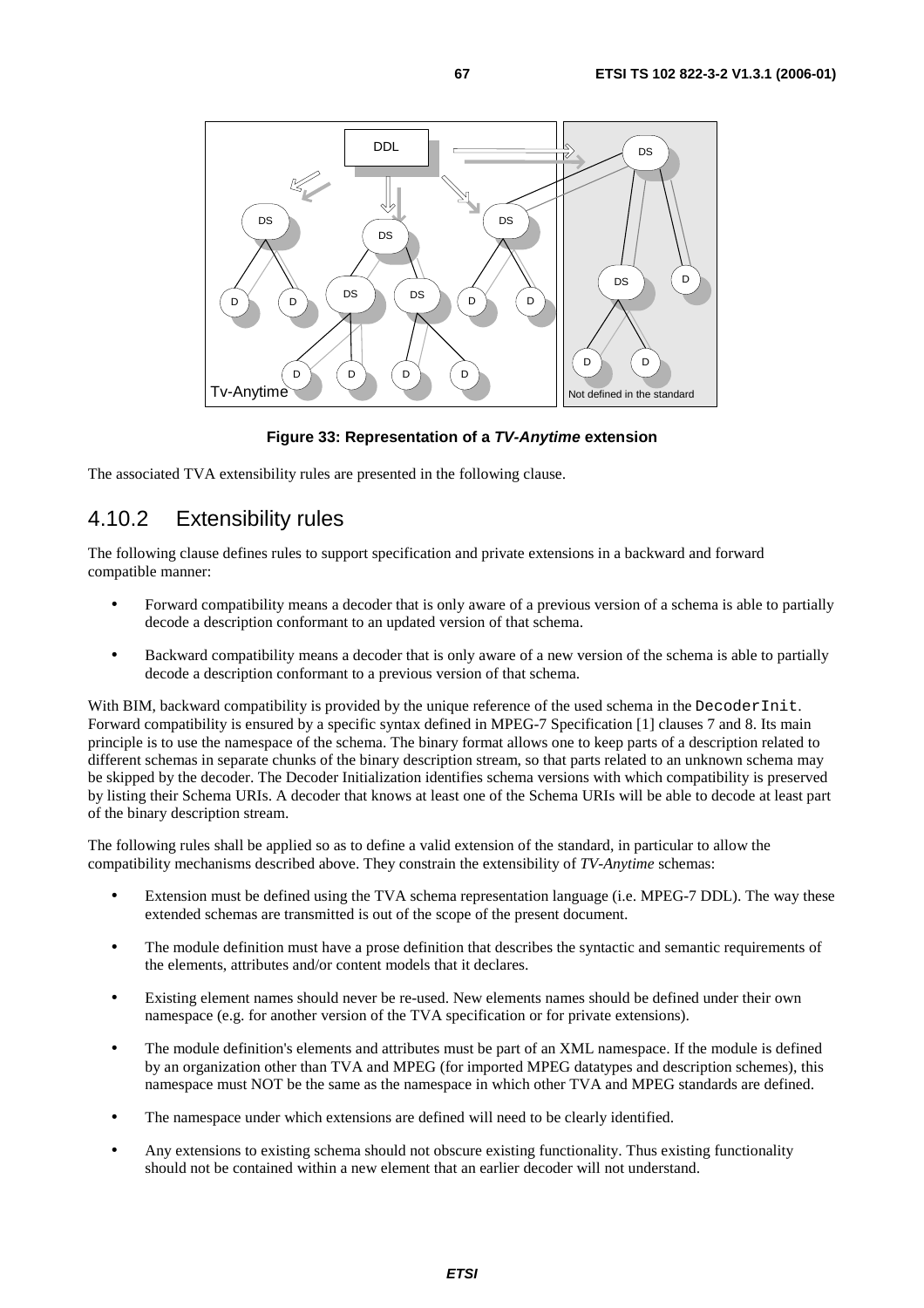

**Figure 33: Representation of a TV-Anytime extension** 

The associated TVA extensibility rules are presented in the following clause.

# 4.10.2 Extensibility rules

The following clause defines rules to support specification and private extensions in a backward and forward compatible manner:

- Forward compatibility means a decoder that is only aware of a previous version of a schema is able to partially decode a description conformant to an updated version of that schema.
- Backward compatibility means a decoder that is only aware of a new version of the schema is able to partially decode a description conformant to a previous version of that schema.

With BIM, backward compatibility is provided by the unique reference of the used schema in the DecoderInit. Forward compatibility is ensured by a specific syntax defined in MPEG-7 Specification [1] clauses 7 and 8. Its main principle is to use the namespace of the schema. The binary format allows one to keep parts of a description related to different schemas in separate chunks of the binary description stream, so that parts related to an unknown schema may be skipped by the decoder. The Decoder Initialization identifies schema versions with which compatibility is preserved by listing their Schema URIs. A decoder that knows at least one of the Schema URIs will be able to decode at least part of the binary description stream.

The following rules shall be applied so as to define a valid extension of the standard, in particular to allow the compatibility mechanisms described above. They constrain the extensibility of *TV-Anytime* schemas:

- Extension must be defined using the TVA schema representation language (i.e. MPEG-7 DDL). The way these extended schemas are transmitted is out of the scope of the present document.
- The module definition must have a prose definition that describes the syntactic and semantic requirements of the elements, attributes and/or content models that it declares.
- Existing element names should never be re-used. New elements names should be defined under their own namespace (e.g. for another version of the TVA specification or for private extensions).
- The module definition's elements and attributes must be part of an XML namespace. If the module is defined by an organization other than TVA and MPEG (for imported MPEG datatypes and description schemes), this namespace must NOT be the same as the namespace in which other TVA and MPEG standards are defined.
- The namespace under which extensions are defined will need to be clearly identified.
- Any extensions to existing schema should not obscure existing functionality. Thus existing functionality should not be contained within a new element that an earlier decoder will not understand.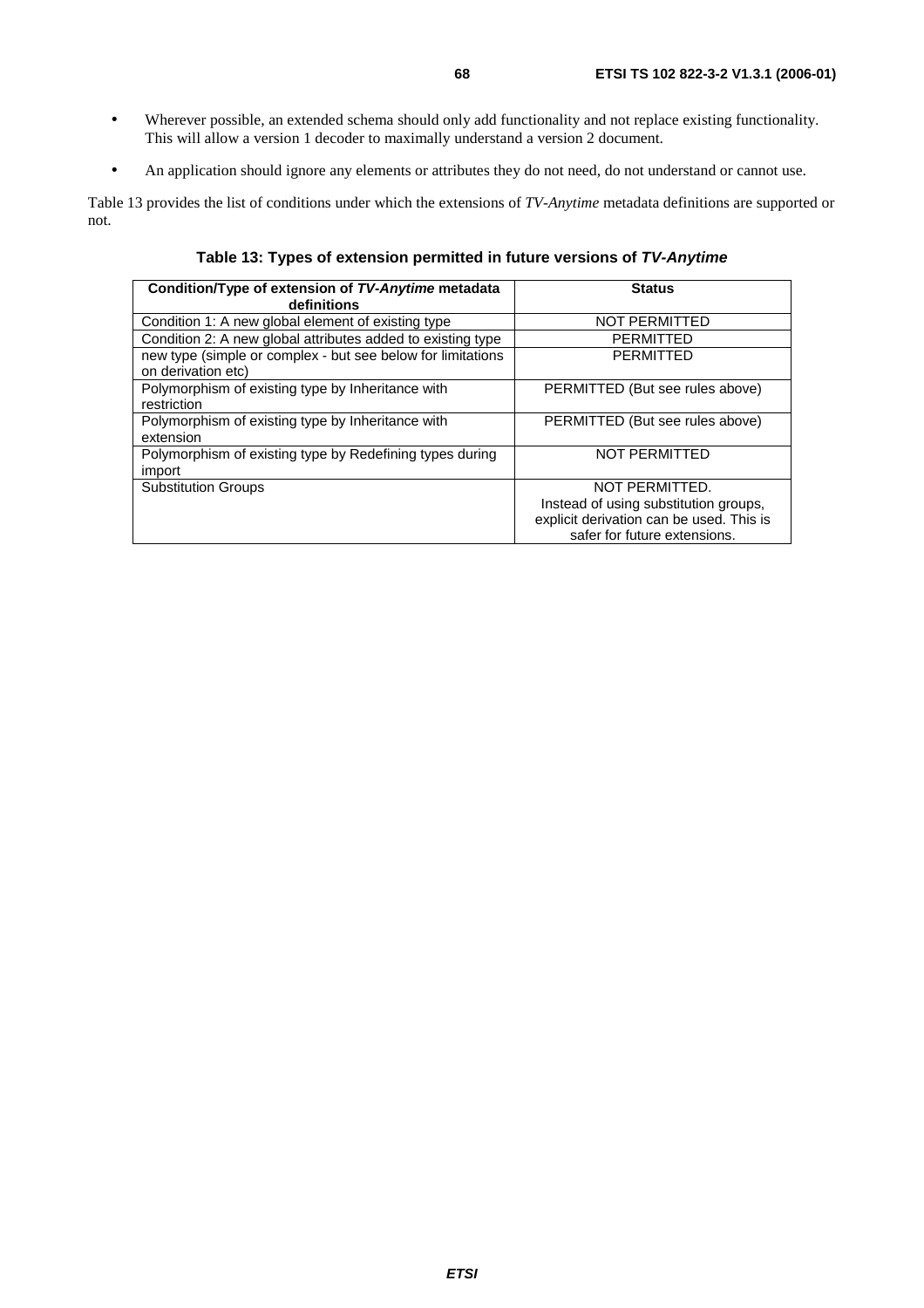- Wherever possible, an extended schema should only add functionality and not replace existing functionality. This will allow a version 1 decoder to maximally understand a version 2 document.
- An application should ignore any elements or attributes they do not need, do not understand or cannot use.

Table 13 provides the list of conditions under which the extensions of *TV-Anytime* metadata definitions are supported or not.

**Table 13: Types of extension permitted in future versions of TV-Anytime**

| Condition/Type of extension of TV-Anytime metadata<br>definitions | <b>Status</b>                            |
|-------------------------------------------------------------------|------------------------------------------|
| Condition 1: A new global element of existing type                | <b>NOT PERMITTED</b>                     |
| Condition 2: A new global attributes added to existing type       | <b>PERMITTED</b>                         |
| new type (simple or complex - but see below for limitations       | <b>PERMITTED</b>                         |
| on derivation etc)                                                |                                          |
| Polymorphism of existing type by Inheritance with                 | PERMITTED (But see rules above)          |
| restriction                                                       |                                          |
| Polymorphism of existing type by Inheritance with                 | PERMITTED (But see rules above)          |
| extension                                                         |                                          |
| Polymorphism of existing type by Redefining types during          | <b>NOT PERMITTED</b>                     |
| import                                                            |                                          |
| <b>Substitution Groups</b>                                        | NOT PERMITTED.                           |
|                                                                   | Instead of using substitution groups,    |
|                                                                   | explicit derivation can be used. This is |
|                                                                   | safer for future extensions.             |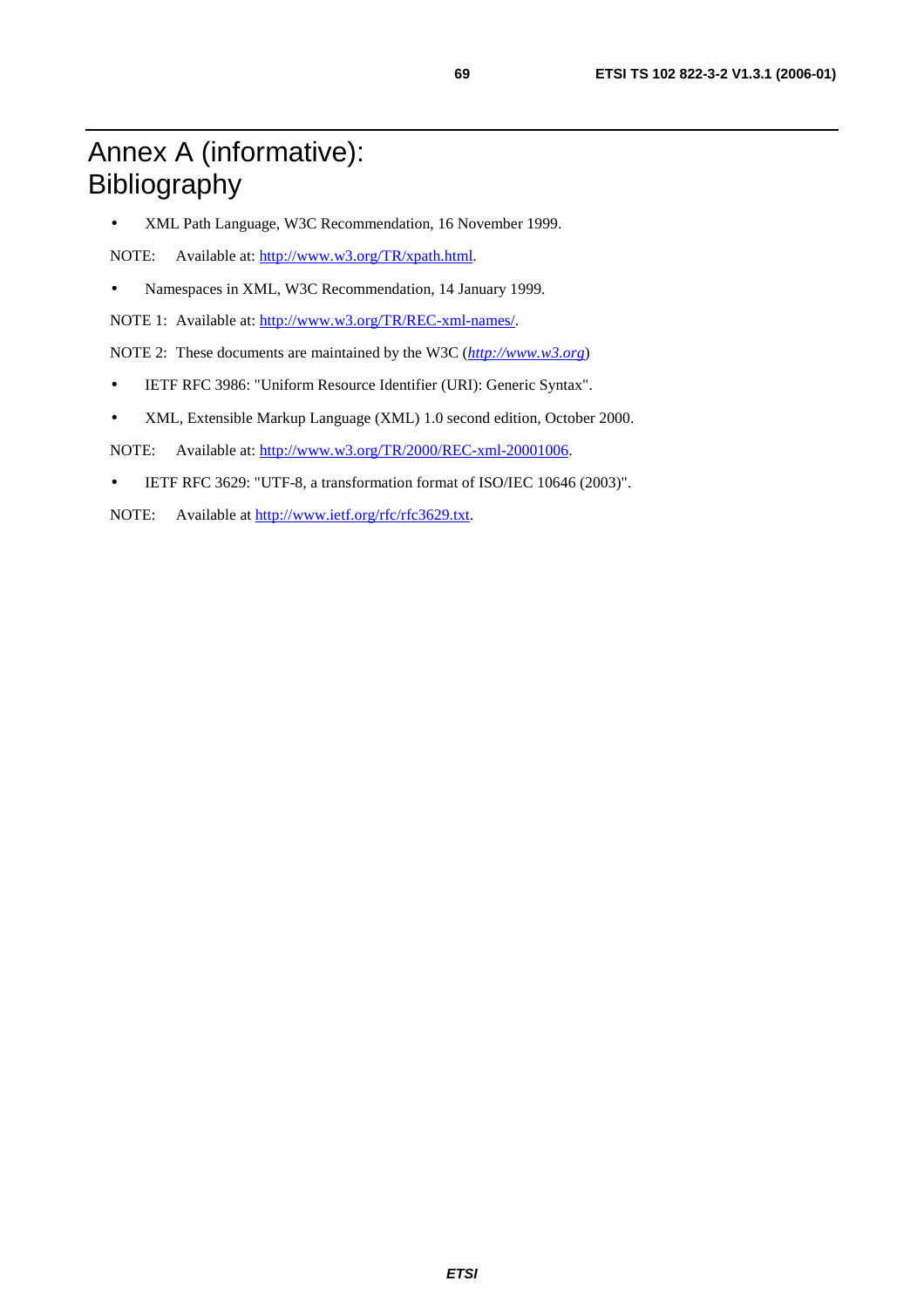# Annex A (informative): Bibliography

• XML Path Language, W3C Recommendation, 16 November 1999.

NOTE: Available at: <http://www.w3.org/TR/xpath.html>.

• Namespaces in XML, W3C Recommendation, 14 January 1999.

NOTE 1: Available at:<http://www.w3.org/TR/REC-xml-names/>.

NOTE 2: These documents are maintained by the W3C (*[http://www.w3.org](http://www.w3.org/)*)

- IETF RFC 3986: "Uniform Resource Identifier (URI): Generic Syntax".
- XML, Extensible Markup Language (XML) 1.0 second edition, October 2000.

NOTE: Available at:<http://www.w3.org/TR/2000/REC-xml-20001006>.

- IETF RFC 3629: "UTF-8, a transformation format of ISO/IEC 10646 (2003)".
- NOTE: Available at <http://www.ietf.org/rfc/rfc3629.txt>.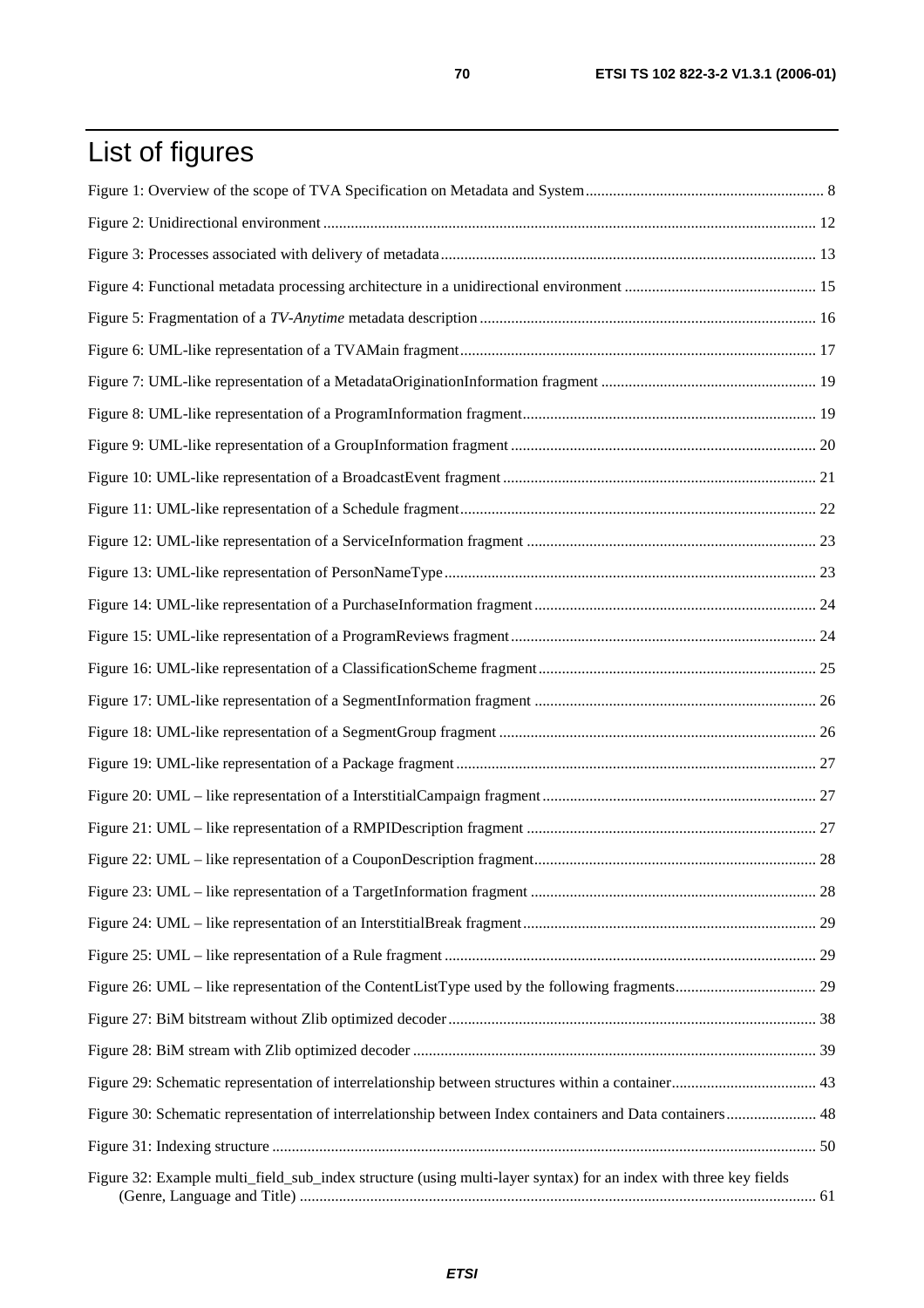# List of figures

| Figure 30: Schematic representation of interrelationship between Index containers and Data containers 48         |  |
|------------------------------------------------------------------------------------------------------------------|--|
|                                                                                                                  |  |
| Figure 32: Example multi_field_sub_index structure (using multi-layer syntax) for an index with three key fields |  |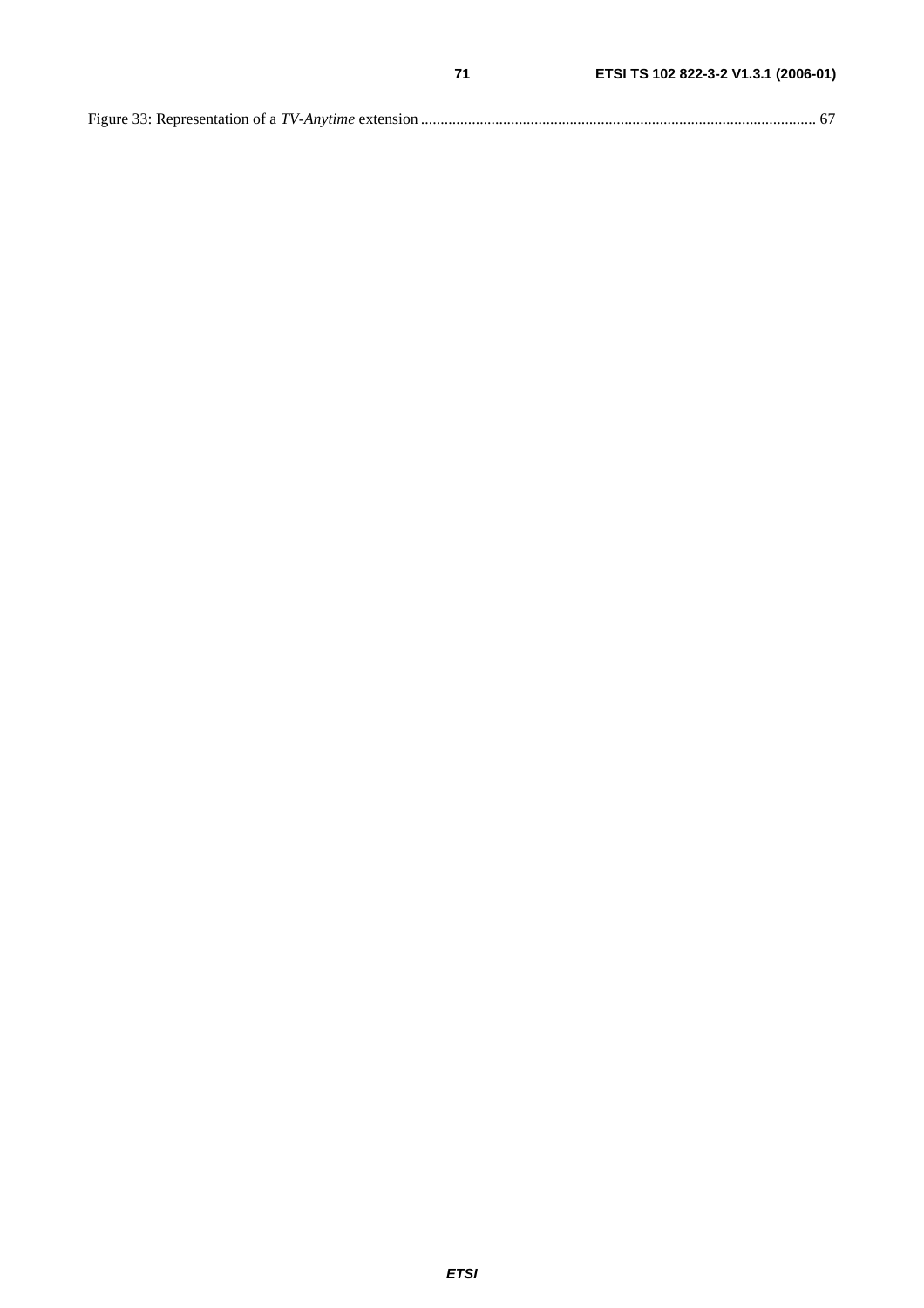|--|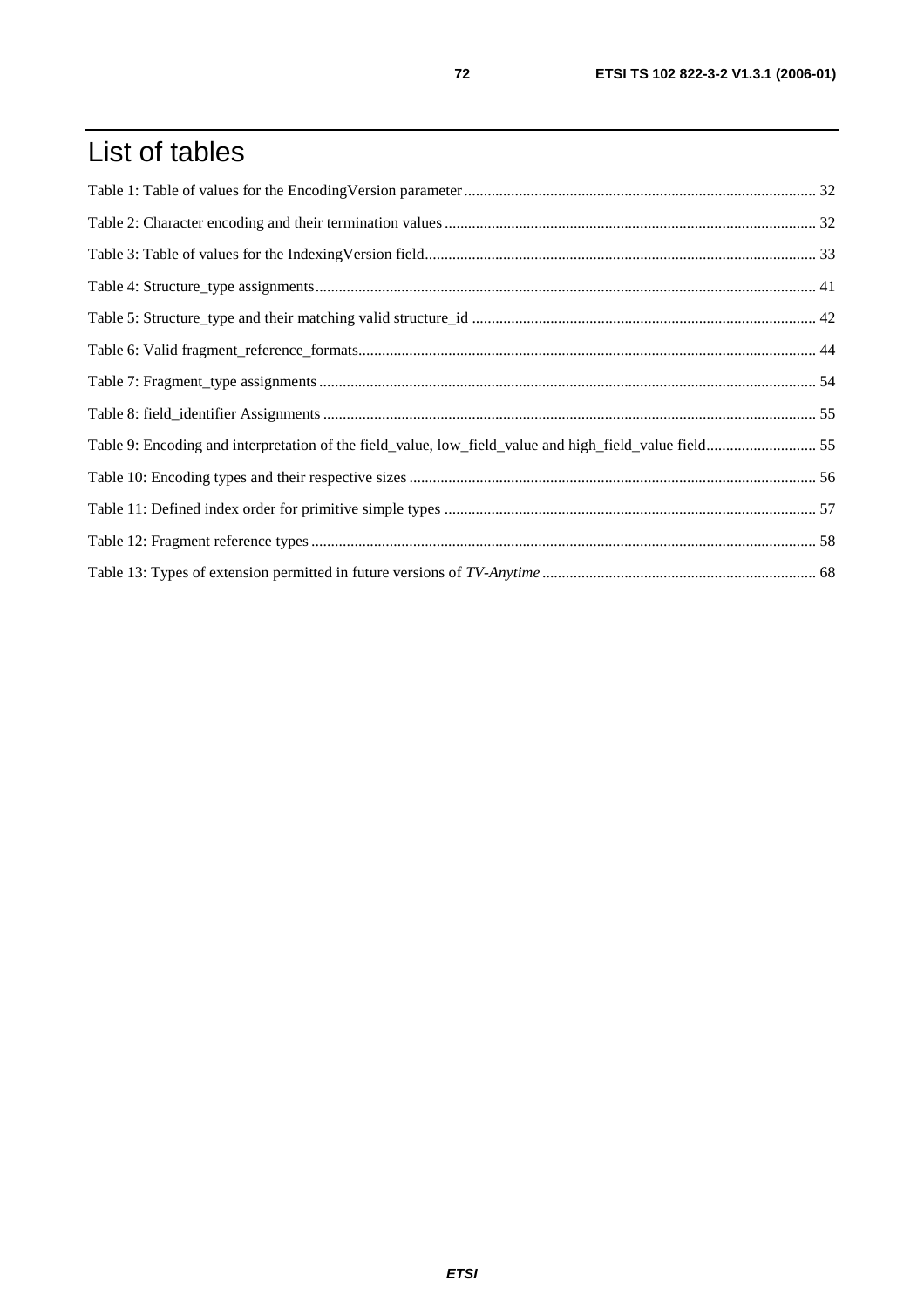# List of tables

| Table 9: Encoding and interpretation of the field_value, low_field_value and high_field_value field55 |  |
|-------------------------------------------------------------------------------------------------------|--|
|                                                                                                       |  |
|                                                                                                       |  |
|                                                                                                       |  |
|                                                                                                       |  |